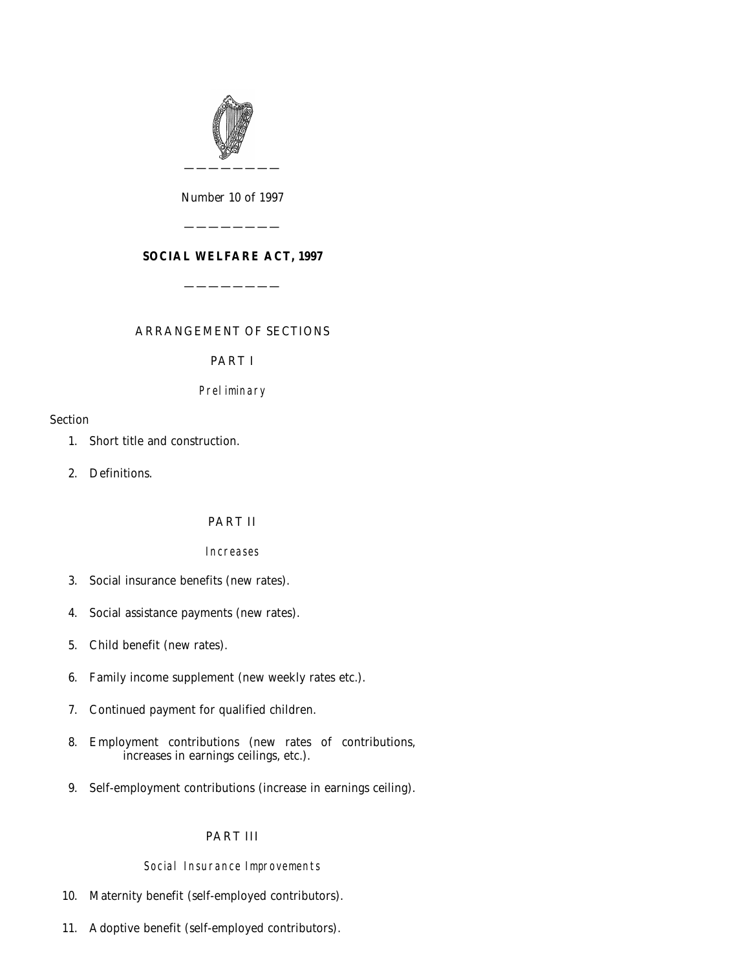

*Number* 10 *of* 1997

————————

**SOCIAL WELFARE ACT, 1997**

————————

ARRANGEMENT OF SECTIONS

PART I

# Preliminary

# Section

- [1. Short title and construction.](#page-4-0)
- [2. Definitions.](#page-4-0)

# PART II

# Increases

- [3. Social insurance benefits \(new rates\).](#page-4-0)
- [4. Social assistance payments \(new rates\).](#page-5-0)
- [5. Child benefit \(new rates\).](#page-5-0)
- [6. Family income supplement \(new weekly rates etc.\).](#page-6-0)
- [7. Continued payment for qualified children.](#page-7-0)
- [8. Employment contributions \(new rates of contributions,](#page-8-0) increases in earnings ceilings, etc.).
- [9. Self-employment contributions \(increase in earnings ceiling\).](#page-8-0)

# PART III

# Social Insurance Improvements

- [10. Maternity benefit \(self-employed contributors\).](#page-9-0)
- [11. Adoptive benefit \(self-employed contributors\).](#page-14-0)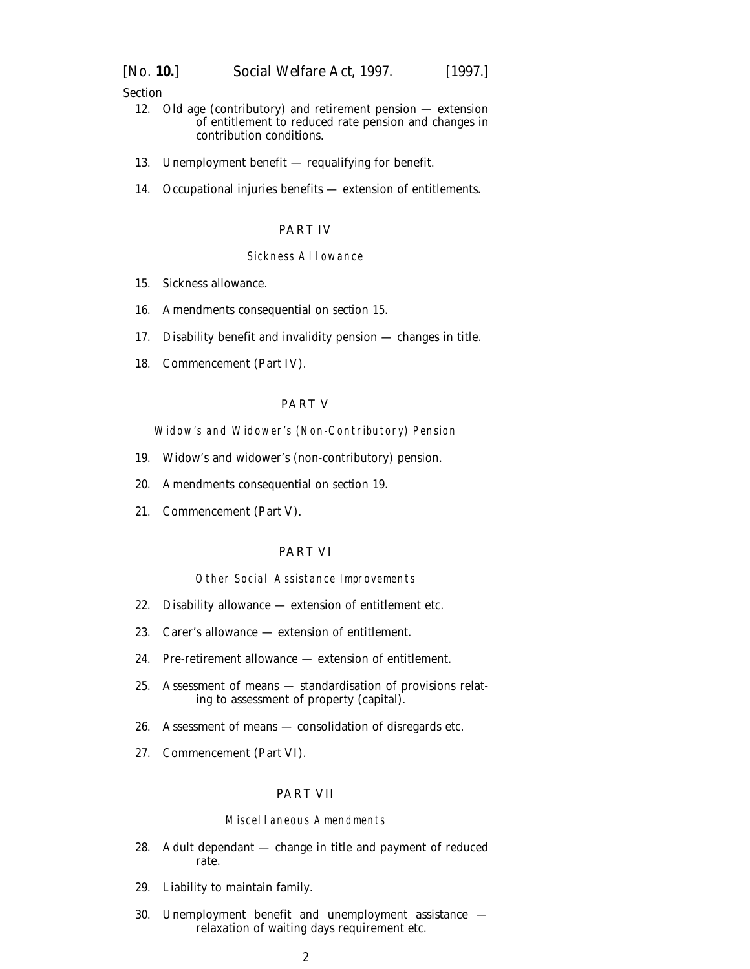Section

- [12. Old age \(contributory\) and retirement pension extension](#page-18-0) of entitlement to reduced rate pension and changes in contribution conditions.
- [13. Unemployment benefit requalifying for benefit.](#page-19-0)
- [14. Occupational injuries benefits extension of entitlements.](#page-19-0)

#### PART IV

# Sickness Allowance

- [15. Sickness allowance.](#page-20-0)
- [16. Amendments consequential on](#page-24-0) *section 15*.
- [17. Disability benefit and invalidity pension changes in title.](#page-25-0)
- [18. Commencement \(](#page-25-0)*Part IV*).

### PART V

Widow's and Widower's (Non-Contributory) Pension

- [19. Widow's and widower's \(non-contributory\) pension.](#page-26-0)
- [20. Amendments consequential on](#page-27-0) *section 19*.
- [21. Commencement \(](#page-27-0)*Part V*).

### PART VI

#### Other Social Assistance Improvements

- [22. Disability allowance extension of entitlement etc.](#page-28-0)
- [23. Carer's allowance extension of entitlement.](#page-28-0)
- [24. Pre-retirement allowance extension of entitlement.](#page-29-0)
- [25. Assessment of means standardisation of provisions relat](#page-29-0)ing to assessment of property (capital).
- [26. Assessment of means consolidation of disregards etc.](#page-30-0)
- [27. Commencement \(](#page-37-0)*Part VI*).

# PART VII

#### Miscellaneous Amendments

- [28. Adult dependant change in title and payment of reduced](#page-37-0) rate.
- [29. Liability to maintain family.](#page-37-0)
- [30. Unemployment benefit and unemployment assistance](#page-39-0)  relaxation of waiting days requirement etc.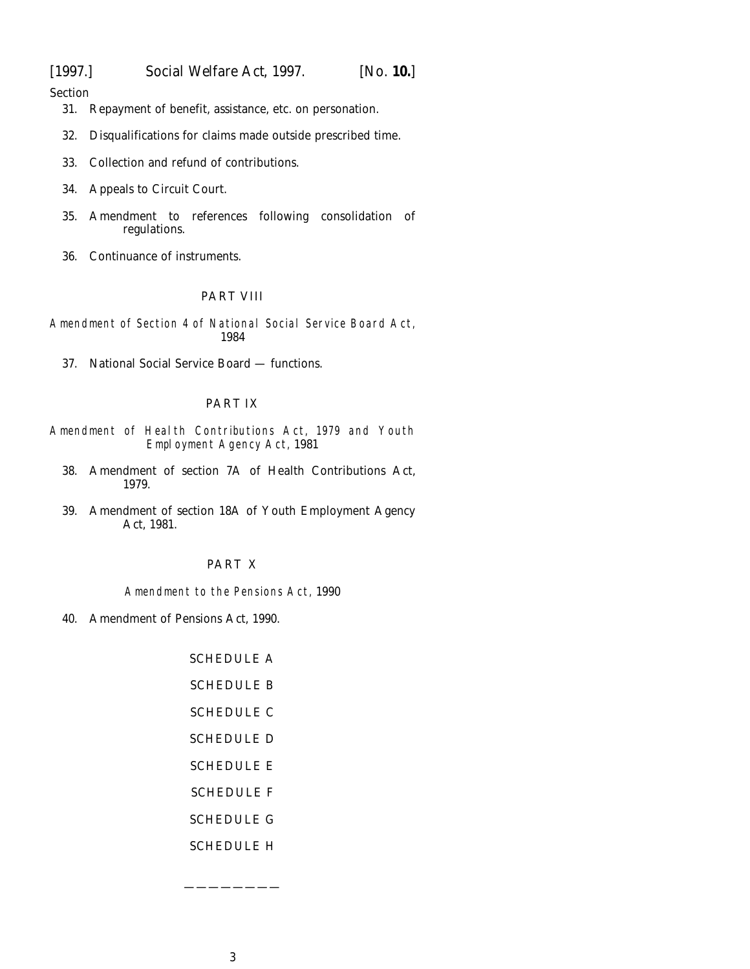[1997.] *Social Welfare Act,* 1997. [*No.* **10.**]

Section

- [31. Repayment of benefit, assistance, etc. on personation.](#page-40-0)
- [32. Disqualifications for claims made outside prescribed time.](#page-40-0)
- [33. Collection and refund of contributions.](#page-42-0)
- [34. Appeals to Circuit Court.](#page-43-0)
- [35. Amendment to references following consolidation of](#page-43-0) regulations.
- [36. Continuance of instruments.](#page-43-0)

# PART VIII

Amendment of Section 4 of National Social Service Board Act, 1984

[37. National Social Service Board — functions.](#page-44-0)

### PART IX

- Amendment of Health Contributions Act, 1979 and Youth Employment Agency Act, 1981
	- [38. Amendment of section 7A of Health Contributions Act,](#page-45-0) 1979.
	- [39. Amendment of section 18A of Youth Employment Agency](#page-45-0) Act, 1981.

# PART X

Amendment to the Pensions Act, 1990

[40. Amendment of Pensions Act, 1990.](#page-46-0)

[SCHEDULE A](#page-47-0) [SCHEDULE B](#page-49-0) [SCHEDULE C](#page-51-0) [SCHEDULE D](#page-51-0) [SCHEDULE E](#page-52-0) [SCHEDULE F](#page-52-0) [SCHEDULE G](#page-53-0) [SCHEDULE H](#page-54-0)

————————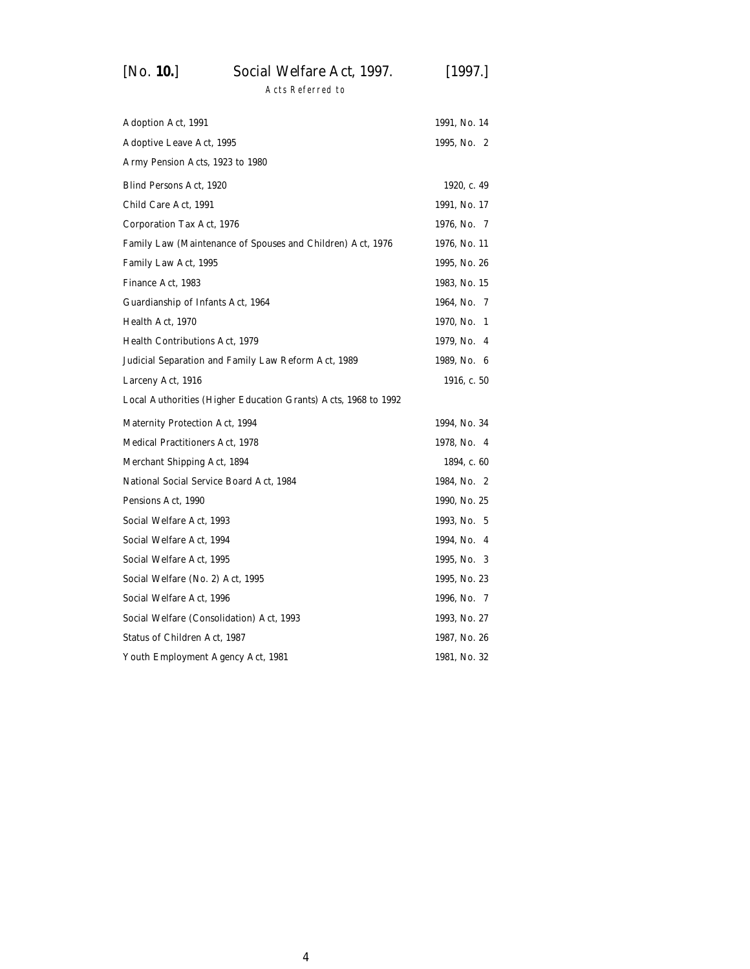# [*No.* **10.**] *Social Welfare Act,* 1997. [1997.]

Acts Referred to

| Adoption Act, 1991                                             | 1991, No. 14  |  |
|----------------------------------------------------------------|---------------|--|
| Adoptive Leave Act, 1995                                       | 1995, No. 2   |  |
| Army Pension Acts, 1923 to 1980                                |               |  |
| Blind Persons Act, 1920                                        | 1920, c. 49   |  |
| Child Care Act, 1991                                           | 1991, No. 17  |  |
| Corporation Tax Act, 1976                                      | 1976, No. 7   |  |
| Family Law (Maintenance of Spouses and Children) Act, 1976     | 1976, No. 11  |  |
| Family Law Act, 1995                                           | 1995, No. 26  |  |
| Finance Act, 1983                                              | 1983, No. 15  |  |
| Guardianship of Infants Act, 1964                              | 1964, No. 7   |  |
| Health Act, 1970                                               | 1970, No. 1   |  |
| Health Contributions Act, 1979                                 | 1979, No. 4   |  |
| Judicial Separation and Family Law Reform Act, 1989            | 1989, No. 6   |  |
| Larceny Act, 1916                                              | 1916, c. $50$ |  |
| Local Authorities (Higher Education Grants) Acts, 1968 to 1992 |               |  |
| Maternity Protection Act, 1994                                 | 1994, No. 34  |  |
| Medical Practitioners Act, 1978                                | 1978, No. 4   |  |
| Merchant Shipping Act, 1894                                    | 1894, c. 60   |  |
| National Social Service Board Act, 1984                        | 1984, No. 2   |  |
| Pensions Act, 1990                                             | 1990, No. 25  |  |
| Social Welfare Act, 1993                                       | 1993, No. 5   |  |
| Social Welfare Act, 1994                                       | 1994, No. 4   |  |
| Social Welfare Act, 1995                                       | 1995, No. 3   |  |
| Social Welfare (No. 2) Act, 1995                               | 1995, No. 23  |  |
| Social Welfare Act, 1996                                       | 1996, No. 7   |  |
| Social Welfare (Consolidation) Act, 1993                       | 1993, No. 27  |  |
| Status of Children Act, 1987                                   | 1987, No. 26  |  |
| Youth Employment Agency Act, 1981                              | 1981, No. 32  |  |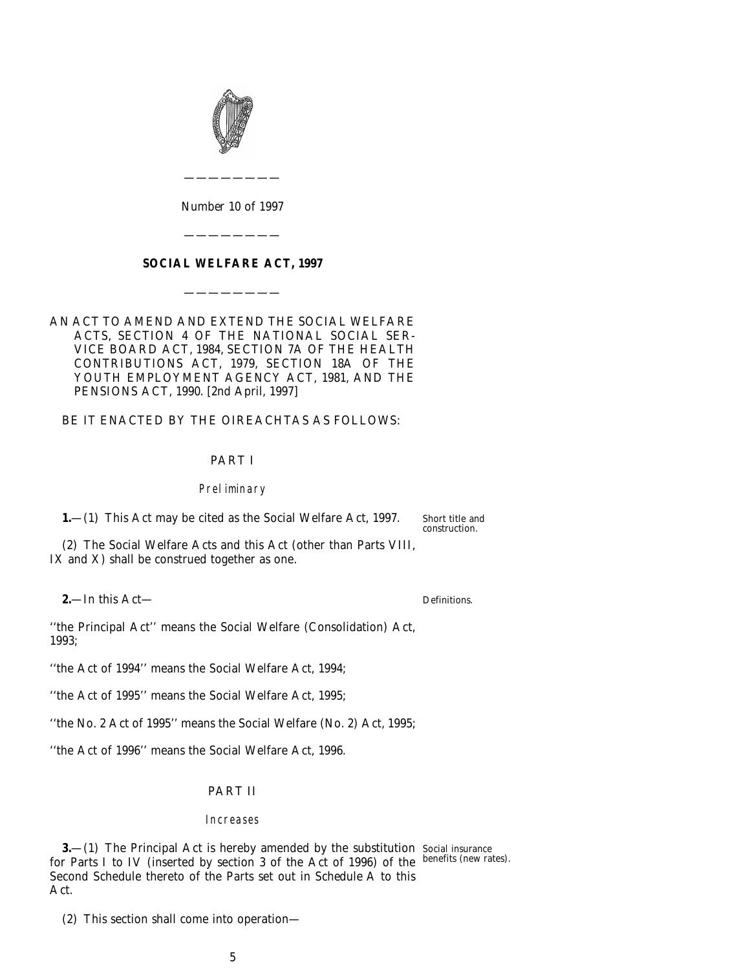<span id="page-4-0"></span>

*Number* 10 *of* 1997

————————

### **SOCIAL WELFARE ACT, 1997**

————————

————————

### AN ACT TO AMEND AND EXTEND THE SOCIAL WELFARE ACTS, SECTION 4 OF THE NATIONAL SOCIAL SER-VICE BOARD ACT, 1984, SECTION 7A OF THE HEALTH CONTRIBUTIONS ACT, 1979, SECTION 18A OF THE YOUTH EMPLOYMENT AGENCY ACT, 1981, AND THE PENSIONS ACT, 1990. [2*nd April*, 1997]

#### BE IT ENACTED BY THE OIREACHTAS AS FOLLOWS:

#### PART I

#### Preliminary

**1.**—(1) This Act may be cited as the Social Welfare Act, 1997.

Short title and construction.

(2) The Social Welfare Acts and this Act (other than Parts VIII, IX and X) shall be construed together as one.

**2.**—In this Act—

Definitions.

''the Principal Act'' means the Social Welfare (Consolidation) Act, 1993;

''the Act of 1994'' means the Social Welfare Act, 1994;

''the Act of 1995'' means the Social Welfare Act, 1995;

''the No. 2 Act of 1995'' means the Social Welfare (No. 2) Act, 1995;

''the Act of 1996'' means the Social Welfare Act, 1996.

### PART II

#### Increases

**3.**—(1) The Principal Act is hereby amended by the substitution Social insurance for Parts I to IV (inserted by section 3 of the Act of 1996) of the benefits (new rates). Second Schedule thereto of the Parts set out in *Schedule A* to this Act.

(2) This section shall come into operation—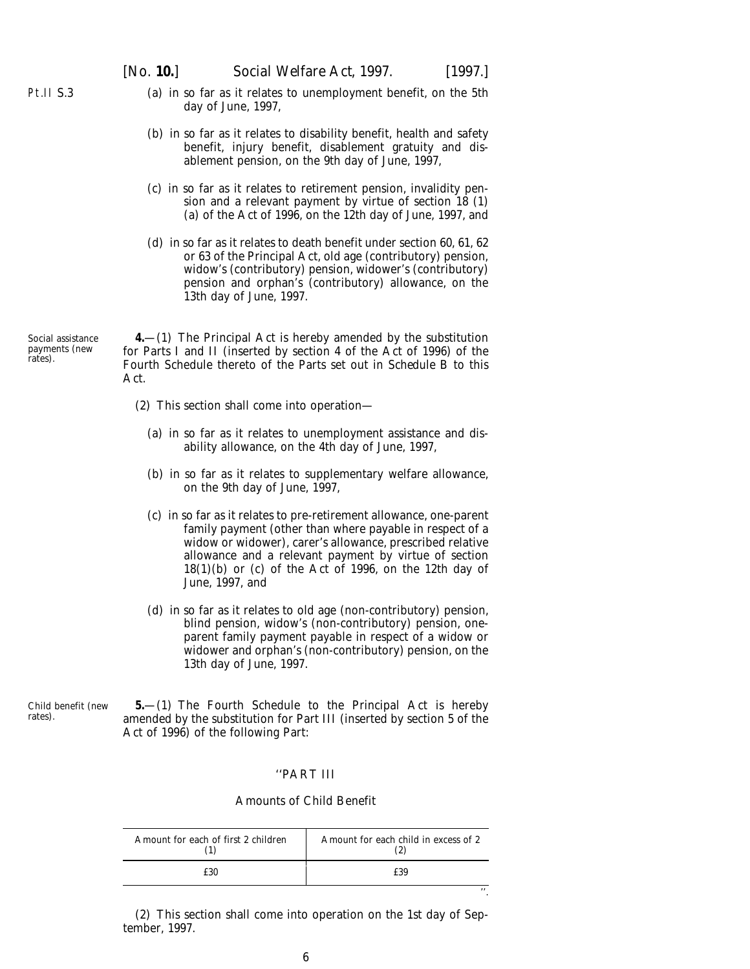''.

- <span id="page-5-0"></span>Pt.II S.3
- (*a*) in so far as it relates to unemployment benefit, on the 5th day of June, 1997,
- (*b*) in so far as it relates to disability benefit, health and safety benefit, injury benefit, disablement gratuity and disablement pension, on the 9th day of June, 1997,
- (*c*) in so far as it relates to retirement pension, invalidity pension and a relevant payment by virtue of section 18 (1) (*a*) of the Act of 1996, on the 12th day of June, 1997, and
- (*d*) in so far as it relates to death benefit under section 60, 61, 62 or 63 of the Principal Act, old age (contributory) pension, widow's (contributory) pension, widower's (contributory) pension and orphan's (contributory) allowance, on the 13th day of June, 1997.

Social assistance payments (new rates).

**4.**—(1) The Principal Act is hereby amended by the substitution for Parts I and II (inserted by section 4 of the Act of 1996) of the Fourth Schedule thereto of the Parts set out in *Schedule B* to this Act.

- (2) This section shall come into operation—
	- (*a*) in so far as it relates to unemployment assistance and disability allowance, on the 4th day of June, 1997,
	- (*b*) in so far as it relates to supplementary welfare allowance, on the 9th day of June, 1997,
	- (*c*) in so far as it relates to pre-retirement allowance, one-parent family payment (other than where payable in respect of a widow or widower), carer's allowance, prescribed relative allowance and a relevant payment by virtue of section 18(1)(*b*) or (*c*) of the Act of 1996, on the 12th day of June, 1997, and
	- (*d*) in so far as it relates to old age (non-contributory) pension, blind pension, widow's (non-contributory) pension, oneparent family payment payable in respect of a widow or widower and orphan's (non-contributory) pension, on the 13th day of June, 1997.

Child benefit (new rates).

**5.**—(1) The Fourth Schedule to the Principal Act is hereby amended by the substitution for Part III (inserted by section 5 of the Act of 1996) of the following Part:

### ''PART III

#### Amounts of Child Benefit

| Amount for each of first 2 children | Amount for each child in excess of 2 |
|-------------------------------------|--------------------------------------|
|                                     | £39                                  |

(2) This section shall come into operation on the 1st day of September, 1997.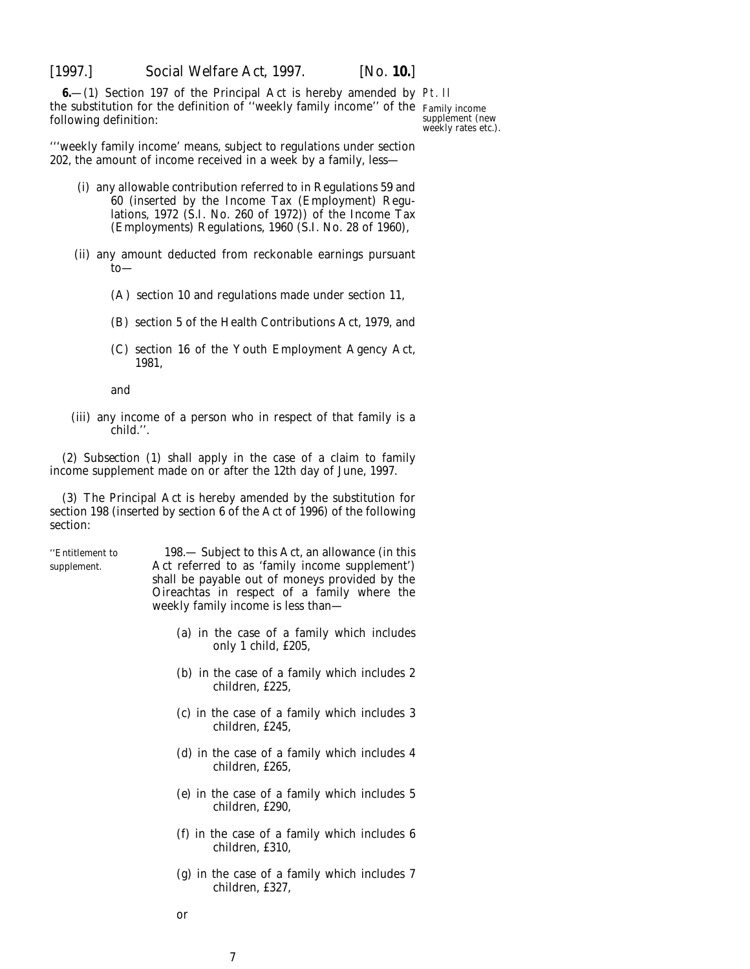<span id="page-6-0"></span>

**6.** (1) Section 197 of the Principal Act is hereby amended by Pt. II the substitution for the definition of ''weekly family income'' of the Family income following definition:

supplement (new weekly rates etc.).

'''weekly family income' means, subject to regulations under section 202, the amount of income received in a week by a family, less—

- (i) any allowable contribution referred to in Regulations 59 and 60 (inserted by the Income Tax (Employment) Regulations, 1972 (S.I. No. 260 of 1972)) of the Income Tax (Employments) Regulations, 1960 (S.I. No. 28 of 1960),
- (ii) any amount deducted from reckonable earnings pursuant to—
	- (A) section 10 and regulations made under section 11,
	- (B) section 5 of the Health Contributions Act, 1979, and
	- (C) section 16 of the Youth Employment Agency Act, 1981,

and

(iii) any income of a person who in respect of that family is a child.''.

(2) *Subsection (1)* shall apply in the case of a claim to family income supplement made on or after the 12th day of June, 1997.

(3) The Principal Act is hereby amended by the substitution for section 198 (inserted by section 6 of the Act of 1996) of the following section:

''Entitlement to 198.— Subject to this Act, an allowance (in this supplement. Act referred to as 'family income supplement') shall be payable out of moneys provided by the Oireachtas in respect of a family where the weekly family income is less than—

- (*a*) in the case of a family which includes only 1 child, £205,
- (*b*) in the case of a family which includes 2 children, £225,
- (*c*) in the case of a family which includes 3 children, £245,
- (*d*) in the case of a family which includes 4 children, £265,
- (*e*) in the case of a family which includes 5 children, £290,
- (*f*) in the case of a family which includes 6 children, £310,
- (*g*) in the case of a family which includes 7 children, £327,
- or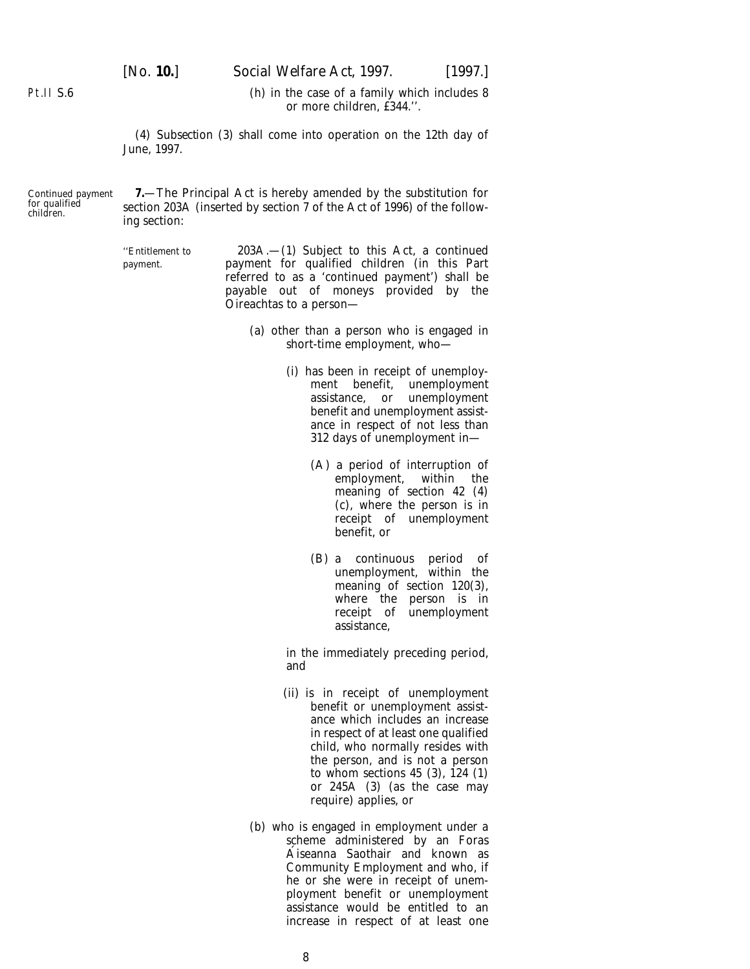[*No.* **10.**] *Social Welfare Act,* 1997. [1997.]

<span id="page-7-0"></span>Pt.II S.6

(*h*) in the case of a family which includes 8 or more children, £344.''.

(4) *Subsection (3)* shall come into operation on the 12th day of June, 1997.

Continued payment for qualified children.

**7.**—The Principal Act is hereby amended by the substitution for section 203A (inserted by section 7 of the Act of 1996) of the following section:

''Entitlement to 203A.—(1) Subject to this Act, a continued payment. payment for qualified children (in this Part referred to as a 'continued payment') shall be payable out of moneys provided by the Oireachtas to a person—

- (*a*) other than a person who is engaged in short-time employment, who—
	- (i) has been in receipt of unemploy-<br>ment benefit, unemployment unemployment assistance, or unemployment benefit and unemployment assistance in respect of not less than 312 days of unemployment in—
		- (A) a period of interruption of employment, within the meaning of section 42 (4) (*c*), where the person is in receipt of unemployment benefit, or
		- (B) a continuous period of unemployment, within the meaning of section 120(3), where the person is in receipt of unemployment assistance,

in the immediately preceding period, and

- (ii) is in receipt of unemployment benefit or unemployment assistance which includes an increase in respect of at least one qualified child, who normally resides with the person, and is not a person to whom sections  $45$  (3),  $124$  (1) or 245A (3) (as the case may require) applies, or
- (*b*) who is engaged in employment under a scheme administered by an Foras A´ iseanna Saothair and known as Community Employment and who, if he or she were in receipt of unemployment benefit or unemployment assistance would be entitled to an increase in respect of at least one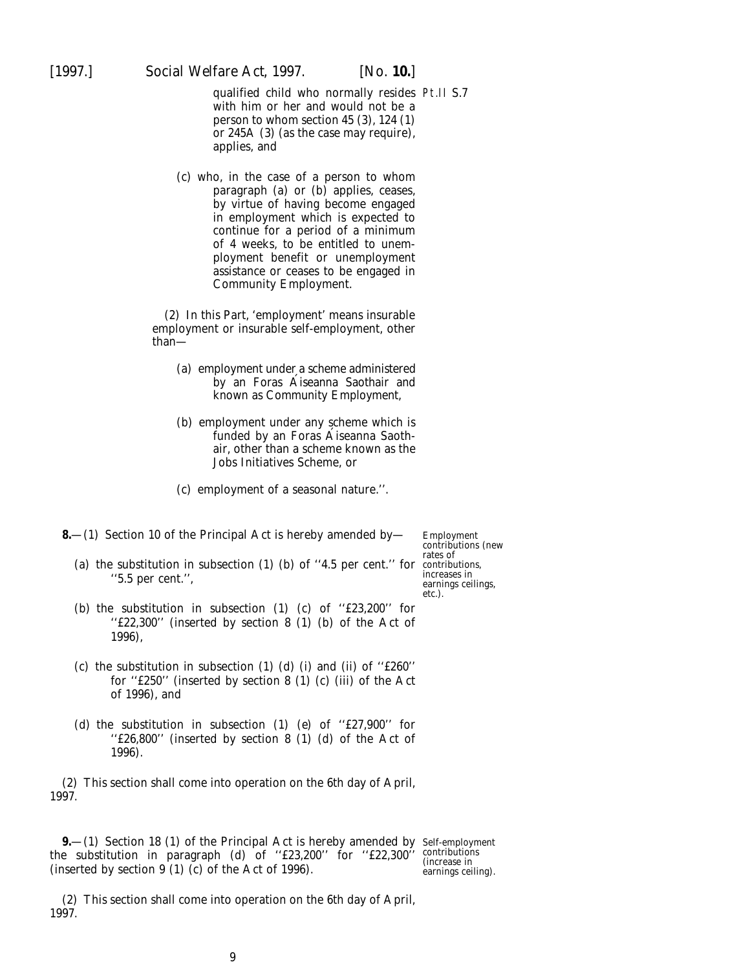- <span id="page-8-0"></span>qualified child who normally resides Pt.II S.7 with him or her and would not be a person to whom section 45 (3), 124 (1) or 245A (3) (as the case may require), applies, and
- (*c*) who, in the case of a person to whom paragraph (*a*) or (*b*) applies, ceases, by virtue of having become engaged in employment which is expected to continue for a period of a minimum of 4 weeks, to be entitled to unemployment benefit or unemployment assistance or ceases to be engaged in Community Employment.

(2) In this Part, 'employment' means insurable employment or insurable self-employment, other than—

- (*a*) employment under a scheme administered by an Foras Aiseanna Saothair and known as Community Employment,
- (*b*) employment under any scheme which is funded by an Foras Aiseanna Saothair, other than a scheme known as the Jobs Initiatives Scheme, or
- (*c*) employment of a seasonal nature.''.
- **8.**—(1) Section 10 of the Principal Act is hereby amended by—
	- (*a*) the substitution in subsection (1) (*b*) of ''4.5 per cent.'' for contributions, ''5.5 per cent.'',

Employment contributions (new rates of increases in earnings ceilings, etc.).

- (*b*) the substitution in subsection (1) (*c*) of ''£23,200'' for ''£22,300'' (inserted by section 8 (1) (*b*) of the Act of 1996),
- (*c*) the substitution in subsection (1) ( $d$ ) (i) and (ii) of "£260" for ''£250'' (inserted by section 8 (1) (*c*) (iii) of the Act of 1996), and
- (*d*) the substitution in subsection (1) (*e*) of ''£27,900'' for ''£26,800'' (inserted by section 8 (1) (*d*) of the Act of 1996).

(2) This section shall come into operation on the 6th day of April, 1997.

**9.**—(1) Section 18 (1) of the Principal Act is hereby amended by Self-employment the substitution in paragraph (*d*) of ''£23,200'' for ''£22,300'' (inserted by section 9 (1) (*c*) of the Act of 1996).

contributions (increase in earnings ceiling).

(2) This section shall come into operation on the 6th day of April, 1997.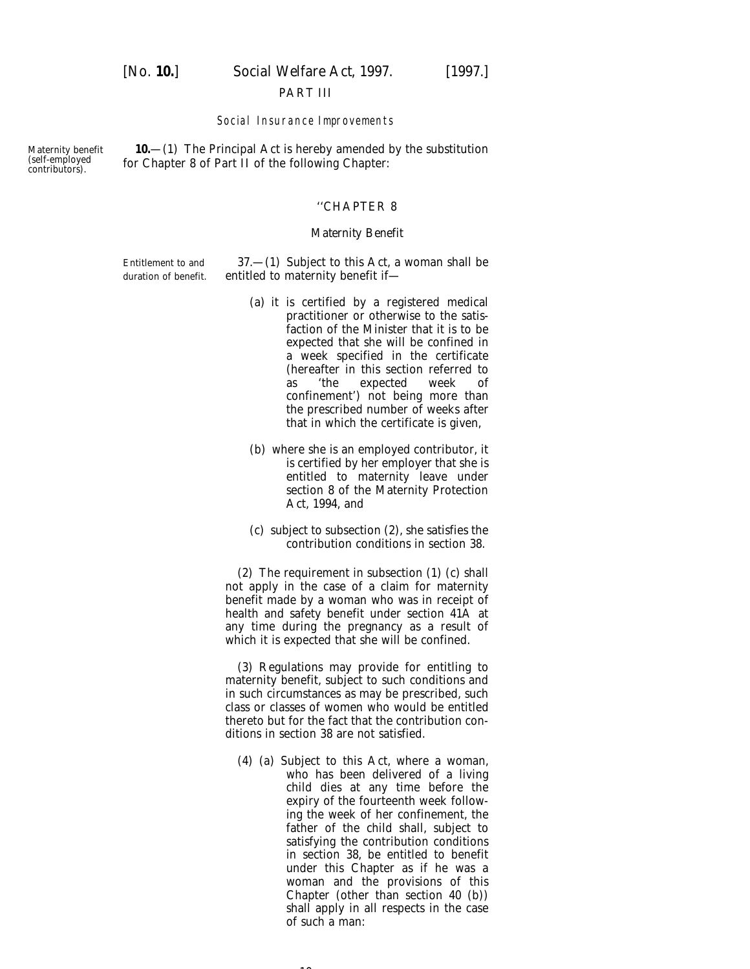#### PART III

#### Social Insurance Improvements

<span id="page-9-0"></span>Maternity benefit (self-employed contributors).

**10.**—(1) The Principal Act is hereby amended by the substitution for Chapter 8 of Part II of the following Chapter:

#### ''CHAPTER 8

#### *Maternity Benefit*

Entitlement to and  $37.-(1)$  Subject to this Act, a woman shall be duration of benefit. entitled to maternity benefit if-

- (*a*) it is certified by a registered medical practitioner or otherwise to the satisfaction of the Minister that it is to be expected that she will be confined in a week specified in the certificate (hereafter in this section referred to as 'the expected week of confinement') not being more than the prescribed number of weeks after that in which the certificate is given,
- (*b*) where she is an employed contributor, it is certified by her employer that she is entitled to maternity leave under section 8 of the Maternity Protection Act, 1994, and
- (*c*) subject to subsection (2), she satisfies the contribution conditions in section 38.

(2) The requirement in subsection (1) (*c*) shall not apply in the case of a claim for maternity benefit made by a woman who was in receipt of health and safety benefit under section 41A at any time during the pregnancy as a result of which it is expected that she will be confined.

(3) Regulations may provide for entitling to maternity benefit, subject to such conditions and in such circumstances as may be prescribed, such class or classes of women who would be entitled thereto but for the fact that the contribution conditions in section 38 are not satisfied.

(4) (*a*) Subject to this Act, where a woman, who has been delivered of a living child dies at any time before the expiry of the fourteenth week following the week of her confinement, the father of the child shall, subject to satisfying the contribution conditions in section 38, be entitled to benefit under this Chapter as if he was a woman and the provisions of this Chapter (other than section 40 (*b*)) shall apply in all respects in the case of such a man:

 $\sim$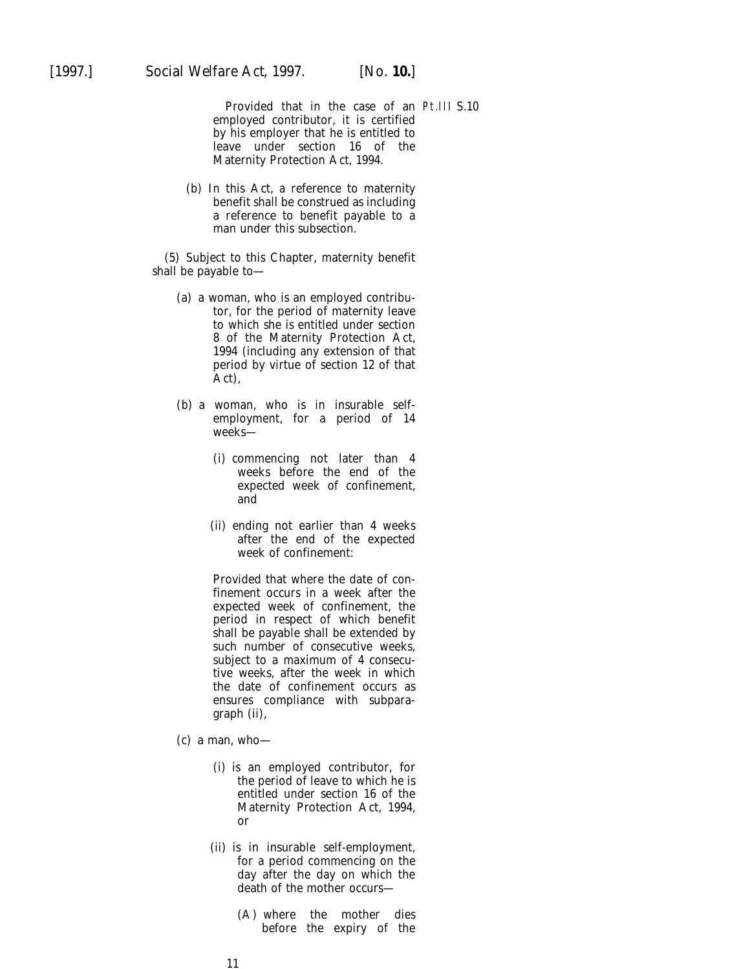Provided that in the case of an Pt.III S.10employed contributor, it is certified by his employer that he is entitled to leave under section 16 of the Maternity Protection Act, 1994.

(*b*) In this Act, a reference to maternity benefit shall be construed as including a reference to benefit payable to a man under this subsection.

(5) Subject to this Chapter, maternity benefit shall be payable to—

- (*a*) a woman, who is an employed contributor, for the period of maternity leave to which she is entitled under section 8 of the Maternity Protection Act, 1994 (including any extension of that period by virtue of section 12 of that Act),
- (*b*) a woman, who is in insurable selfemployment, for a period of 14 weeks—
	- (i) commencing not later than 4 weeks before the end of the expected week of confinement, and
	- (ii) ending not earlier than 4 weeks after the end of the expected week of confinement:

Provided that where the date of confinement occurs in a week after the expected week of confinement, the period in respect of which benefit shall be payable shall be extended by such number of consecutive weeks, subject to a maximum of 4 consecutive weeks, after the week in which the date of confinement occurs as ensures compliance with subparagraph (ii),

- $(c)$  a man, who-
	- (i) is an employed contributor, for the period of leave to which he is entitled under section 16 of the Maternity Protection Act, 1994, or
	- (ii) is in insurable self-employment, for a period commencing on the day after the day on which the death of the mother occurs—
		- (A) where the mother dies before the expiry of the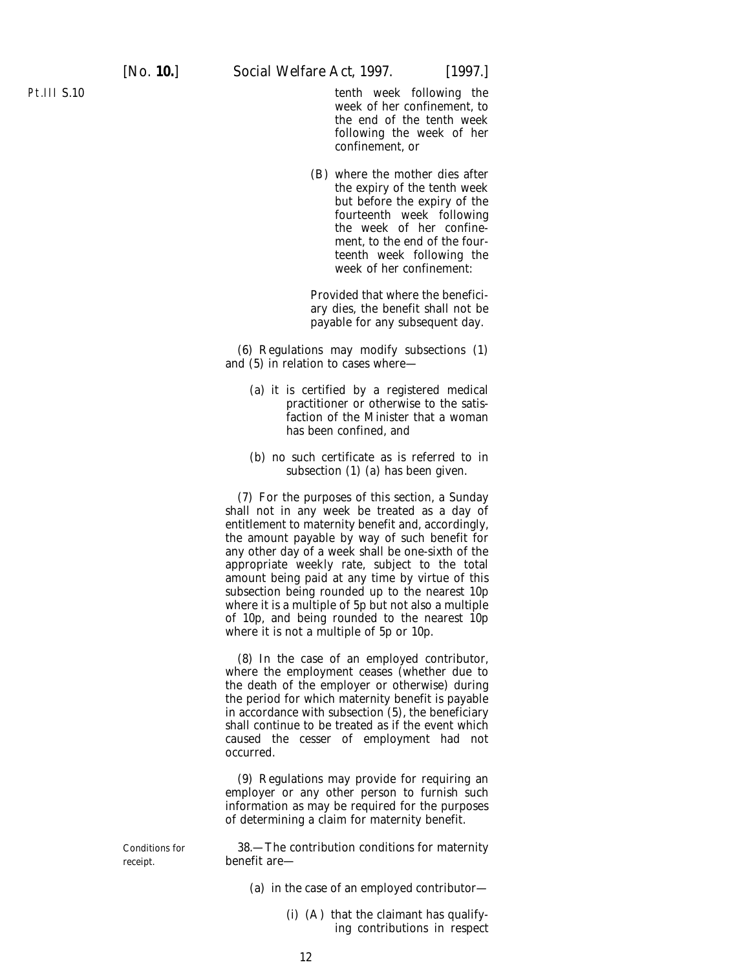tenth week following the week of her confinement, to the end of the tenth week following the week of her confinement, or

(B) where the mother dies after the expiry of the tenth week but before the expiry of the fourteenth week following the week of her confinement, to the end of the fourteenth week following the week of her confinement:

Provided that where the beneficiary dies, the benefit shall not be payable for any subsequent day.

(6) Regulations may modify subsections (1) and (5) in relation to cases where—

- (*a*) it is certified by a registered medical practitioner or otherwise to the satisfaction of the Minister that a woman has been confined, and
- (*b*) no such certificate as is referred to in subsection (1) (*a*) has been given.

(7) For the purposes of this section, a Sunday shall not in any week be treated as a day of entitlement to maternity benefit and, accordingly, the amount payable by way of such benefit for any other day of a week shall be one-sixth of the appropriate weekly rate, subject to the total amount being paid at any time by virtue of this subsection being rounded up to the nearest 10p where it is a multiple of 5p but not also a multiple of 10p, and being rounded to the nearest 10p where it is not a multiple of 5p or 10p.

(8) In the case of an employed contributor, where the employment ceases (whether due to the death of the employer or otherwise) during the period for which maternity benefit is payable in accordance with subsection (5), the beneficiary shall continue to be treated as if the event which caused the cesser of employment had not occurred.

(9) Regulations may provide for requiring an employer or any other person to furnish such information as may be required for the purposes of determining a claim for maternity benefit.

Conditions for 38.—The contribution conditions for maternity receipt. benefit are—

- (*a*) in the case of an employed contributor—
	- (i) (A) that the claimant has qualifying contributions in respect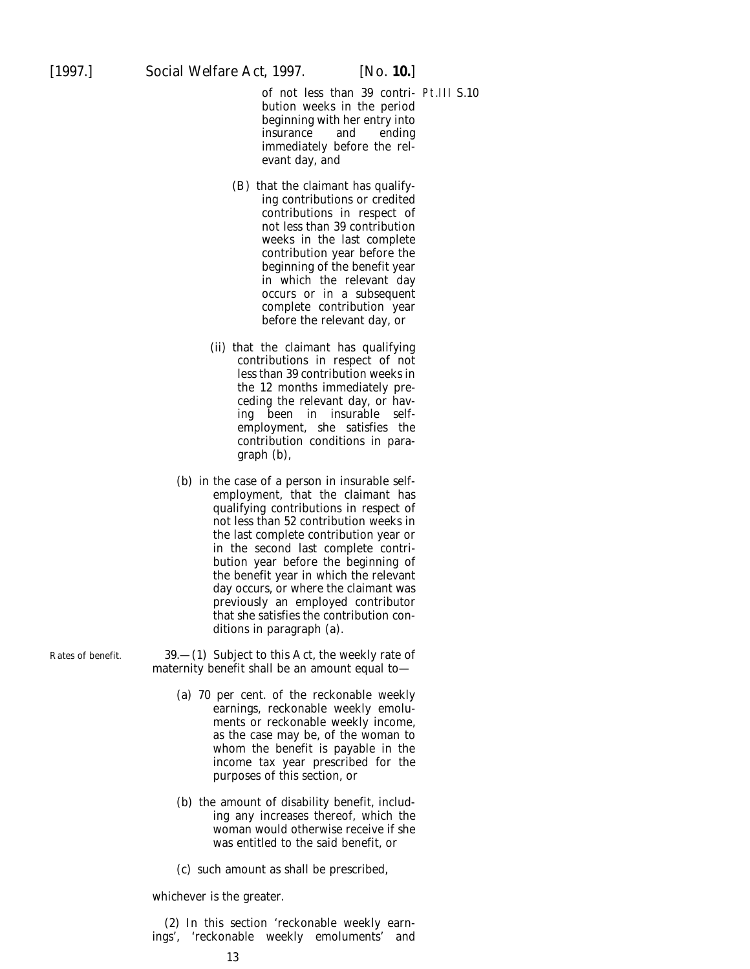of not less than 39 contri-Pt.III S.10bution weeks in the period beginning with her entry into<br>insurance and ending insurance and ending immediately before the relevant day, and

- (B) that the claimant has qualifying contributions or credited contributions in respect of not less than 39 contribution weeks in the last complete contribution year before the beginning of the benefit year in which the relevant day occurs or in a subsequent complete contribution year before the relevant day, or
- (ii) that the claimant has qualifying contributions in respect of not less than 39 contribution weeks in the 12 months immediately preceding the relevant day, or having been in insurable selfemployment, she satisfies the contribution conditions in paragraph (*b*),
- (*b*) in the case of a person in insurable selfemployment, that the claimant has qualifying contributions in respect of not less than 52 contribution weeks in the last complete contribution year or in the second last complete contribution year before the beginning of the benefit year in which the relevant day occurs, or where the claimant was previously an employed contributor that she satisfies the contribution conditions in paragraph (*a*).

Rates of benefit.  $39- (1)$  Subject to this Act, the weekly rate of maternity benefit shall be an amount equal to—

- (*a*) 70 per cent. of the reckonable weekly earnings, reckonable weekly emoluments or reckonable weekly income, as the case may be, of the woman to whom the benefit is payable in the income tax year prescribed for the purposes of this section, or
- (*b*) the amount of disability benefit, including any increases thereof, which the woman would otherwise receive if she was entitled to the said benefit, or
- (*c*) such amount as shall be prescribed,

whichever is the greater.

(2) In this section 'reckonable weekly earnings', 'reckonable weekly emoluments' and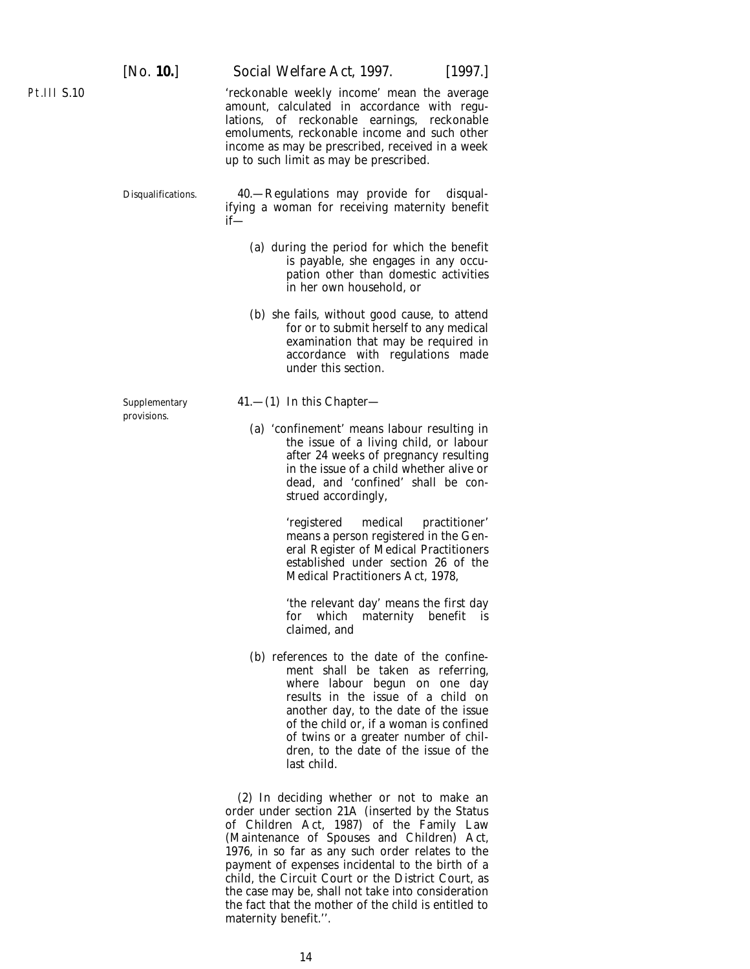Pt.III S.10

'reckonable weekly income' mean the average amount, calculated in accordance with regulations, of reckonable earnings, reckonable emoluments, reckonable income and such other income as may be prescribed, received in a week up to such limit as may be prescribed.

Disqualifications. 40.—Regulations may provide for disqualifying a woman for receiving maternity benefit if—

- (*a*) during the period for which the benefit is payable, she engages in any occupation other than domestic activities in her own household, or
- (*b*) she fails, without good cause, to attend for or to submit herself to any medical examination that may be required in accordance with regulations made under this section.

provisions.

- Supplementary 41.—(1) In this Chapter—
	- (*a*) 'confinement' means labour resulting in the issue of a living child, or labour after 24 weeks of pregnancy resulting in the issue of a child whether alive or dead, and 'confined' shall be construed accordingly,

'registered medical practitioner' means a person registered in the General Register of Medical Practitioners established under section 26 of the Medical Practitioners Act, 1978,

'the relevant day' means the first day for which maternity benefit is claimed, and

(*b*) references to the date of the confinement shall be taken as referring, where labour begun on one day results in the issue of a child on another day, to the date of the issue of the child or, if a woman is confined of twins or a greater number of children, to the date of the issue of the last child.

(2) In deciding whether or not to make an order under section 21A (inserted by the Status of Children Act, 1987) of the Family Law (Maintenance of Spouses and Children) Act, 1976, in so far as any such order relates to the payment of expenses incidental to the birth of a child, the Circuit Court or the District Court, as the case may be, shall not take into consideration the fact that the mother of the child is entitled to maternity benefit.''.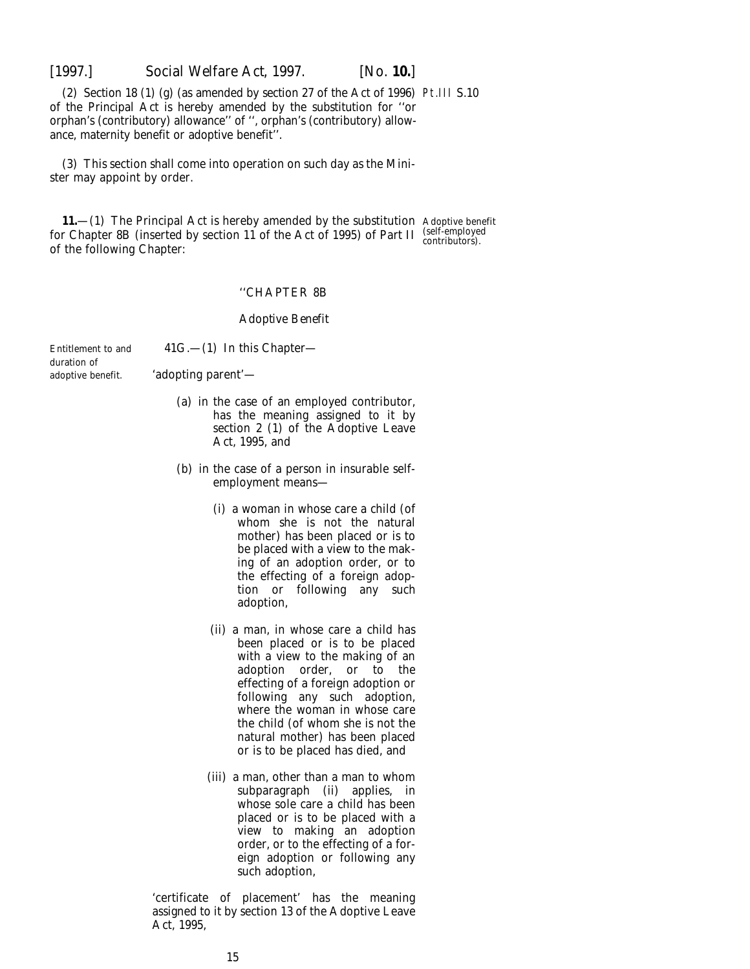<span id="page-14-0"></span>

(2) Section 18 (1) (*g*) (as amended by section 27 of the Act of 1996) Pt.III S.10 of the Principal Act is hereby amended by the substitution for ''or orphan's (contributory) allowance'' of '', orphan's (contributory) allowance, maternity benefit or adoptive benefit''.

(3) This section shall come into operation on such day as the Minister may appoint by order.

**11.**—(1) The Principal Act is hereby amended by the substitution Adoptive benefit for Chapter 8B (inserted by section 11 of the Act of 1995) of Part II (self-employed)<br>
contributors). of the following Chapter:

#### ''CHAPTER 8B

#### *Adoptive Benefit*

Entitlement to and  $41G$ .  $- (1)$  In this Chapterduration of

- adoptive benefit. 'adopting parent'—
	- (*a*) in the case of an employed contributor, has the meaning assigned to it by section 2 (1) of the Adoptive Leave Act, 1995, and
	- (*b*) in the case of a person in insurable selfemployment means—
		- (i) a woman in whose care a child (of whom she is not the natural mother) has been placed or is to be placed with a view to the making of an adoption order, or to the effecting of a foreign adoption or following any such adoption,
		- (ii) a man, in whose care a child has been placed or is to be placed with a view to the making of an adoption order, or to the effecting of a foreign adoption or following any such adoption, where the woman in whose care the child (of whom she is not the natural mother) has been placed or is to be placed has died, and
		- (iii) a man, other than a man to whom subparagraph (ii) applies, in whose sole care a child has been placed or is to be placed with a view to making an adoption order, or to the effecting of a foreign adoption or following any such adoption,

'certificate of placement' has the meaning assigned to it by section 13 of the Adoptive Leave Act, 1995,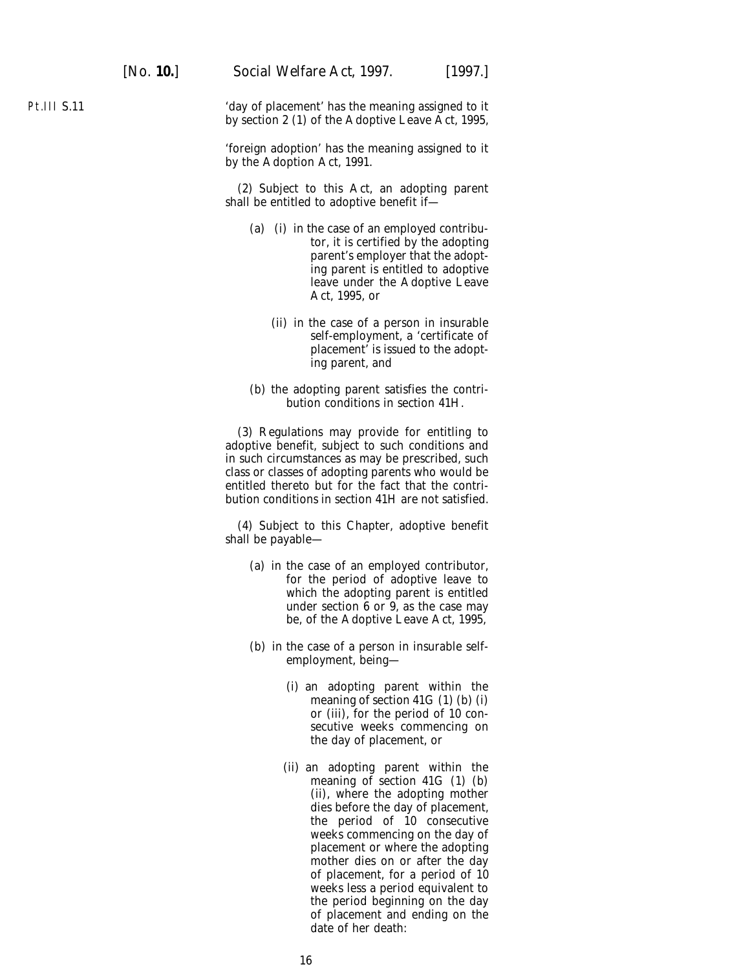Pt.III S.11

'day of placement' has the meaning assigned to it by section 2 (1) of the Adoptive Leave Act, 1995,

'foreign adoption' has the meaning assigned to it by the Adoption Act, 1991.

(2) Subject to this Act, an adopting parent shall be entitled to adoptive benefit if—

- (*a*) (i) in the case of an employed contributor, it is certified by the adopting parent's employer that the adopting parent is entitled to adoptive leave under the Adoptive Leave Act, 1995, or
	- (ii) in the case of a person in insurable self-employment, a 'certificate of placement' is issued to the adopting parent, and
- (*b*) the adopting parent satisfies the contribution conditions in section 41H.

(3) Regulations may provide for entitling to adoptive benefit, subject to such conditions and in such circumstances as may be prescribed, such class or classes of adopting parents who would be entitled thereto but for the fact that the contribution conditions in section 41H are not satisfied.

(4) Subject to this Chapter, adoptive benefit shall be payable—

- (*a*) in the case of an employed contributor, for the period of adoptive leave to which the adopting parent is entitled under section  $6$  or  $9$ , as the case may be, of the Adoptive Leave Act, 1995,
- (*b*) in the case of a person in insurable selfemployment, being—
	- (i) an adopting parent within the meaning of section 41G (1) (*b*) (i) or (iii), for the period of 10 consecutive weeks commencing on the day of placement, or
	- (ii) an adopting parent within the meaning of section 41G (1) (*b*) (ii), where the adopting mother dies before the day of placement, the period of 10 consecutive weeks commencing on the day of placement or where the adopting mother dies on or after the day of placement, for a period of 10 weeks less a period equivalent to the period beginning on the day of placement and ending on the date of her death: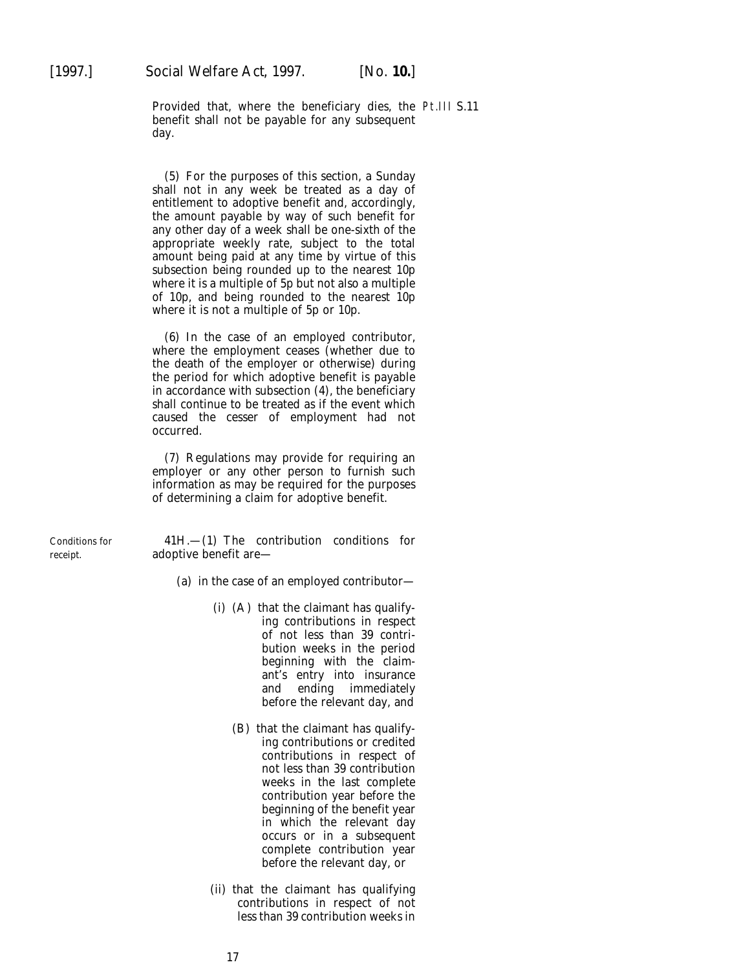Provided that, where the beneficiary dies, the Pt.III S.11benefit shall not be payable for any subsequent day.

(5) For the purposes of this section, a Sunday shall not in any week be treated as a day of entitlement to adoptive benefit and, accordingly, the amount payable by way of such benefit for any other day of a week shall be one-sixth of the appropriate weekly rate, subject to the total amount being paid at any time by virtue of this subsection being rounded up to the nearest 10p where it is a multiple of 5p but not also a multiple of 10p, and being rounded to the nearest 10p where it is not a multiple of 5p or 10p.

(6) In the case of an employed contributor, where the employment ceases (whether due to the death of the employer or otherwise) during the period for which adoptive benefit is payable in accordance with subsection (4), the beneficiary shall continue to be treated as if the event which caused the cesser of employment had not occurred.

(7) Regulations may provide for requiring an employer or any other person to furnish such information as may be required for the purposes of determining a claim for adoptive benefit.

Conditions for  $41H$ ,  $-(1)$  The contribution conditions for receipt. **adoptive benefit are—** 

(*a*) in the case of an employed contributor—

- (i) (A) that the claimant has qualifying contributions in respect of not less than 39 contribution weeks in the period beginning with the claimant's entry into insurance and ending immediately before the relevant day, and
	- (B) that the claimant has qualifying contributions or credited contributions in respect of not less than 39 contribution weeks in the last complete contribution year before the beginning of the benefit year in which the relevant day occurs or in a subsequent complete contribution year before the relevant day, or
- (ii) that the claimant has qualifying contributions in respect of not less than 39 contribution weeks in

17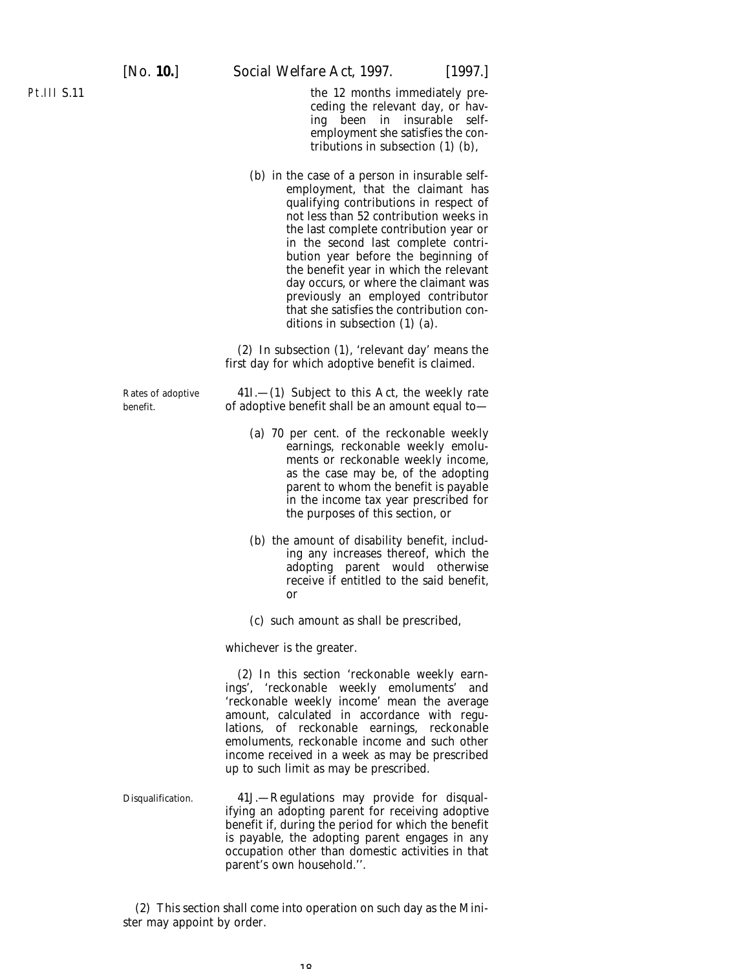the 12 months immediately preceding the relevant day, or having been in insurable selfemployment she satisfies the contributions in subsection (1) (*b*),

(*b*) in the case of a person in insurable selfemployment, that the claimant has qualifying contributions in respect of not less than 52 contribution weeks in the last complete contribution year or in the second last complete contribution year before the beginning of the benefit year in which the relevant day occurs, or where the claimant was previously an employed contributor that she satisfies the contribution conditions in subsection (1) (*a*).

(2) In subsection (1), 'relevant day' means the first day for which adoptive benefit is claimed.

Rates of adoptive  $41I$ .—(1) Subject to this Act, the weekly rate benefit. of adoptive benefit shall be an amount equal to—

- (*a*) 70 per cent. of the reckonable weekly earnings, reckonable weekly emoluments or reckonable weekly income, as the case may be, of the adopting parent to whom the benefit is payable in the income tax year prescribed for the purposes of this section, or
- (*b*) the amount of disability benefit, including any increases thereof, which the adopting parent would otherwise receive if entitled to the said benefit, or
- (*c*) such amount as shall be prescribed,

whichever is the greater.

(2) In this section 'reckonable weekly earnings', 'reckonable weekly emoluments' and 'reckonable weekly income' mean the average amount, calculated in accordance with regulations, of reckonable earnings, reckonable emoluments, reckonable income and such other income received in a week as may be prescribed up to such limit as may be prescribed.

Disqualification. 41J.—Regulations may provide for disqualifying an adopting parent for receiving adoptive benefit if, during the period for which the benefit is payable, the adopting parent engages in any occupation other than domestic activities in that parent's own household.''.

(2) This section shall come into operation on such day as the Minister may appoint by order.

10

Pt.III S.11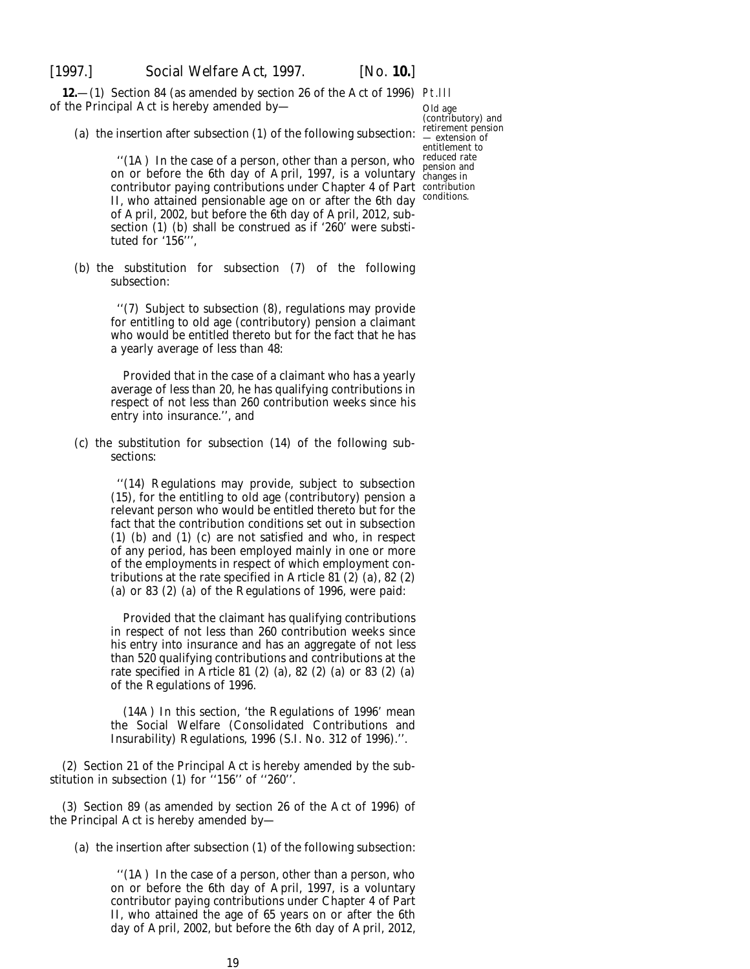<span id="page-18-0"></span>

**12.**—(1) Section 84 (as amended by section 26 of the Act of 1996) Pt.III of the Principal Act is hereby amended by—

Old age (contributory) and retirement pension extension of entitlement to pension and changes in

(*a*) the insertion after subsection (1) of the following subsection:

"(1A) In the case of a person, other than a person, who reduced rate on or before the 6th day of April, 1997, is a voluntary contributor paying contributions under Chapter 4 of Part contribution II, who attained pensionable age on or after the 6th day conditions. of April, 2002, but before the 6th day of April, 2012, subsection (1) (*b*) shall be construed as if '260' were substituted for '156''',

(*b*) the substitution for subsection (7) of the following subsection:

> ''(7) Subject to subsection (8), regulations may provide for entitling to old age (contributory) pension a claimant who would be entitled thereto but for the fact that he has a yearly average of less than 48:

> Provided that in the case of a claimant who has a yearly average of less than 20, he has qualifying contributions in respect of not less than 260 contribution weeks since his entry into insurance.'', and

(*c*) the substitution for subsection (14) of the following subsections:

> ''(14) Regulations may provide, subject to subsection (15), for the entitling to old age (contributory) pension a relevant person who would be entitled thereto but for the fact that the contribution conditions set out in subsection (1) (*b*) and (1) (*c*) are not satisfied and who, in respect of any period, has been employed mainly in one or more of the employments in respect of which employment contributions at the rate specified in Article 81 (2) (*a*), 82 (2) (*a*) or 83 (2) (*a*) of the Regulations of 1996, were paid:

> Provided that the claimant has qualifying contributions in respect of not less than 260 contribution weeks since his entry into insurance and has an aggregate of not less than 520 qualifying contributions and contributions at the rate specified in Article 81 (2) (*a*), 82 (2) (*a*) or 83 (2) (*a*) of the Regulations of 1996.

> (14A) In this section, 'the Regulations of 1996' mean the Social Welfare (Consolidated Contributions and Insurability) Regulations, 1996 (S.I. No. 312 of 1996).''.

(2) Section 21 of the Principal Act is hereby amended by the substitution in subsection (1) for ''156'' of ''260''.

(3) Section 89 (as amended by section 26 of the Act of 1996) of the Principal Act is hereby amended by—

(*a*) the insertion after subsection (1) of the following subsection:

''(1A) In the case of a person, other than a person, who on or before the 6th day of April, 1997, is a voluntary contributor paying contributions under Chapter 4 of Part II, who attained the age of 65 years on or after the 6th day of April, 2002, but before the 6th day of April, 2012,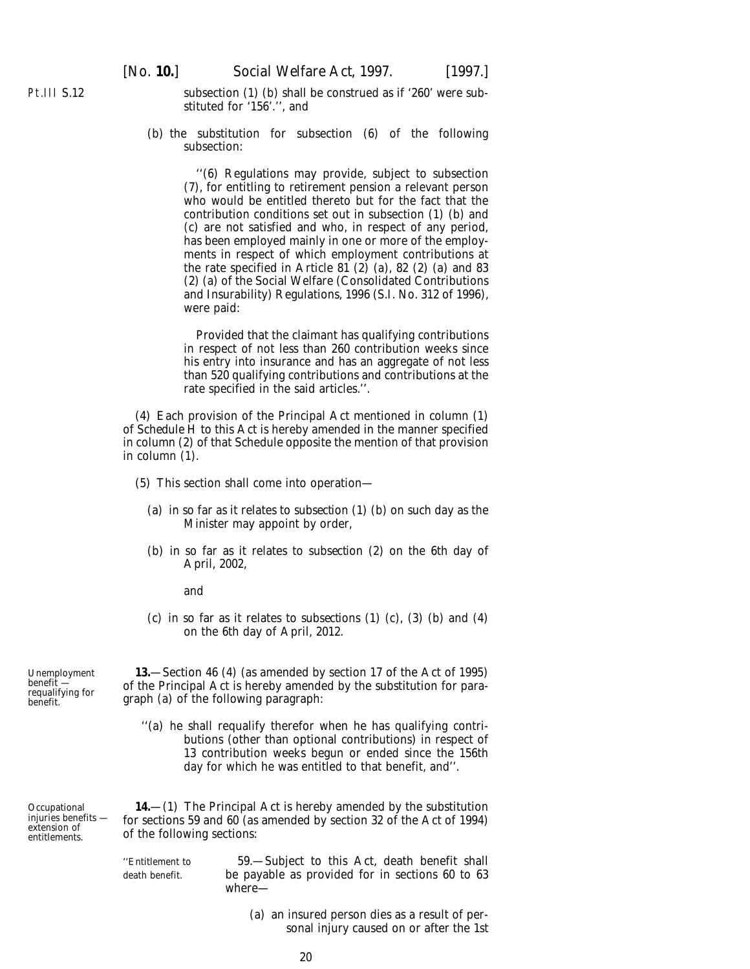<span id="page-19-0"></span>subsection (1) (*b*) shall be construed as if '260' were substituted for '156'.'', and

(*b*) the substitution for subsection (6) of the following subsection:

> ''(6) Regulations may provide, subject to subsection (7), for entitling to retirement pension a relevant person who would be entitled thereto but for the fact that the contribution conditions set out in subsection (1) (*b*) and (*c*) are not satisfied and who, in respect of any period, has been employed mainly in one or more of the employments in respect of which employment contributions at the rate specified in Article 81 (2) (*a*), 82 (2) (*a*) and 83 (2) (*a*) of the Social Welfare (Consolidated Contributions and Insurability) Regulations, 1996 (S.I. No. 312 of 1996), were paid:

> Provided that the claimant has qualifying contributions in respect of not less than 260 contribution weeks since his entry into insurance and has an aggregate of not less than 520 qualifying contributions and contributions at the rate specified in the said articles.''.

(4) Each provision of the Principal Act mentioned in *column (1)* of *Schedule H* to this Act is hereby amended in the manner specified in *column (2)* of that Schedule opposite the mention of that provision in *column (1)*.

- (5) This section shall come into operation—
	- (*a*) in so far as it relates to *subsection (1) (b)* on such day as the Minister may appoint by order,
	- (*b*) in so far as it relates to *subsection (2)* on the 6th day of April, 2002,

and

(*c*) in so far as it relates to *subsections (1) (c)*, *(3) (b)* and *(4)* on the 6th day of April, 2012.

**13.**—Section 46 (4) (as amended by section 17 of the Act of 1995) of the Principal Act is hereby amended by the substitution for paragraph (*a*) of the following paragraph:

''(*a*) he shall requalify therefor when he has qualifying contributions (other than optional contributions) in respect of 13 contribution weeks begun or ended since the 156th day for which he was entitled to that benefit, and''.

**14.**—(1) The Principal Act is hereby amended by the substitution for sections 59 and 60 (as amended by section 32 of the Act of 1994) of the following sections:

''Entitlement to 59.—Subject to this Act, death benefit shall death benefit. be payable as provided for in sections 60 to 63 where—

> (*a*) an insured person dies as a result of personal injury caused on or after the 1st

Unemployment benefit requalifying for benefit.

**Occupational** injuries benefits extension of entitlements.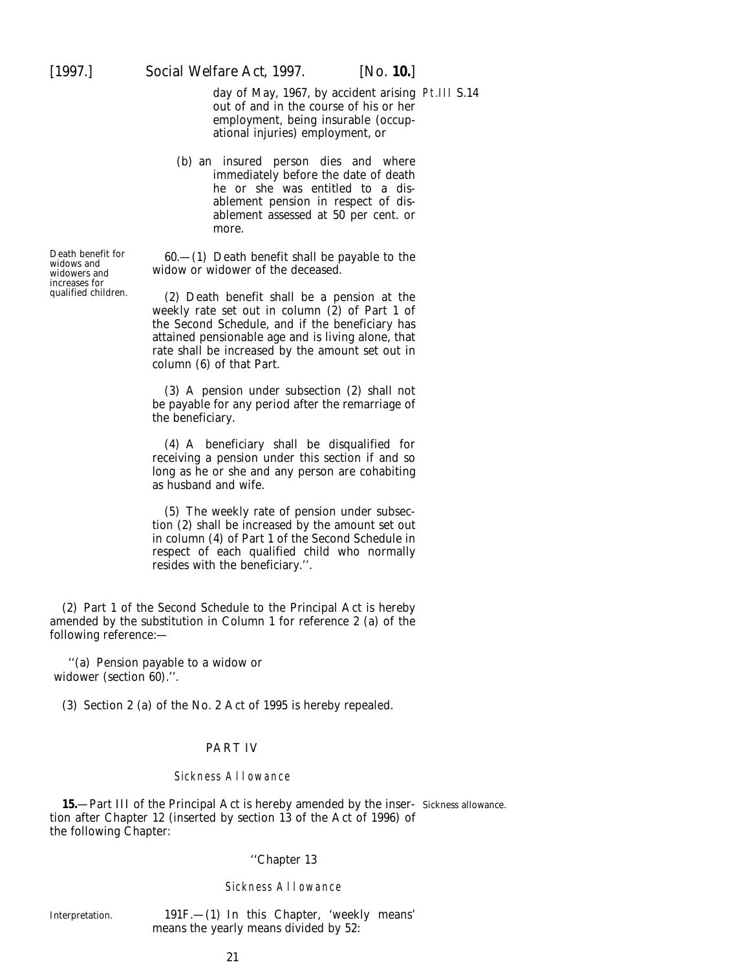<span id="page-20-0"></span>day of May, 1967, by accident arising Pt.III S.14 out of and in the course of his or her employment, being insurable (occupational injuries) employment, or

(*b*) an insured person dies and where immediately before the date of death he or she was entitled to a disablement pension in respect of disablement assessed at 50 per cent. or more.

Death benefit for 60.—(1) Death benefit shall be payable to the widows and widow or widower of the deceased. widow or widower of the deceased.

> $(2)$  Death benefit shall be a pension at the weekly rate set out in column  $(2)$  of Part 1 of the Second Schedule, and if the beneficiary has attained pensionable age and is living alone, that rate shall be increased by the amount set out in column (6) of that Part.

> (3) A pension under subsection (2) shall not be payable for any period after the remarriage of the beneficiary.

> (4) A beneficiary shall be disqualified for receiving a pension under this section if and so long as he or she and any person are cohabiting as husband and wife.

> (5) The weekly rate of pension under subsection (2) shall be increased by the amount set out in column (4) of Part 1 of the Second Schedule in respect of each qualified child who normally resides with the beneficiary.''.

(2) Part 1 of the Second Schedule to the Principal Act is hereby amended by the substitution in Column 1 for reference 2 (*a*) of the following reference:—

''(*a*) Pension payable to a widow or widower (section 60).''.

(3) Section 2 (*a*) of the No. 2 Act of 1995 is hereby repealed.

### PART IV

#### Sickness Allowance

**15.**—Part III of the Principal Act is hereby amended by the inser-Sickness allowance.tion after Chapter 12 (inserted by section 13 of the Act of 1996) of the following Chapter:

#### ''Chapter 13

#### Sickness Allowance

Interpretation. 191F.—(1) In this Chapter, 'weekly means' means the yearly means divided by 52:

increases for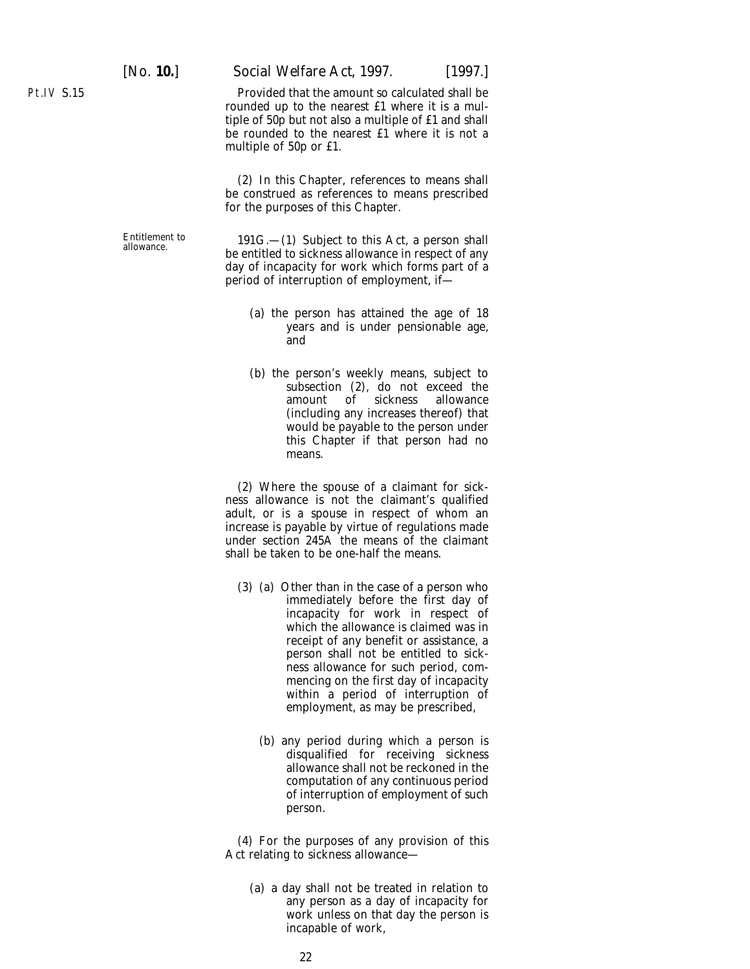[*No.* **10.**] *Social Welfare Act,* 1997. [1997.]

Provided that the amount so calculated shall be rounded up to the nearest £1 where it is a multiple of 50p but not also a multiple of £1 and shall be rounded to the nearest £1 where it is not a multiple of 50p or £1.

(2) In this Chapter, references to means shall be construed as references to means prescribed for the purposes of this Chapter.

Entitlement to 191G.—(1) Subject to this Act, a person shall allowance.<br>be entitled to sickness allowance in respect of any day of incapacity for work which forms part of a period of interruption of employment, if—

- (*a*) the person has attained the age of 18 years and is under pensionable age, and
- (*b*) the person's weekly means, subject to subsection (2), do not exceed the amount of sickness allowance (including any increases thereof) that would be payable to the person under this Chapter if that person had no means.

(2) Where the spouse of a claimant for sickness allowance is not the claimant's qualified adult, or is a spouse in respect of whom an increase is payable by virtue of regulations made under section 245A the means of the claimant shall be taken to be one-half the means.

- (3) (*a*) Other than in the case of a person who immediately before the first day of incapacity for work in respect of which the allowance is claimed was in receipt of any benefit or assistance, a person shall not be entitled to sickness allowance for such period, commencing on the first day of incapacity within a period of interruption of employment, as may be prescribed,
	- (*b*) any period during which a person is disqualified for receiving sickness allowance shall not be reckoned in the computation of any continuous period of interruption of employment of such person.

(4) For the purposes of any provision of this Act relating to sickness allowance—

(*a*) a day shall not be treated in relation to any person as a day of incapacity for work unless on that day the person is incapable of work,

Pt.IV S.15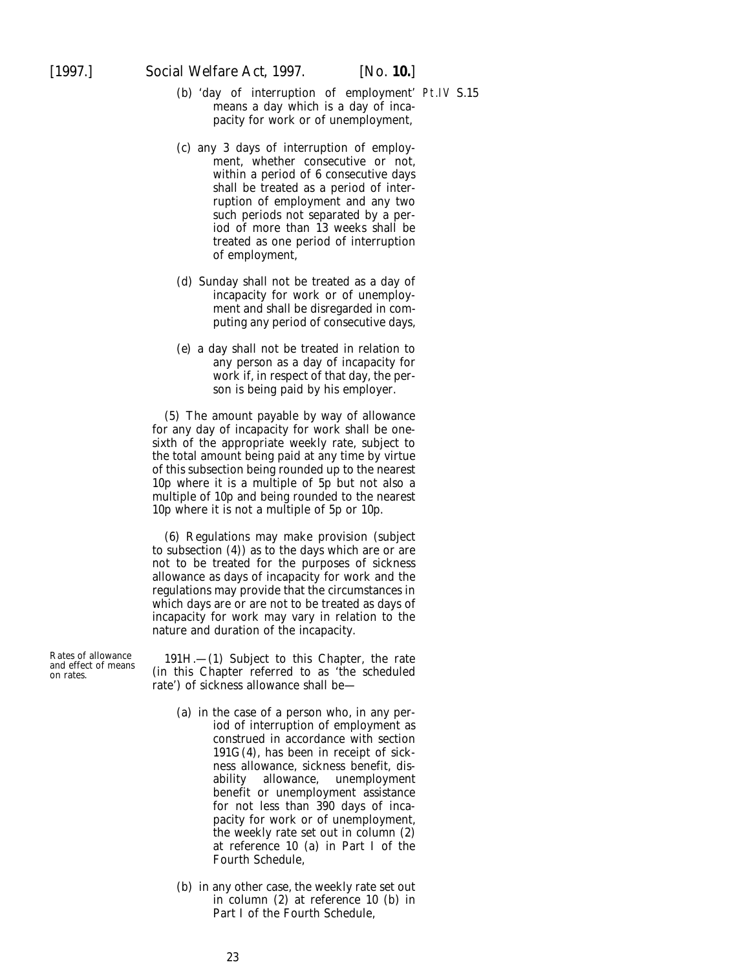- (*b*) 'day of interruption of employment' Pt.IV S.15means a day which is a day of incapacity for work or of unemployment,
- (*c*) any 3 days of interruption of employment, whether consecutive or not, within a period of 6 consecutive days shall be treated as a period of interruption of employment and any two such periods not separated by a period of more than 13 weeks shall be treated as one period of interruption of employment,
- (*d*) Sunday shall not be treated as a day of incapacity for work or of unemployment and shall be disregarded in computing any period of consecutive days,
- (*e*) a day shall not be treated in relation to any person as a day of incapacity for work if, in respect of that day, the person is being paid by his employer.

(5) The amount payable by way of allowance for any day of incapacity for work shall be onesixth of the appropriate weekly rate, subject to the total amount being paid at any time by virtue of this subsection being rounded up to the nearest 10p where it is a multiple of 5p but not also a multiple of 10p and being rounded to the nearest 10p where it is not a multiple of 5p or 10p.

(6) Regulations may make provision (subject to subsection (4)) as to the days which are or are not to be treated for the purposes of sickness allowance as days of incapacity for work and the regulations may provide that the circumstances in which days are or are not to be treated as days of incapacity for work may vary in relation to the nature and duration of the incapacity.

Rates of allowance 191H.—(1) Subject to this Chapter, the rate and effect of means on rates. (in this Chapter referred to as 'the scheduled rate') of sickness allowance shall be—

- (*a*) in the case of a person who, in any period of interruption of employment as construed in accordance with section  $191G(4)$ , has been in receipt of sickness allowance, sickness benefit, disability allowance, unemployment benefit or unemployment assistance for not less than 390 days of incapacity for work or of unemployment, the weekly rate set out in column (2) at reference 10 (*a*) in Part I of the Fourth Schedule,
- (*b*) in any other case, the weekly rate set out in column (2) at reference 10 (*b*) in Part I of the Fourth Schedule,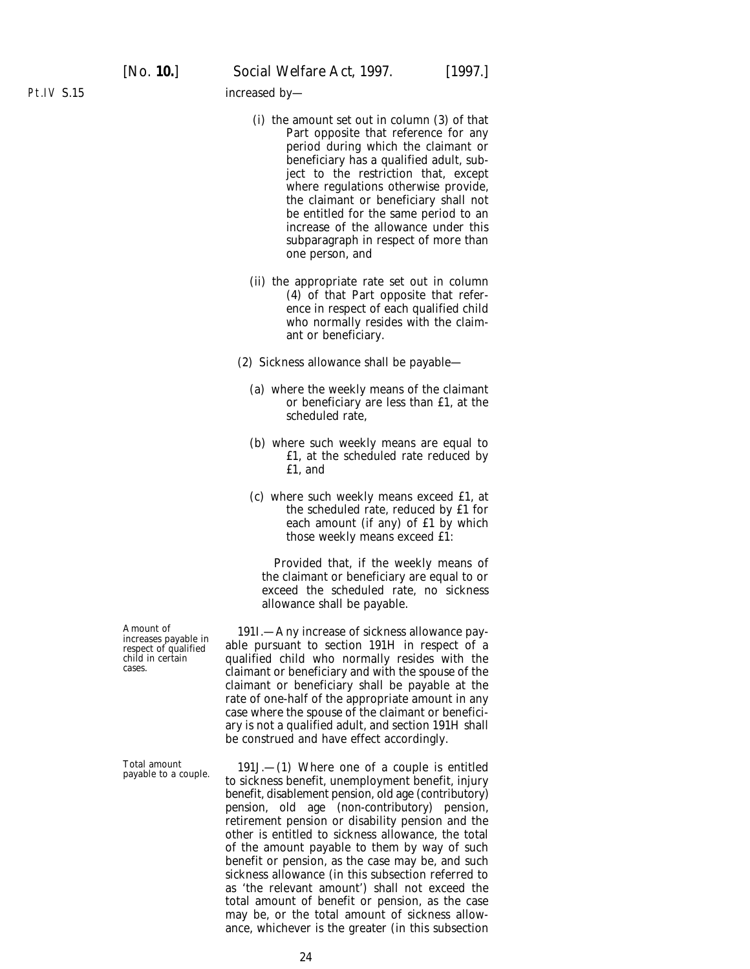increased by—

- (i) the amount set out in column (3) of that Part opposite that reference for any period during which the claimant or beneficiary has a qualified adult, subject to the restriction that, except where regulations otherwise provide, the claimant or beneficiary shall not be entitled for the same period to an increase of the allowance under this subparagraph in respect of more than one person, and
- (ii) the appropriate rate set out in column (4) of that Part opposite that reference in respect of each qualified child who normally resides with the claimant or beneficiary.
- (2) Sickness allowance shall be payable—
	- (*a*) where the weekly means of the claimant or beneficiary are less than £1, at the scheduled rate,
	- (*b*) where such weekly means are equal to £1, at the scheduled rate reduced by £1, and
	- (*c*) where such weekly means exceed £1, at the scheduled rate, reduced by £1 for each amount (if any) of £1 by which those weekly means exceed £1:

Provided that, if the weekly means of the claimant or beneficiary are equal to or exceed the scheduled rate, no sickness allowance shall be payable.

Amount of 1911.—Any increase of sickness allowance pay-<br>respect of qualified able pursuant to section 191H in respect of a mereases payable in a able pursuant to section 191H in respect of a child in certain qualified child who normally resides with the cases. claim child child cases. claim child who normally residence with the spouse of the claimant or beneficiary shall be payable at the rate of one-half of the appropriate amount in any case where the spouse of the claimant or beneficiary is not a qualified adult, and section 191H shall be construed and have effect accordingly.

Total amount 191J.—(1) Where one of a couple is entitled payable to a couple. to sickness benefit, unemployment benefit, injury benefit, disablement pension, old age (contributory) pension, old age (non-contributory) pension, retirement pension or disability pension and the other is entitled to sickness allowance, the total of the amount payable to them by way of such benefit or pension, as the case may be, and such sickness allowance (in this subsection referred to as 'the relevant amount') shall not exceed the total amount of benefit or pension, as the case may be, or the total amount of sickness allowance, whichever is the greater (in this subsection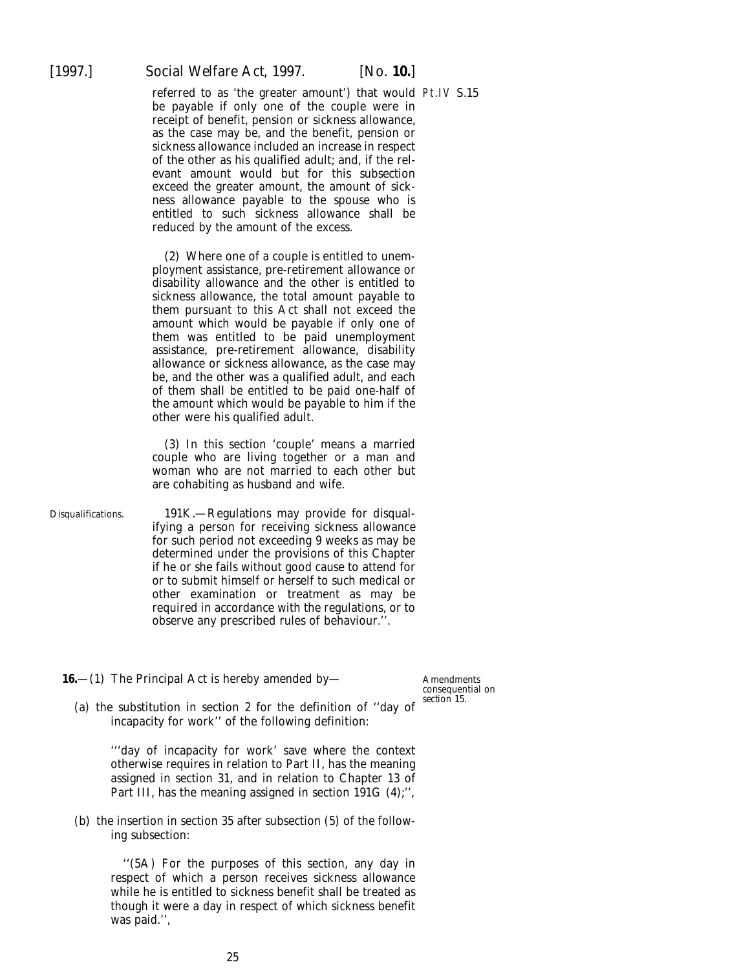<span id="page-24-0"></span>

referred to as 'the greater amount') that would Pt.IV S.15 be payable if only one of the couple were in receipt of benefit, pension or sickness allowance, as the case may be, and the benefit, pension or sickness allowance included an increase in respect of the other as his qualified adult; and, if the relevant amount would but for this subsection exceed the greater amount, the amount of sickness allowance payable to the spouse who is entitled to such sickness allowance shall be reduced by the amount of the excess.

(2) Where one of a couple is entitled to unemployment assistance, pre-retirement allowance or disability allowance and the other is entitled to sickness allowance, the total amount payable to them pursuant to this Act shall not exceed the amount which would be payable if only one of them was entitled to be paid unemployment assistance, pre-retirement allowance, disability allowance or sickness allowance, as the case may be, and the other was a qualified adult, and each of them shall be entitled to be paid one-half of the amount which would be payable to him if the other were his qualified adult.

(3) In this section 'couple' means a married couple who are living together or a man and woman who are not married to each other but are cohabiting as husband and wife.

Disqualifications. 191K.—Regulations may provide for disqualifying a person for receiving sickness allowance for such period not exceeding 9 weeks as may be determined under the provisions of this Chapter if he or she fails without good cause to attend for or to submit himself or herself to such medical or other examination or treatment as may be required in accordance with the regulations, or to observe any prescribed rules of behaviour.''.

**16.**—(1) The Principal Act is hereby amended by—

Amendments consequential on *section 15*.

(*a*) the substitution in section 2 for the definition of ''day of incapacity for work'' of the following definition:

> '''day of incapacity for work' save where the context otherwise requires in relation to Part II, has the meaning assigned in section 31, and in relation to Chapter 13 of Part III, has the meaning assigned in section 191G (4);'',

(*b*) the insertion in section 35 after subsection (5) of the following subsection:

> ''(5A) For the purposes of this section, any day in respect of which a person receives sickness allowance while he is entitled to sickness benefit shall be treated as though it were a day in respect of which sickness benefit was paid.'',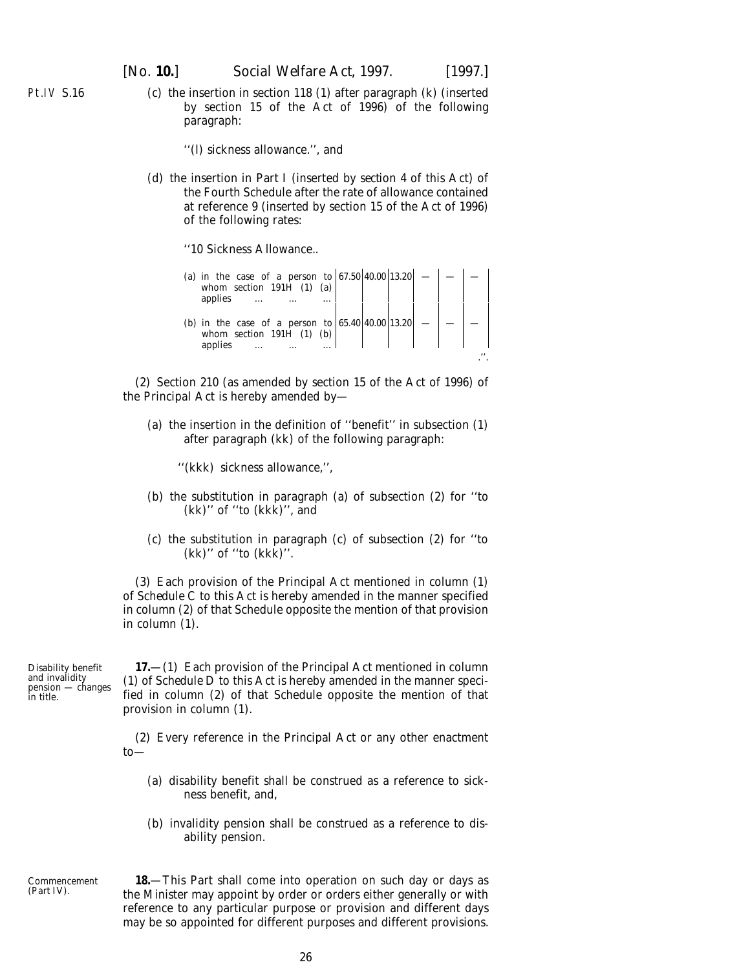<span id="page-25-0"></span>Pt.IV S.16

(*c*) the insertion in section 118 (1) after paragraph (*k*) (inserted by section 15 of the Act of 1996) of the following paragraph:

''(*l*) sickness allowance.'', and

(*d*) the insertion in Part I (inserted by *section 4* of this Act) of the Fourth Schedule after the rate of allowance contained at reference 9 (inserted by section 15 of the Act of 1996) of the following rates:

''10 Sickness Allowance..

| (a) in the case of a person to $ 67.50 40.00 13.20 $ —<br>whom section 191H $(1)$ $(a)$<br>applies    |  |  |
|-------------------------------------------------------------------------------------------------------|--|--|
| (b) in the case of a person to $ 65.40 40.00 13.20 $<br>whom section $191\overline{H}$ (1)<br>applies |  |  |

(2) Section 210 (as amended by section 15 of the Act of 1996) of the Principal Act is hereby amended by—

(*a*) the insertion in the definition of ''benefit'' in subsection (1) after paragraph (*kk*) of the following paragraph:

''(*kkk*) sickness allowance,'',

- (*b*) the substitution in paragraph (*a*) of subsection (2) for ''to (*kk*)'' of ''to (*kkk*)'', and
- (*c*) the substitution in paragraph (*c*) of subsection (2) for ''to (*kk*)'' of ''to (*kkk*)''.

(3) Each provision of the Principal Act mentioned in *column (1)* of *Schedule C* to this Act is hereby amended in the manner specified in *column (2)* of that Schedule opposite the mention of that provision in *column (1)*.

Disability benefit and invalidity pension — changes in title.

**17.**—(1) Each provision of the Principal Act mentioned in *column (1)* of *Schedule D* to this Act is hereby amended in the manner specified in *column (2)* of that Schedule opposite the mention of that provision in *column (1)*.

(2) Every reference in the Principal Act or any other enactment to—

- (*a*) disability benefit shall be construed as a reference to sickness benefit, and,
- (*b*) invalidity pension shall be construed as a reference to disability pension.

Commencement (*Part IV*).

**18.**—This Part shall come into operation on such day or days as the Minister may appoint by order or orders either generally or with reference to any particular purpose or provision and different days may be so appointed for different purposes and different provisions.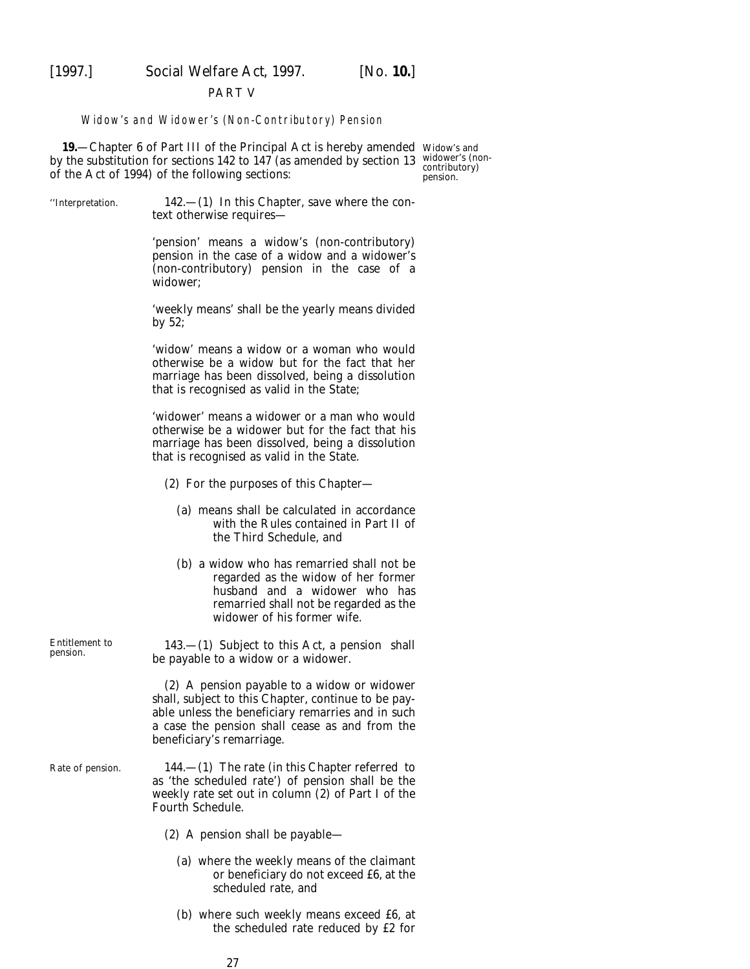<span id="page-26-0"></span>

#### PART V

#### Widow's and Widower's (Non-Contributory) Pension

**19.**—Chapter 6 of Part III of the Principal Act is hereby amended Widow's and by the substitution for sections 142 to 147 (as amended by section 13 widower's (nonof the Act of 1994) of the following sections:

contributory) pension.

"Interpretation.  $142$ —(1) In this Chapter, save where the context otherwise requires— 'pension' means a widow's (non-contributory) pension in the case of a widow and a widower's (non-contributory) pension in the case of a widower; 'weekly means' shall be the yearly means divided by 52; 'widow' means a widow or a woman who would otherwise be a widow but for the fact that her marriage has been dissolved, being a dissolution that is recognised as valid in the State; 'widower' means a widower or a man who would otherwise be a widower but for the fact that his marriage has been dissolved, being a dissolution that is recognised as valid in the State. (2) For the purposes of this Chapter— (*a*) means shall be calculated in accordance with the Rules contained in Part II of the Third Schedule, and (*b*) a widow who has remarried shall not be regarded as the widow of her former husband and a widower who has remarried shall not be regarded as the widower of his former wife. Entitlement to 143.—(1) Subject to this Act, a pension shall be payable to a widow or a widower. (2) A pension payable to a widow or widower shall, subject to this Chapter, continue to be payable unless the beneficiary remarries and in such a case the pension shall cease as and from the beneficiary's remarriage.

Rate of pension.  $144.$ —(1) The rate (in this Chapter referred to as 'the scheduled rate') of pension shall be the weekly rate set out in column (2) of Part I of the Fourth Schedule.

- (2) A pension shall be payable—
	- (*a*) where the weekly means of the claimant or beneficiary do not exceed £6, at the scheduled rate, and
	- (*b*) where such weekly means exceed £6, at the scheduled rate reduced by £2 for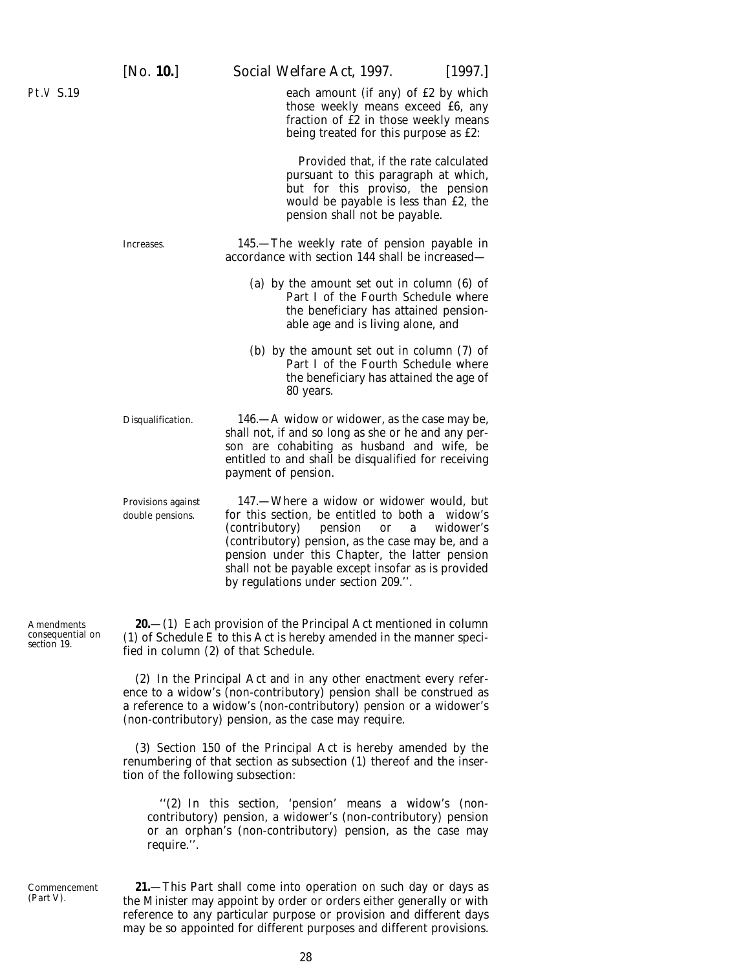<span id="page-27-0"></span>Pt.V S.19

each amount (if any) of £2 by which those weekly means exceed £6, any fraction of  $\tilde{f}2$  in those weekly means being treated for this purpose as £2:

Provided that, if the rate calculated pursuant to this paragraph at which, but for this proviso, the pension would be payable is less than £2, the pension shall not be payable.

Increases. 145.—The weekly rate of pension payable in accordance with section 144 shall be increased—

- (*a*) by the amount set out in column (6) of Part I of the Fourth Schedule where the beneficiary has attained pensionable age and is living alone, and
- (*b*) by the amount set out in column (7) of Part I of the Fourth Schedule where the beneficiary has attained the age of 80 years.

Disqualification. 146.—A widow or widower, as the case may be, shall not, if and so long as she or he and any person are cohabiting as husband and wife, be entitled to and shall be disqualified for receiving payment of pension.

Provisions against 147.—Where a widow or widower would, but double pensions. for this section, be entitled to both a widow's (contributory) pension or a widower's (contributory) pension, as the case may be, and a pension under this Chapter, the latter pension shall not be payable except insofar as is provided by regulations under section 209.''.

**20.**—(1) Each provision of the Principal Act mentioned in *column (1)* of *Schedule E* to this Act is hereby amended in the manner specified in *column (2)* of that Schedule.

(2) In the Principal Act and in any other enactment every reference to a widow's (non-contributory) pension shall be construed as a reference to a widow's (non-contributory) pension or a widower's (non-contributory) pension, as the case may require.

(3) Section 150 of the Principal Act is hereby amended by the renumbering of that section as subsection (1) thereof and the insertion of the following subsection:

''(2) In this section, 'pension' means a widow's (noncontributory) pension, a widower's (non-contributory) pension or an orphan's (non-contributory) pension, as the case may require.''.

**21.**—This Part shall come into operation on such day or days as the Minister may appoint by order or orders either generally or with reference to any particular purpose or provision and different days may be so appointed for different purposes and different provisions.

Amendments consequential on *section 19*.

Commencement (*Part V*).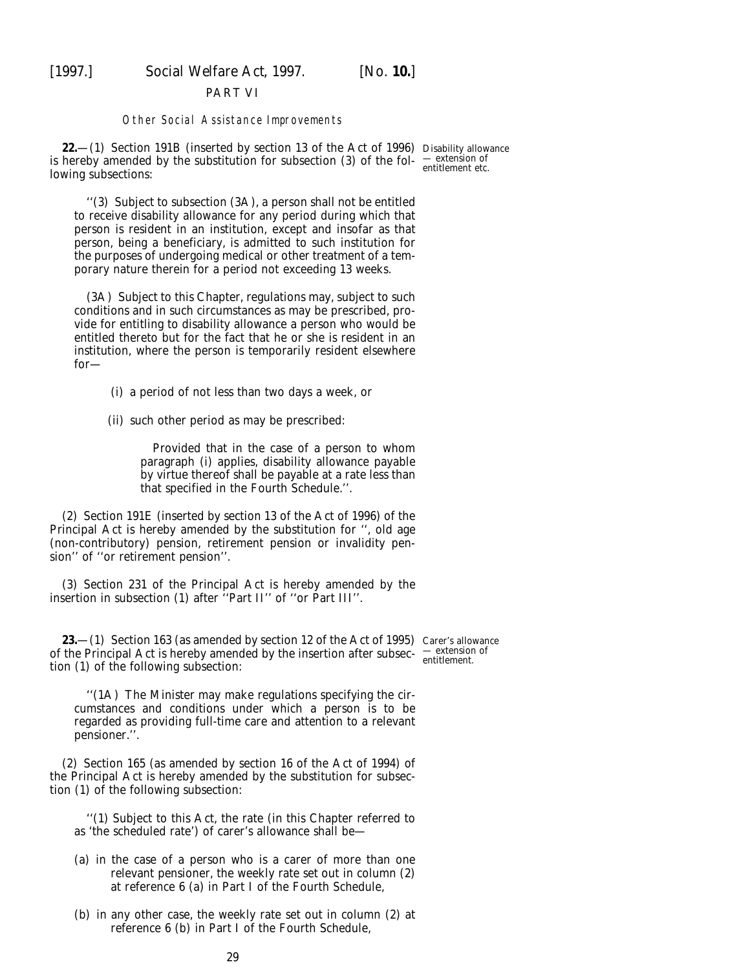<span id="page-28-0"></span>

#### PART VI

#### Other Social Assistance Improvements

**22.**—(1) Section 191B (inserted by section 13 of the Act of 1996) Disability allowance is hereby amended by the substitution for subsection (3) of the fol- $\frac{-\text{extension of}}{\text{orientation of}}$ lowing subsections:

''(3) Subject to subsection (3A), a person shall not be entitled to receive disability allowance for any period during which that person is resident in an institution, except and insofar as that person, being a beneficiary, is admitted to such institution for the purposes of undergoing medical or other treatment of a temporary nature therein for a period not exceeding 13 weeks.

(3A) Subject to this Chapter, regulations may, subject to such conditions and in such circumstances as may be prescribed, provide for entitling to disability allowance a person who would be entitled thereto but for the fact that he or she is resident in an institution, where the person is temporarily resident elsewhere for—

(i) a period of not less than two days a week, or

(ii) such other period as may be prescribed:

Provided that in the case of a person to whom paragraph (*i*) applies, disability allowance payable by virtue thereof shall be payable at a rate less than that specified in the Fourth Schedule.''.

(2) Section 191E (inserted by section 13 of the Act of 1996) of the Principal Act is hereby amended by the substitution for '', old age (non-contributory) pension, retirement pension or invalidity pension'' of ''or retirement pension''.

(3) Section 231 of the Principal Act is hereby amended by the insertion in subsection (1) after ''Part II'' of ''or Part III''.

**23.**—(1) Section 163 (as amended by section 12 of the Act of 1995) Carer's allowance of the Principal Act is hereby amended by the insertion after subsec-  $\frac{-\text{extension of}}{\text{entilement}}$ . tion (1) of the following subsection:

''(1A) The Minister may make regulations specifying the circumstances and conditions under which a person is to be regarded as providing full-time care and attention to a relevant pensioner.''.

(2) Section 165 (as amended by section 16 of the Act of 1994) of the Principal Act is hereby amended by the substitution for subsection (1) of the following subsection:

''(1) Subject to this Act, the rate (in this Chapter referred to as 'the scheduled rate') of carer's allowance shall be—

- (*a*) in the case of a person who is a carer of more than one relevant pensioner, the weekly rate set out in column (2) at reference 6 (*a*) in Part I of the Fourth Schedule,
- (*b*) in any other case, the weekly rate set out in column (2) at reference 6 (*b*) in Part I of the Fourth Schedule,

entitlement etc.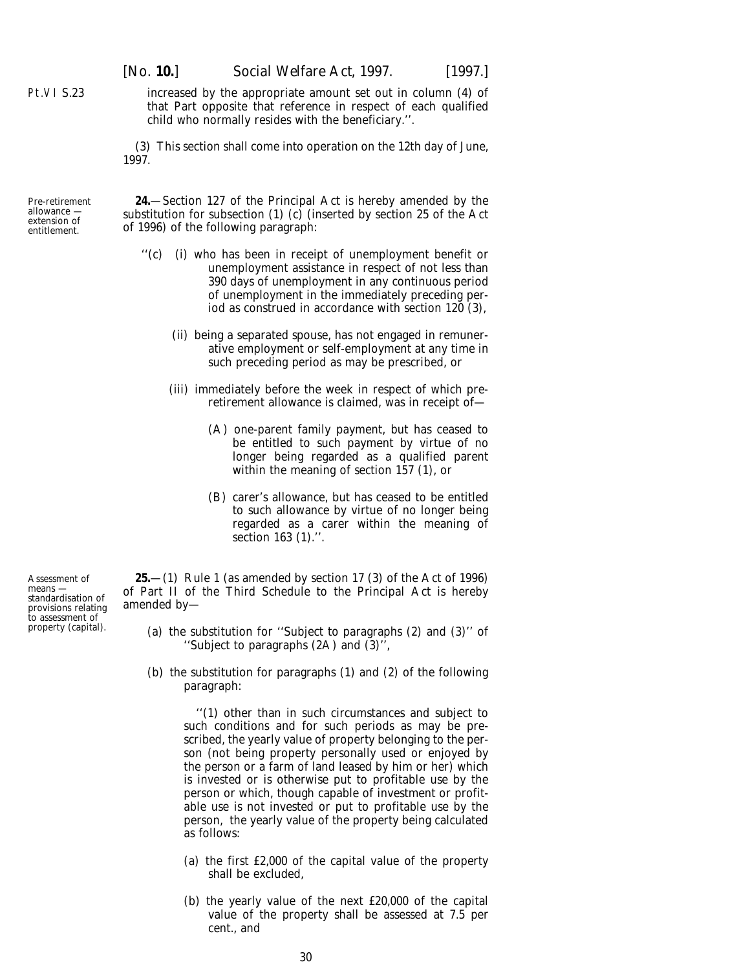increased by the appropriate amount set out in column (4) of that Part opposite that reference in respect of each qualified child who normally resides with the beneficiary.''.

(3) This section shall come into operation on the 12th day of June, 1997.

**24.**—Section 127 of the Principal Act is hereby amended by the substitution for subsection  $(1)$   $(c)$  (inserted by section 25 of the Act of 1996) of the following paragraph:

- ''(*c*) (i) who has been in receipt of unemployment benefit or unemployment assistance in respect of not less than 390 days of unemployment in any continuous period of unemployment in the immediately preceding period as construed in accordance with section 120 (3),
	- (ii) being a separated spouse, has not engaged in remunerative employment or self-employment at any time in such preceding period as may be prescribed, or
	- (iii) immediately before the week in respect of which preretirement allowance is claimed, was in receipt of—
		- (A) one-parent family payment, but has ceased to be entitled to such payment by virtue of no longer being regarded as a qualified parent within the meaning of section 157 (1), or
		- (B) carer's allowance, but has ceased to be entitled to such allowance by virtue of no longer being regarded as a carer within the meaning of section 163 (1).''.

**25.**—(1) Rule 1 (as amended by section 17 (3) of the Act of 1996) of Part II of the Third Schedule to the Principal Act is hereby amended by—

- (*a*) the substitution for ''Subject to paragraphs (2) and (3)'' of ''Subject to paragraphs (2A) and (3)'',
- (*b*) the substitution for paragraphs (1) and (2) of the following paragraph:

''(1) other than in such circumstances and subject to such conditions and for such periods as may be prescribed, the yearly value of property belonging to the person (not being property personally used or enjoyed by the person or a farm of land leased by him or her) which is invested or is otherwise put to profitable use by the person or which, though capable of investment or profitable use is not invested or put to profitable use by the person, the yearly value of the property being calculated as follows:

- (*a*) the first £2,000 of the capital value of the property shall be excluded,
- (*b*) the yearly value of the next £20,000 of the capital value of the property shall be assessed at 7.5 per cent., and

Assessment of means standardisation of provisions relating to assessment of property (capital).

<span id="page-29-0"></span>Pt.VI S.23

allowance extension of entitlement.

Pre-retirement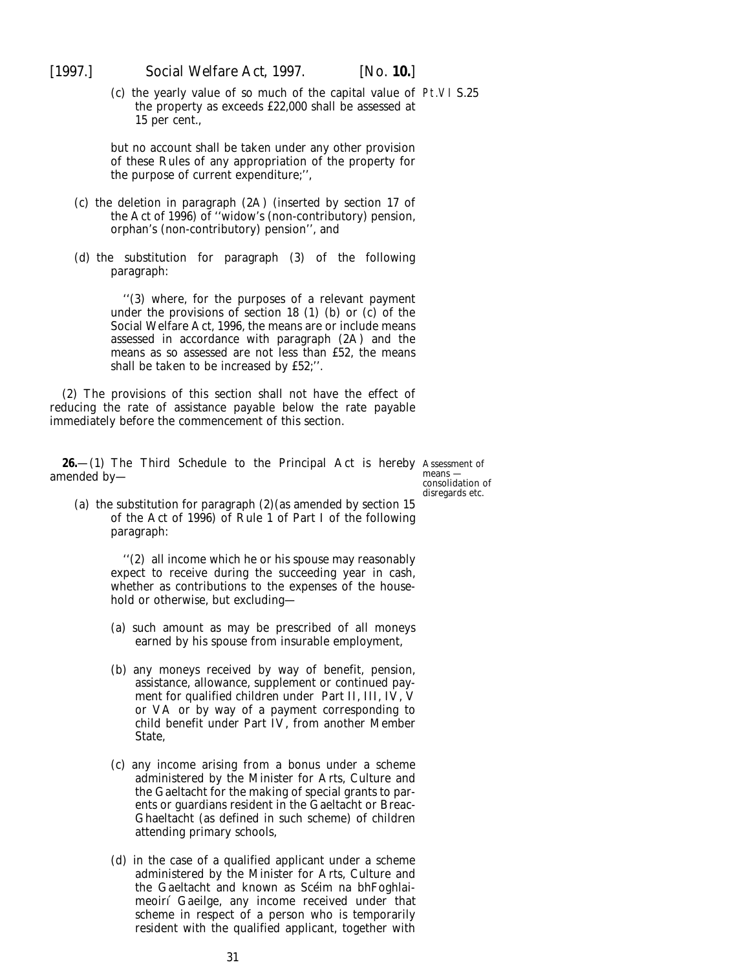<span id="page-30-0"></span>

(*c*) the yearly value of so much of the capital value of Pt.VI S.25 the property as exceeds £22,000 shall be assessed at 15 per cent.,

but no account shall be taken under any other provision of these Rules of any appropriation of the property for the purpose of current expenditure;'',

- (*c*) the deletion in paragraph (2A) (inserted by section 17 of the Act of 1996) of ''widow's (non-contributory) pension, orphan's (non-contributory) pension'', and
- (*d*) the substitution for paragraph (3) of the following paragraph:

''(3) where, for the purposes of a relevant payment under the provisions of section 18 (1) (*b*) or (*c*) of the Social Welfare Act, 1996, the means are or include means assessed in accordance with paragraph (2A) and the means as so assessed are not less than £52, the means shall be taken to be increased by £52;''.

(2) The provisions of this section shall not have the effect of reducing the rate of assistance payable below the rate payable immediately before the commencement of this section.

**26.**—(1) The Third Schedule to the Principal Act is hereby Assessment of amended by—

means consolidation of disregards etc.

(*a*) the substitution for paragraph (2)(as amended by section 15 of the Act of 1996) of Rule 1 of Part I of the following paragraph:

> ''(2) all income which he or his spouse may reasonably expect to receive during the succeeding year in cash, whether as contributions to the expenses of the household or otherwise, but excluding—

- (*a*) such amount as may be prescribed of all moneys earned by his spouse from insurable employment,
- (*b*) any moneys received by way of benefit, pension, assistance, allowance, supplement or continued payment for qualified children under Part II, III, IV, V or VA or by way of a payment corresponding to child benefit under Part IV, from another Member State,
- (*c*) any income arising from a bonus under a scheme administered by the Minister for Arts, Culture and the Gaeltacht for the making of special grants to parents or guardians resident in the Gaeltacht or Breac-Ghaeltacht (as defined in such scheme) of children attending primary schools,
- (*d*) in the case of a qualified applicant under a scheme administered by the Minister for Arts, Culture and the Gaeltacht and known as Scéim na bhFoghlaimeoirí Gaeilge, any income received under that scheme in respect of a person who is temporarily resident with the qualified applicant, together with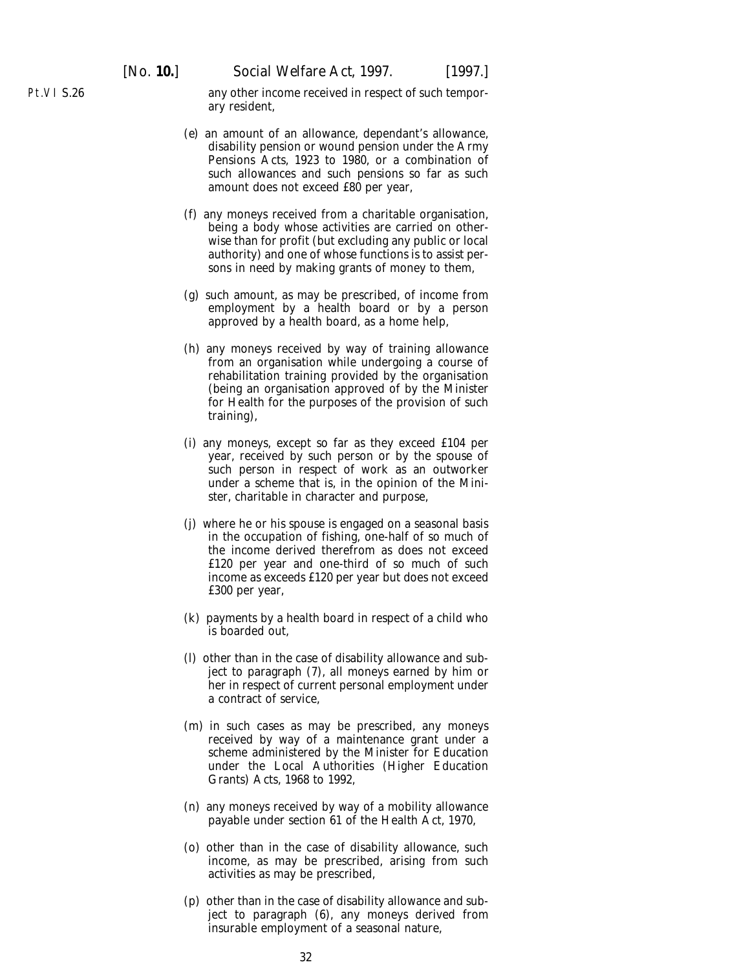Pt.VI S.26

any other income received in respect of such temporary resident,

- (*e*) an amount of an allowance, dependant's allowance, disability pension or wound pension under the Army Pensions Acts, 1923 to 1980, or a combination of such allowances and such pensions so far as such amount does not exceed £80 per year,
- (*f*) any moneys received from a charitable organisation, being a body whose activities are carried on otherwise than for profit (but excluding any public or local authority) and one of whose functions is to assist persons in need by making grants of money to them,
- (*g*) such amount, as may be prescribed, of income from employment by a health board or by a person approved by a health board, as a home help,
- (*h*) any moneys received by way of training allowance from an organisation while undergoing a course of rehabilitation training provided by the organisation (being an organisation approved of by the Minister for Health for the purposes of the provision of such training),
- (*i*) any moneys, except so far as they exceed £104 per year, received by such person or by the spouse of such person in respect of work as an outworker under a scheme that is, in the opinion of the Minister, charitable in character and purpose,
- (*j*) where he or his spouse is engaged on a seasonal basis in the occupation of fishing, one-half of so much of the income derived therefrom as does not exceed £120 per year and one-third of so much of such income as exceeds £120 per year but does not exceed £300 per year,
- (*k*) payments by a health board in respect of a child who is boarded out,
- (*l*) other than in the case of disability allowance and subject to paragraph (7), all moneys earned by him or her in respect of current personal employment under a contract of service,
- (*m*) in such cases as may be prescribed, any moneys received by way of a maintenance grant under a scheme administered by the Minister for Education under the Local Authorities (Higher Education Grants) Acts, 1968 to 1992,
- (*n*) any moneys received by way of a mobility allowance payable under section 61 of the Health Act, 1970,
- (*o*) other than in the case of disability allowance, such income, as may be prescribed, arising from such activities as may be prescribed,
- (*p*) other than in the case of disability allowance and subject to paragraph (6), any moneys derived from insurable employment of a seasonal nature,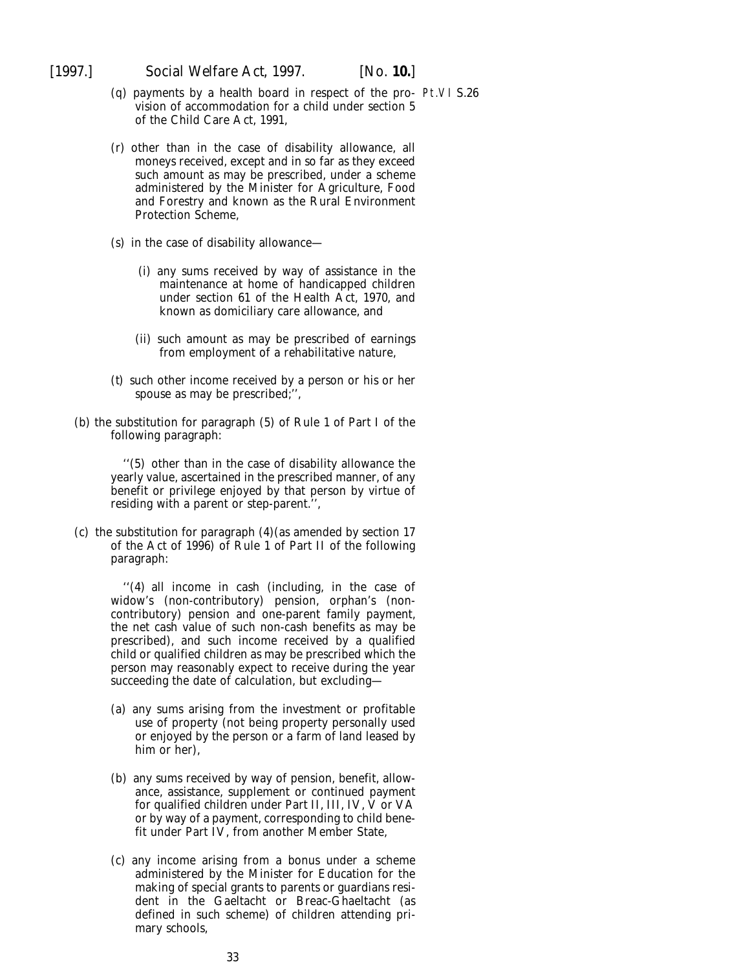- (*q*) payments by a health board in respect of the pro-Pt.VI S.26vision of accommodation for a child under section 5 of the Child Care Act, 1991,
- (*r*) other than in the case of disability allowance, all moneys received, except and in so far as they exceed such amount as may be prescribed, under a scheme administered by the Minister for Agriculture, Food and Forestry and known as the Rural Environment Protection Scheme,
- (*s*) in the case of disability allowance—
	- (i) any sums received by way of assistance in the maintenance at home of handicapped children under section 61 of the Health Act, 1970, and known as domiciliary care allowance, and
	- (ii) such amount as may be prescribed of earnings from employment of a rehabilitative nature,
- (*t*) such other income received by a person or his or her spouse as may be prescribed;'',
- (*b*) the substitution for paragraph (5) of Rule 1 of Part I of the following paragraph:

''(5) other than in the case of disability allowance the yearly value, ascertained in the prescribed manner, of any benefit or privilege enjoyed by that person by virtue of residing with a parent or step-parent.'',

(*c*) the substitution for paragraph (4)(as amended by section 17 of the Act of 1996) of Rule 1 of Part II of the following paragraph:

> ''(4) all income in cash (including, in the case of widow's (non-contributory) pension, orphan's (noncontributory) pension and one-parent family payment, the net cash value of such non-cash benefits as may be prescribed), and such income received by a qualified child or qualified children as may be prescribed which the person may reasonably expect to receive during the year succeeding the date of calculation, but excluding—

- (*a*) any sums arising from the investment or profitable use of property (not being property personally used or enjoyed by the person or a farm of land leased by him or her),
- (*b*) any sums received by way of pension, benefit, allowance, assistance, supplement or continued payment for qualified children under Part II, III, IV, V or VA or by way of a payment, corresponding to child benefit under Part IV, from another Member State,
- (*c*) any income arising from a bonus under a scheme administered by the Minister for Education for the making of special grants to parents or guardians resident in the Gaeltacht or Breac-Ghaeltacht (as defined in such scheme) of children attending primary schools,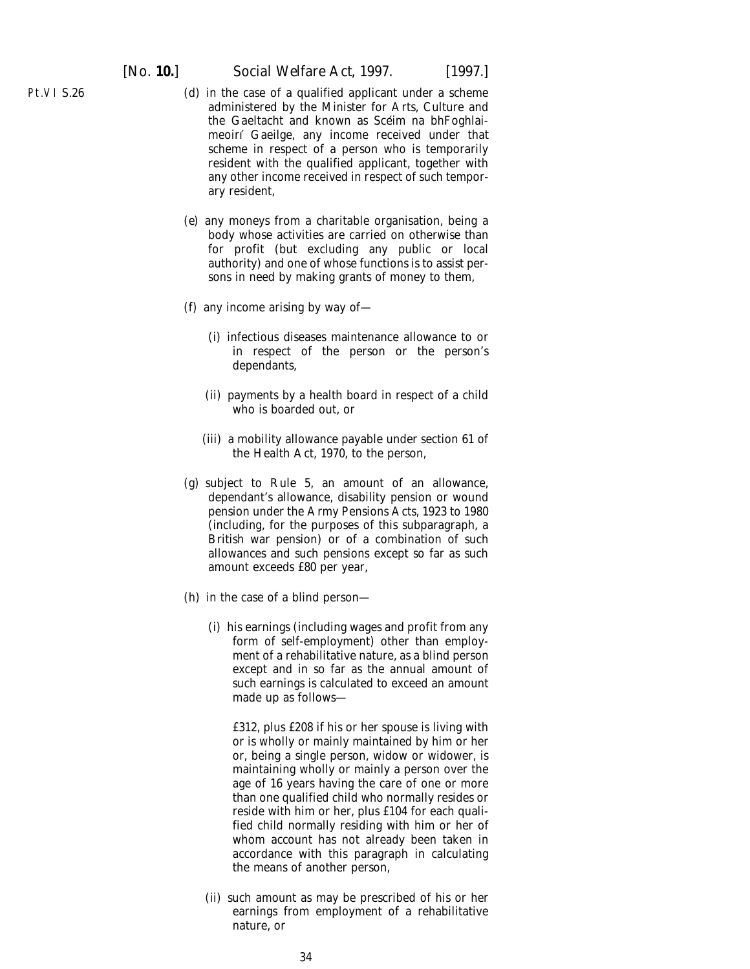- (*d*) in the case of a qualified applicant under a scheme administered by the Minister for Arts, Culture and the Gaeltacht and known as Scéim na bhFoghlaimeoirı´ Gaeilge, any income received under that scheme in respect of a person who is temporarily resident with the qualified applicant, together with any other income received in respect of such temporary resident,
- (*e*) any moneys from a charitable organisation, being a body whose activities are carried on otherwise than for profit (but excluding any public or local authority) and one of whose functions is to assist persons in need by making grants of money to them,
- (*f*) any income arising by way of—
	- (i) infectious diseases maintenance allowance to or in respect of the person or the person's dependants,
	- (ii) payments by a health board in respect of a child who is boarded out, or
	- (iii) a mobility allowance payable under section 61 of the Health Act, 1970, to the person,
- (*g*) subject to Rule 5, an amount of an allowance, dependant's allowance, disability pension or wound pension under the Army Pensions Acts, 1923 to 1980 (including, for the purposes of this subparagraph, a British war pension) or of a combination of such allowances and such pensions except so far as such amount exceeds £80 per year,
- (*h*) in the case of a blind person—
	- (i) his earnings (including wages and profit from any form of self-employment) other than employment of a rehabilitative nature, as a blind person except and in so far as the annual amount of such earnings is calculated to exceed an amount made up as follows—

£312, plus £208 if his or her spouse is living with or is wholly or mainly maintained by him or her or, being a single person, widow or widower, is maintaining wholly or mainly a person over the age of 16 years having the care of one or more than one qualified child who normally resides or reside with him or her, plus £104 for each qualified child normally residing with him or her of whom account has not already been taken in accordance with this paragraph in calculating the means of another person,

(ii) such amount as may be prescribed of his or her earnings from employment of a rehabilitative nature, or

Pt.VI S.26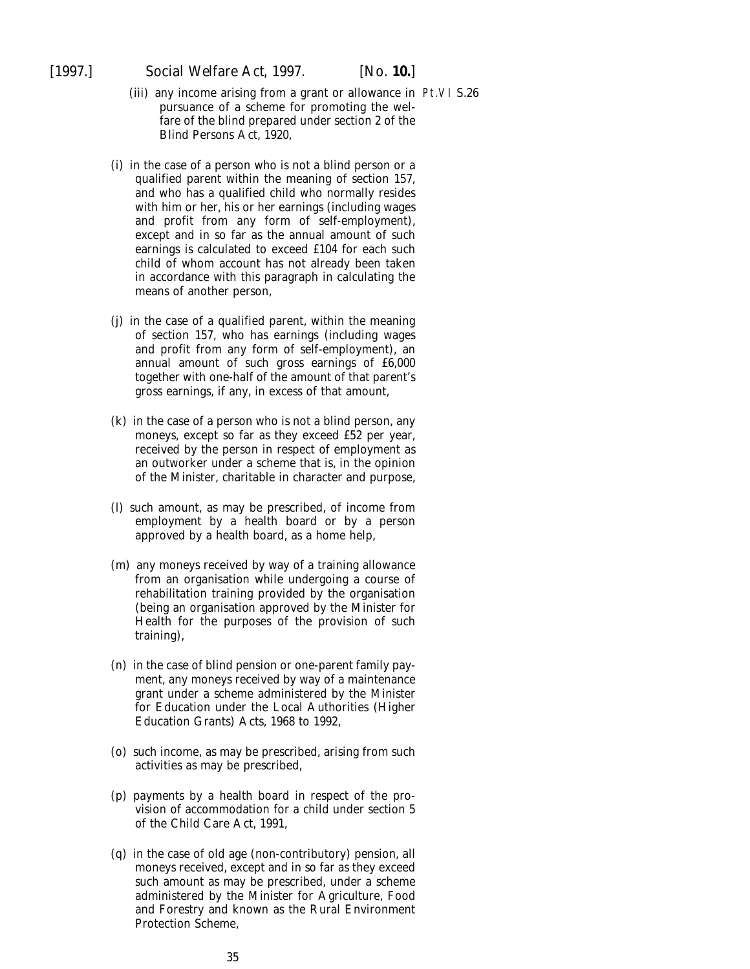- (iii) any income arising from a grant or allowance in Pt.VI S.26pursuance of a scheme for promoting the welfare of the blind prepared under section 2 of the Blind Persons Act, 1920,
- (*i*) in the case of a person who is not a blind person or a qualified parent within the meaning of section 157, and who has a qualified child who normally resides with him or her, his or her earnings (including wages and profit from any form of self-employment), except and in so far as the annual amount of such earnings is calculated to exceed £104 for each such child of whom account has not already been taken in accordance with this paragraph in calculating the means of another person,
- (*j*) in the case of a qualified parent, within the meaning of section 157, who has earnings (including wages and profit from any form of self-employment), an annual amount of such gross earnings of £6,000 together with one-half of the amount of that parent's gross earnings, if any, in excess of that amount,
- (*k*) in the case of a person who is not a blind person, any moneys, except so far as they exceed £52 per year, received by the person in respect of employment as an outworker under a scheme that is, in the opinion of the Minister, charitable in character and purpose,
- (*l*) such amount, as may be prescribed, of income from employment by a health board or by a person approved by a health board, as a home help,
- (*m*) any moneys received by way of a training allowance from an organisation while undergoing a course of rehabilitation training provided by the organisation (being an organisation approved by the Minister for Health for the purposes of the provision of such training),
- (*n*) in the case of blind pension or one-parent family payment, any moneys received by way of a maintenance grant under a scheme administered by the Minister for Education under the Local Authorities (Higher Education Grants) Acts, 1968 to 1992,
- (*o*) such income, as may be prescribed, arising from such activities as may be prescribed,
- (*p*) payments by a health board in respect of the provision of accommodation for a child under section 5 of the Child Care Act, 1991,
- (*q*) in the case of old age (non-contributory) pension, all moneys received, except and in so far as they exceed such amount as may be prescribed, under a scheme administered by the Minister for Agriculture, Food and Forestry and known as the Rural Environment Protection Scheme,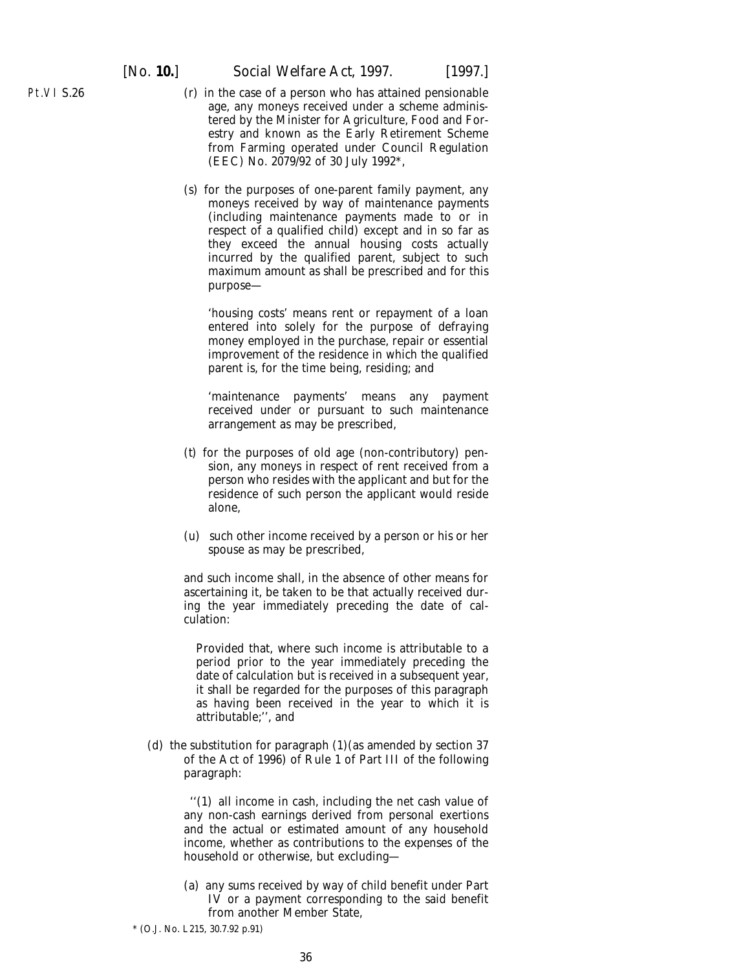- (*r*) in the case of a person who has attained pensionable age, any moneys received under a scheme administered by the Minister for Agriculture, Food and Forestry and known as the Early Retirement Scheme from Farming operated under Council Regulation (EEC) No. 2079/92 of 30 July 1992\*,
- (*s*) for the purposes of one-parent family payment, any moneys received by way of maintenance payments (including maintenance payments made to or in respect of a qualified child) except and in so far as they exceed the annual housing costs actually incurred by the qualified parent, subject to such maximum amount as shall be prescribed and for this purpose—

'housing costs' means rent or repayment of a loan entered into solely for the purpose of defraying money employed in the purchase, repair or essential improvement of the residence in which the qualified parent is, for the time being, residing; and

'maintenance payments' means any payment received under or pursuant to such maintenance arrangement as may be prescribed,

- (*t*) for the purposes of old age (non-contributory) pension, any moneys in respect of rent received from a person who resides with the applicant and but for the residence of such person the applicant would reside alone,
- (*u*) such other income received by a person or his or her spouse as may be prescribed,

and such income shall, in the absence of other means for ascertaining it, be taken to be that actually received during the year immediately preceding the date of calculation:

Provided that, where such income is attributable to a period prior to the year immediately preceding the date of calculation but is received in a subsequent year, it shall be regarded for the purposes of this paragraph as having been received in the year to which it is attributable;'', and

(*d*) the substitution for paragraph (1)(as amended by section 37 of the Act of 1996) of Rule 1 of Part III of the following paragraph:

> ''(1) all income in cash, including the net cash value of any non-cash earnings derived from personal exertions and the actual or estimated amount of any household income, whether as contributions to the expenses of the household or otherwise, but excluding—

> (*a*) any sums received by way of child benefit under Part IV or a payment corresponding to the said benefit from another Member State,

Pt.VI S.26

<sup>\* (</sup>O.J. No. L215, 30.7.92 p.91)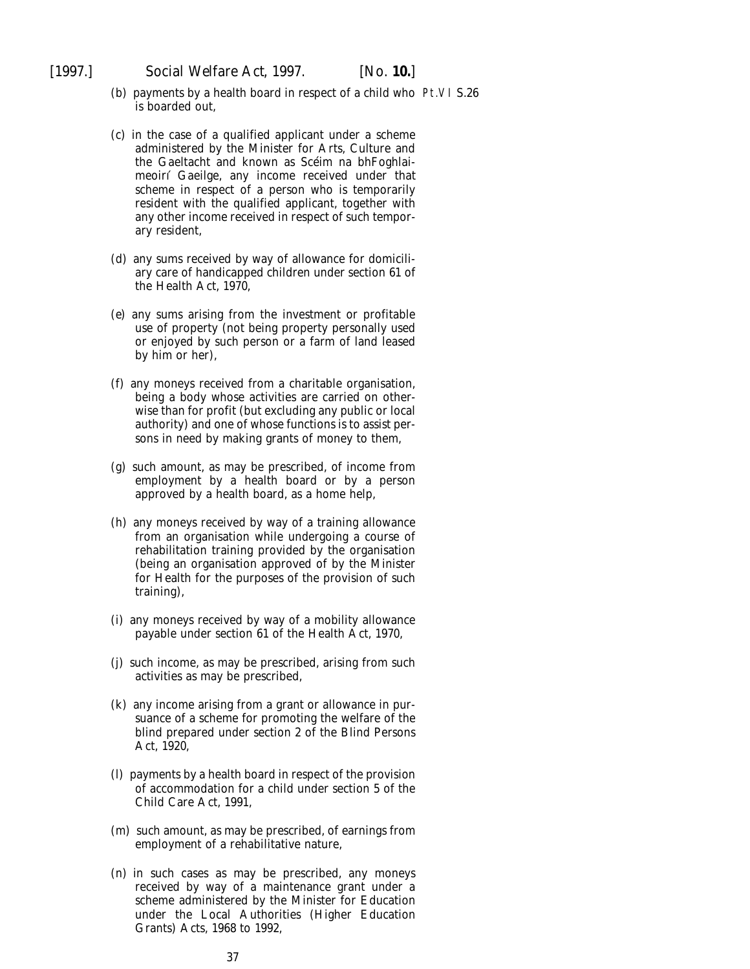- (*b*) payments by a health board in respect of a child who Pt.VI S.26is boarded out,
- (*c*) in the case of a qualified applicant under a scheme administered by the Minister for Arts, Culture and the Gaeltacht and known as Scéim na bhFoghlaimeoirı´ Gaeilge, any income received under that scheme in respect of a person who is temporarily resident with the qualified applicant, together with any other income received in respect of such temporary resident,
- (*d*) any sums received by way of allowance for domiciliary care of handicapped children under section 61 of the Health Act, 1970,
- (*e*) any sums arising from the investment or profitable use of property (not being property personally used or enjoyed by such person or a farm of land leased by him or her),
- (*f*) any moneys received from a charitable organisation, being a body whose activities are carried on otherwise than for profit (but excluding any public or local authority) and one of whose functions is to assist persons in need by making grants of money to them,
- (*g*) such amount, as may be prescribed, of income from employment by a health board or by a person approved by a health board, as a home help,
- (*h*) any moneys received by way of a training allowance from an organisation while undergoing a course of rehabilitation training provided by the organisation (being an organisation approved of by the Minister for Health for the purposes of the provision of such training),
- (*i*) any moneys received by way of a mobility allowance payable under section 61 of the Health Act, 1970,
- (*j*) such income, as may be prescribed, arising from such activities as may be prescribed,
- (*k*) any income arising from a grant or allowance in pursuance of a scheme for promoting the welfare of the blind prepared under section 2 of the Blind Persons Act, 1920,
- (*l*) payments by a health board in respect of the provision of accommodation for a child under section 5 of the Child Care Act, 1991,
- (*m*) such amount, as may be prescribed, of earnings from employment of a rehabilitative nature,
- (*n*) in such cases as may be prescribed, any moneys received by way of a maintenance grant under a scheme administered by the Minister for Education under the Local Authorities (Higher Education Grants) Acts, 1968 to 1992,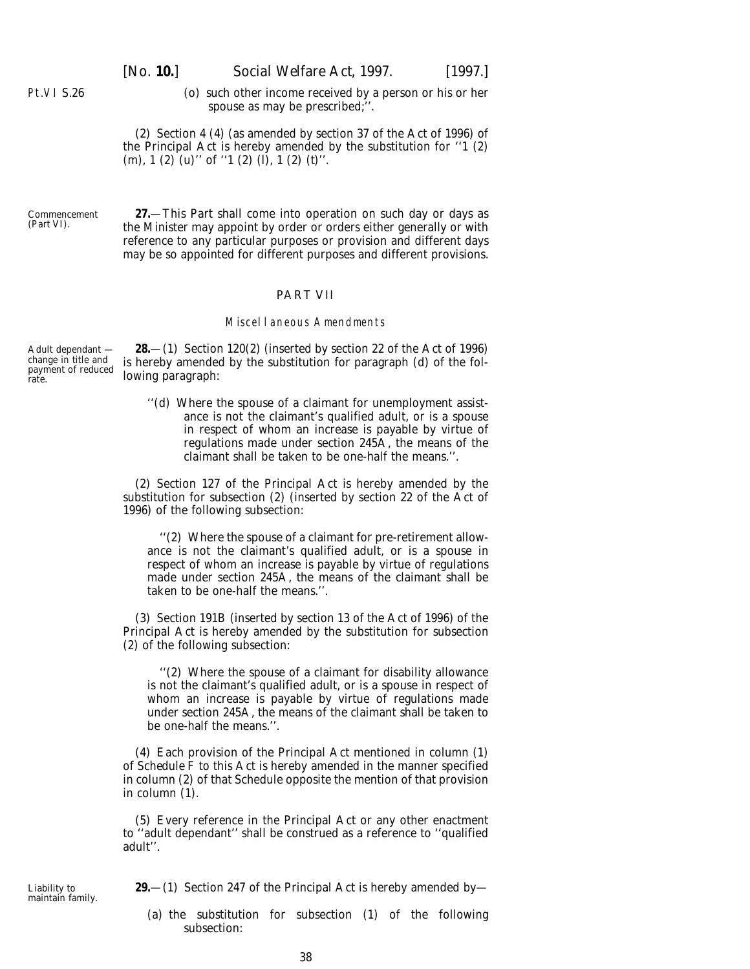(*o*) such other income received by a person or his or her spouse as may be prescribed;''.

(2) Section 4 (4) (as amended by section 37 of the Act of 1996) of the Principal Act is hereby amended by the substitution for ''1 (2)  $(m)$ , 1 (2)  $(u)$ " of "1 (2)  $(\check{\beta})$ , 1 (2)  $(\check{\beta})$ ".

Commencement (*Part VI*).

<span id="page-37-0"></span>Pt.VI S.26

**27.**—This Part shall come into operation on such day or days as the Minister may appoint by order or orders either generally or with reference to any particular purposes or provision and different days may be so appointed for different purposes and different provisions.

#### PART VII

#### Miscellaneous Amendments

Adult dependant change in title and payment of reduced rate.

Liability to maintain family.

**28.**—(1) Section 120(2) (inserted by section 22 of the Act of 1996) is hereby amended by the substitution for paragraph (*d*) of the following paragraph:

''(*d*) Where the spouse of a claimant for unemployment assistance is not the claimant's qualified adult, or is a spouse in respect of whom an increase is payable by virtue of regulations made under section 245A, the means of the claimant shall be taken to be one-half the means.''.

(2) Section 127 of the Principal Act is hereby amended by the substitution for subsection (2) (inserted by section 22 of the Act of 1996) of the following subsection:

''(2) Where the spouse of a claimant for pre-retirement allowance is not the claimant's qualified adult, or is a spouse in respect of whom an increase is payable by virtue of regulations made under section 245A, the means of the claimant shall be taken to be one-half the means.''.

(3) Section 191B (inserted by section 13 of the Act of 1996) of the Principal Act is hereby amended by the substitution for subsection (2) of the following subsection:

''(2) Where the spouse of a claimant for disability allowance is not the claimant's qualified adult, or is a spouse in respect of whom an increase is payable by virtue of regulations made under section 245A, the means of the claimant shall be taken to be one-half the means.''.

(4) Each provision of the Principal Act mentioned in *column (1)* of *Schedule F* to this Act is hereby amended in the manner specified in *column (2)* of that Schedule opposite the mention of that provision in *column (1).*

(5) Every reference in the Principal Act or any other enactment to ''adult dependant'' shall be construed as a reference to ''qualified adult''.

**29.**—(1) Section 247 of the Principal Act is hereby amended by—

(*a*) the substitution for subsection (1) of the following subsection: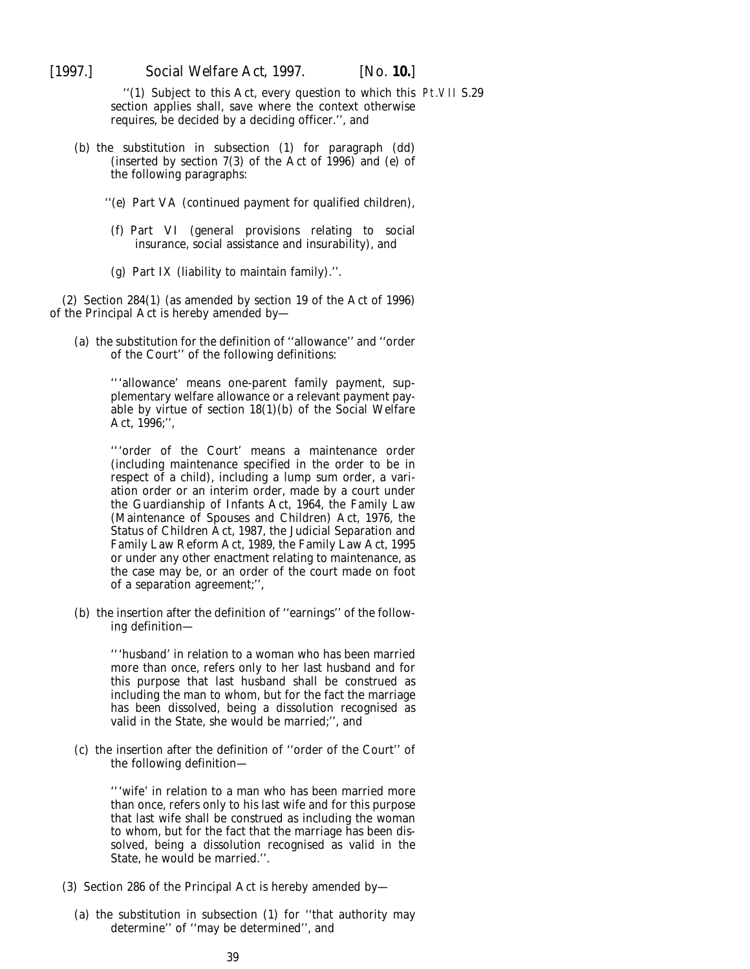''(1) Subject to this Act, every question to which this Pt.VII S.29section applies shall, save where the context otherwise requires, be decided by a deciding officer.'', and

- (*b*) the substitution in subsection (1) for paragraph (*dd*) (inserted by section 7(3) of the Act of 1996) and (*e*) of the following paragraphs:
	- ''(*e*) Part VA (continued payment for qualified children),
	- (*f*) Part VI (general provisions relating to social insurance, social assistance and insurability), and
	- (*g*) Part IX (liability to maintain family).''.

(2) Section 284(1) (as amended by section 19 of the Act of 1996) of the Principal Act is hereby amended by—

(*a*) the substitution for the definition of ''allowance'' and ''order of the Court'' of the following definitions:

> '''allowance' means one-parent family payment, supplementary welfare allowance or a relevant payment payable by virtue of section 18(1)(*b*) of the Social Welfare Act, 1996;'',

> '''order of the Court' means a maintenance order (including maintenance specified in the order to be in respect of a child), including a lump sum order, a variation order or an interim order, made by a court under the Guardianship of Infants Act, 1964, the Family Law (Maintenance of Spouses and Children) Act, 1976, the Status of Children Act, 1987, the Judicial Separation and Family Law Reform Act, 1989, the Family Law Act, 1995 or under any other enactment relating to maintenance, as the case may be, or an order of the court made on foot of a separation agreement;'',

(*b*) the insertion after the definition of ''earnings'' of the following definition—

> '''husband' in relation to a woman who has been married more than once, refers only to her last husband and for this purpose that last husband shall be construed as including the man to whom, but for the fact the marriage has been dissolved, being a dissolution recognised as valid in the State, she would be married;'', and

(*c*) the insertion after the definition of ''order of the Court'' of the following definition—

> '''wife' in relation to a man who has been married more than once, refers only to his last wife and for this purpose that last wife shall be construed as including the woman to whom, but for the fact that the marriage has been dissolved, being a dissolution recognised as valid in the State, he would be married.''.

- (3) Section 286 of the Principal Act is hereby amended by—
	- (*a*) the substitution in subsection (1) for ''that authority may determine'' of ''may be determined'', and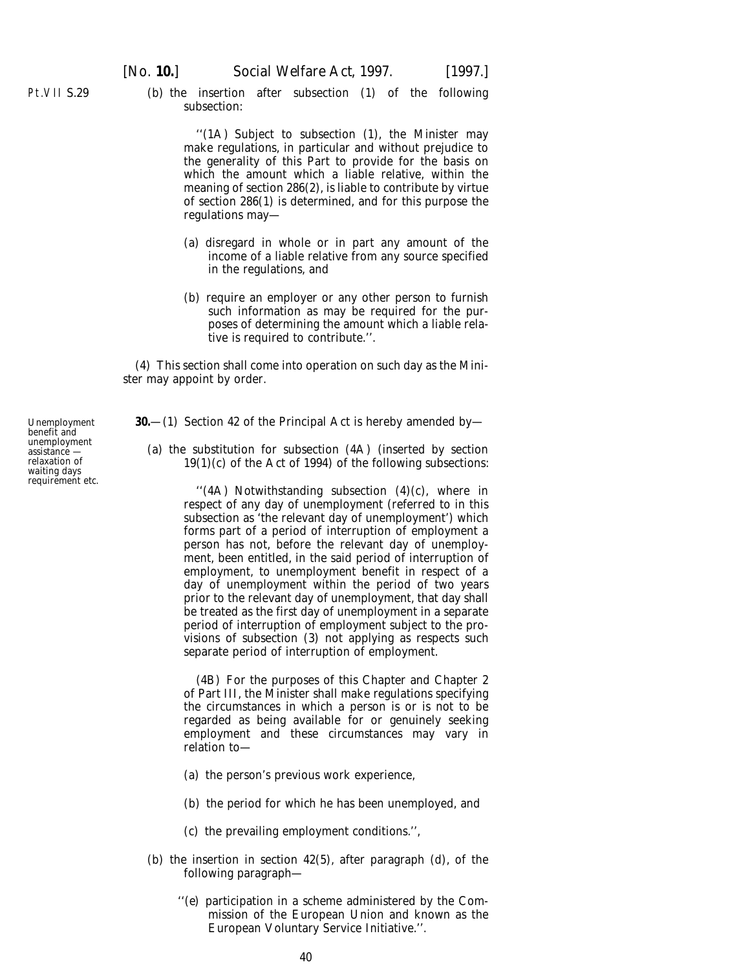<span id="page-39-0"></span>Pt.VII S.29

(*b*) the insertion after subsection (1) of the following subsection:

> ''(1A) Subject to subsection (1), the Minister may make regulations, in particular and without prejudice to the generality of this Part to provide for the basis on which the amount which a liable relative, within the meaning of section 286(2), is liable to contribute by virtue of section 286(1) is determined, and for this purpose the regulations may—

- (*a*) disregard in whole or in part any amount of the income of a liable relative from any source specified in the regulations, and
- (*b*) require an employer or any other person to furnish such information as may be required for the purposes of determining the amount which a liable relative is required to contribute.''.

(4) This section shall come into operation on such day as the Minister may appoint by order.

- **30.**—(1) Section 42 of the Principal Act is hereby amended by—
	- (*a*) the substitution for subsection (4A) (inserted by section  $19(1)(c)$  of the Act of 1994) of the following subsections:

''(4A) Notwithstanding subsection (4)(*c*), where in respect of any day of unemployment (referred to in this subsection as 'the relevant day of unemployment') which forms part of a period of interruption of employment a person has not, before the relevant day of unemployment, been entitled, in the said period of interruption of employment, to unemployment benefit in respect of a day of unemployment within the period of two years prior to the relevant day of unemployment, that day shall be treated as the first day of unemployment in a separate period of interruption of employment subject to the provisions of subsection (3) not applying as respects such separate period of interruption of employment.

(4B) For the purposes of this Chapter and Chapter 2 of Part III, the Minister shall make regulations specifying the circumstances in which a person is or is not to be regarded as being available for or genuinely seeking employment and these circumstances may vary in relation to—

- (*a*) the person's previous work experience,
- (*b*) the period for which he has been unemployed, and
- (*c*) the prevailing employment conditions.'',
- (*b*) the insertion in section 42(5), after paragraph (*d*), of the following paragraph—
	- ''(*e*) participation in a scheme administered by the Commission of the European Union and known as the European Voluntary Service Initiative.''.

Unemployment benefit and unemployment assistance relaxation of waiting days requirement etc.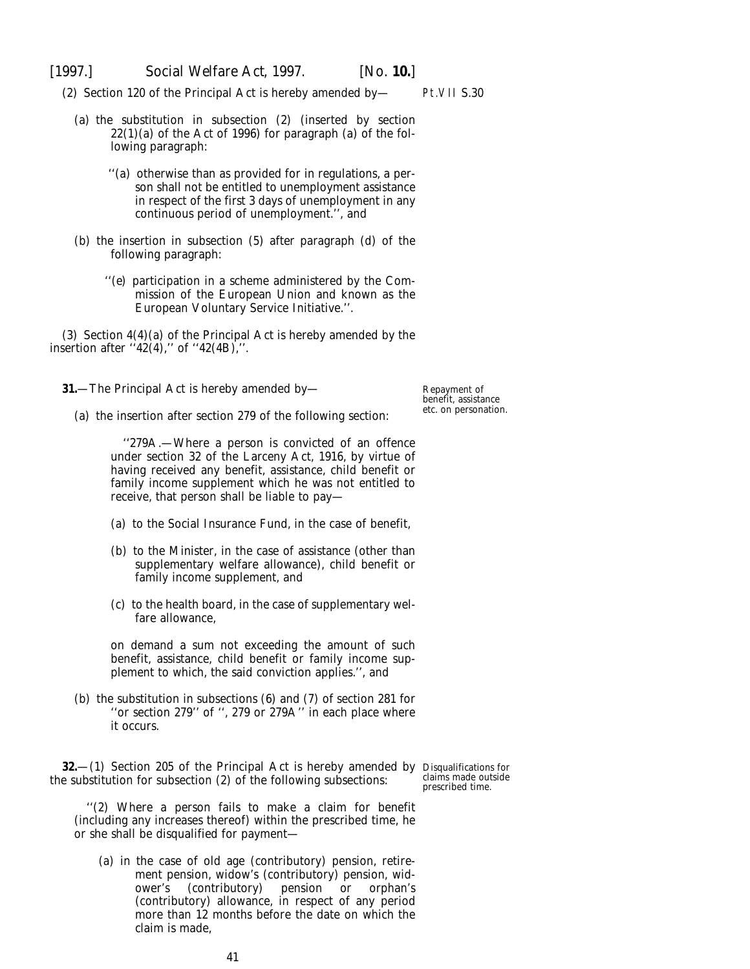<span id="page-40-0"></span>(2) Section 120 of the Principal Act is hereby amended by—

- (*a*) the substitution in subsection (2) (inserted by section 22(1)(*a*) of the Act of 1996) for paragraph (*a*) of the following paragraph:
	- ''(*a*) otherwise than as provided for in regulations, a person shall not be entitled to unemployment assistance in respect of the first 3 days of unemployment in any continuous period of unemployment.'', and
- (*b*) the insertion in subsection (5) after paragraph (*d*) of the following paragraph:
	- ''(*e*) participation in a scheme administered by the Commission of the European Union and known as the European Voluntary Service Initiative.''.

(3) Section 4(4)(*a*) of the Principal Act is hereby amended by the insertion after  $"42(4)$ ," of  $"42(4B)$ ,".

**31.**—The Principal Act is hereby amended by—

(*a*) the insertion after section 279 of the following section:

''279A.—Where a person is convicted of an offence under section 32 of the Larceny Act, 1916, by virtue of having received any benefit, assistance, child benefit or family income supplement which he was not entitled to receive, that person shall be liable to pay—

- (*a*) to the Social Insurance Fund, in the case of benefit,
- (*b*) to the Minister, in the case of assistance (other than supplementary welfare allowance), child benefit or family income supplement, and
- (*c*) to the health board, in the case of supplementary welfare allowance,

on demand a sum not exceeding the amount of such benefit, assistance, child benefit or family income supplement to which, the said conviction applies.'', and

(*b*) the substitution in subsections (6) and (7) of section 281 for "or section 279" of ", 279 or 279A" in each place where it occurs.

**32.**—(1) Section 205 of the Principal Act is hereby amended by Disqualifications for the substitution for subsection (2) of the following subsections:

claims made outside prescribed time.

''(2) Where a person fails to make a claim for benefit (including any increases thereof) within the prescribed time, he or she shall be disqualified for payment—

(*a*) in the case of old age (contributory) pension, retirement pension, widow's (contributory) pension, widower's (contributory) pension or orphan's (contributory) allowance, in respect of any period more than 12 months before the date on which the claim is made,

Repayment of benefit, assistance etc. on personation.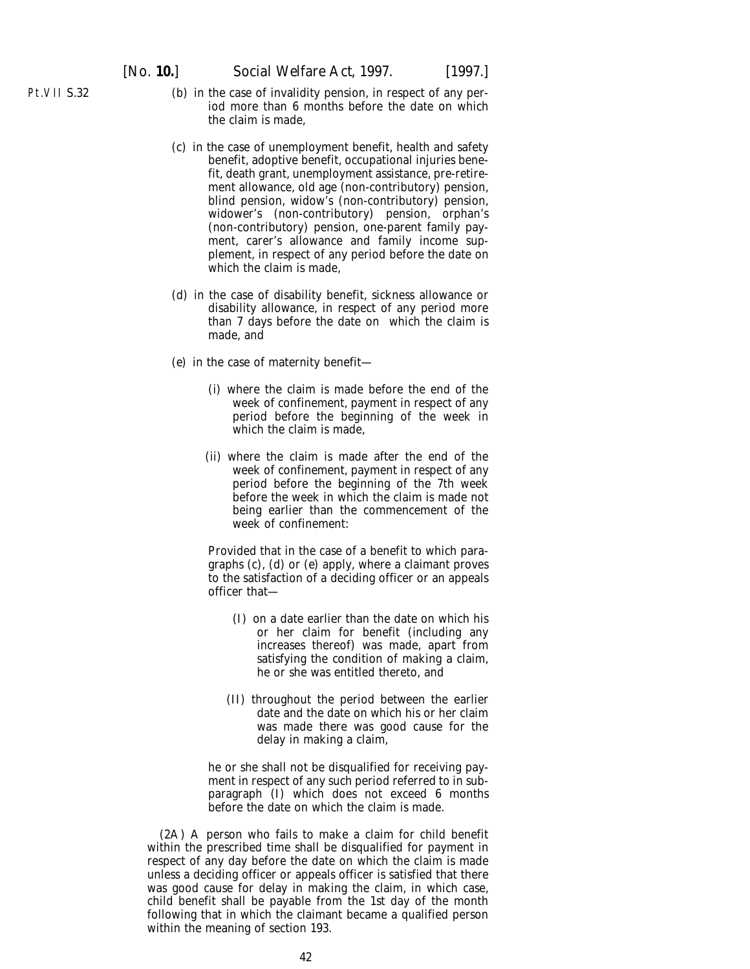- Pt.VII S.32
- (*b*) in the case of invalidity pension, in respect of any period more than 6 months before the date on which the claim is made,
- (*c*) in the case of unemployment benefit, health and safety benefit, adoptive benefit, occupational injuries benefit, death grant, unemployment assistance, pre-retirement allowance, old age (non-contributory) pension, blind pension, widow's (non-contributory) pension, widower's (non-contributory) pension, orphan's (non-contributory) pension, one-parent family payment, carer's allowance and family income supplement, in respect of any period before the date on which the claim is made,
- (*d*) in the case of disability benefit, sickness allowance or disability allowance, in respect of any period more than 7 days before the date on which the claim is made, and
- (*e*) in the case of maternity benefit—
	- (i) where the claim is made before the end of the week of confinement, payment in respect of any period before the beginning of the week in which the claim is made.
	- (ii) where the claim is made after the end of the week of confinement, payment in respect of any period before the beginning of the 7th week before the week in which the claim is made not being earlier than the commencement of the week of confinement:

Provided that in the case of a benefit to which paragraphs (*c*), (*d*) or (*e*) apply, where a claimant proves to the satisfaction of a deciding officer or an appeals officer that—

- (I) on a date earlier than the date on which his or her claim for benefit (including any increases thereof) was made, apart from satisfying the condition of making a claim, he or she was entitled thereto, and
- (II) throughout the period between the earlier date and the date on which his or her claim was made there was good cause for the delay in making a claim,

he or she shall not be disqualified for receiving payment in respect of any such period referred to in subparagraph (I) which does not exceed 6 months before the date on which the claim is made.

(2A) A person who fails to make a claim for child benefit within the prescribed time shall be disqualified for payment in respect of any day before the date on which the claim is made unless a deciding officer or appeals officer is satisfied that there was good cause for delay in making the claim, in which case, child benefit shall be payable from the 1st day of the month following that in which the claimant became a qualified person within the meaning of section 193.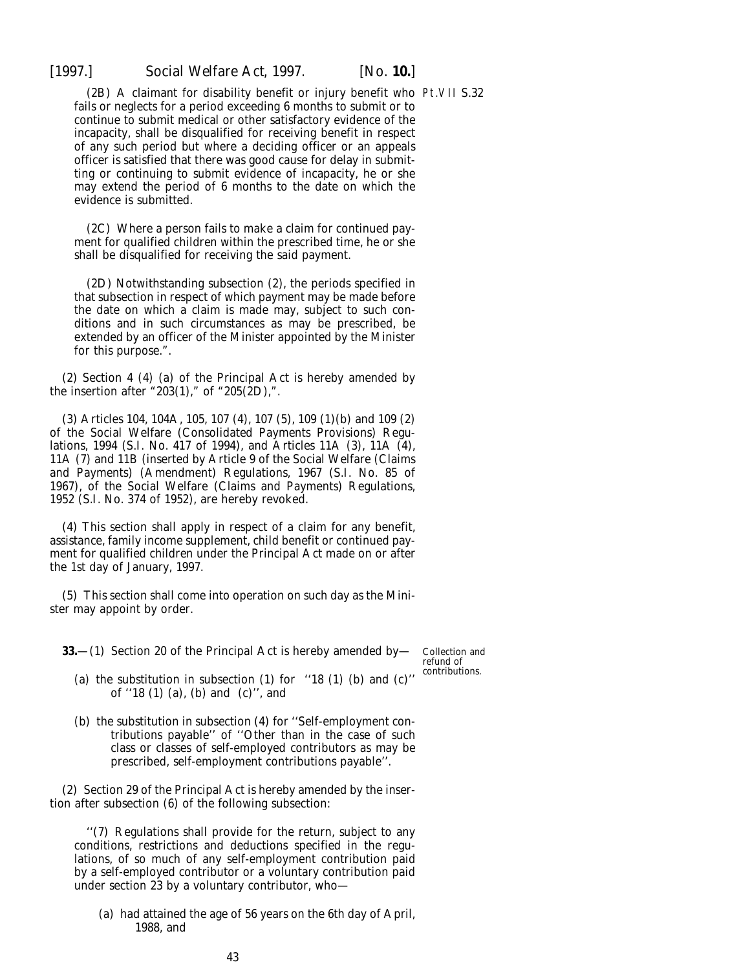<span id="page-42-0"></span>

(2B) A claimant for disability benefit or injury benefit who Pt.VII S.32 fails or neglects for a period exceeding 6 months to submit or to continue to submit medical or other satisfactory evidence of the incapacity, shall be disqualified for receiving benefit in respect of any such period but where a deciding officer or an appeals officer is satisfied that there was good cause for delay in submitting or continuing to submit evidence of incapacity, he or she may extend the period of 6 months to the date on which the evidence is submitted.

(2C) Where a person fails to make a claim for continued payment for qualified children within the prescribed time, he or she shall be disqualified for receiving the said payment.

(2D) Notwithstanding subsection (2), the periods specified in that subsection in respect of which payment may be made before the date on which a claim is made may, subject to such conditions and in such circumstances as may be prescribed, be extended by an officer of the Minister appointed by the Minister for this purpose.".

(2) Section 4 (4) (*a*) of the Principal Act is hereby amended by the insertion after "203(1)," of "205(2D),".

(3) Articles 104, 104A, 105, 107 (4), 107 (5), 109 (1)(*b*) and 109 (2) of the Social Welfare (Consolidated Payments Provisions) Regulations, 1994 (S.I. No. 417 of 1994), and Articles 11A (3), 11A (4), 11A (7) and 11B (inserted by Article 9 of the Social Welfare (Claims and Payments) (Amendment) Regulations, 1967 (S.I. No. 85 of 1967), of the Social Welfare (Claims and Payments) Regulations, 1952 (S.I. No. 374 of 1952), are hereby revoked.

(4) This section shall apply in respect of a claim for any benefit, assistance, family income supplement, child benefit or continued payment for qualified children under the Principal Act made on or after the 1st day of January, 1997.

(5) This section shall come into operation on such day as the Minister may appoint by order.

**33.**—(1) Section 20 of the Principal Act is hereby amended by—

Collection and refund of contributions.

- (*a*) the substitution in subsection (1) for ''18 (1) (*b*) and (*c*)'' of ''18 (1) (*a*), (*b*) and (*c*)'', and
- (*b*) the substitution in subsection (4) for ''Self-employment contributions payable'' of ''Other than in the case of such class or classes of self-employed contributors as may be prescribed, self-employment contributions payable''.

(2) Section 29 of the Principal Act is hereby amended by the insertion after subsection (6) of the following subsection:

''(7) Regulations shall provide for the return, subject to any conditions, restrictions and deductions specified in the regulations, of so much of any self-employment contribution paid by a self-employed contributor or a voluntary contribution paid under section 23 by a voluntary contributor, who—

(*a*) had attained the age of 56 years on the 6th day of April, 1988, and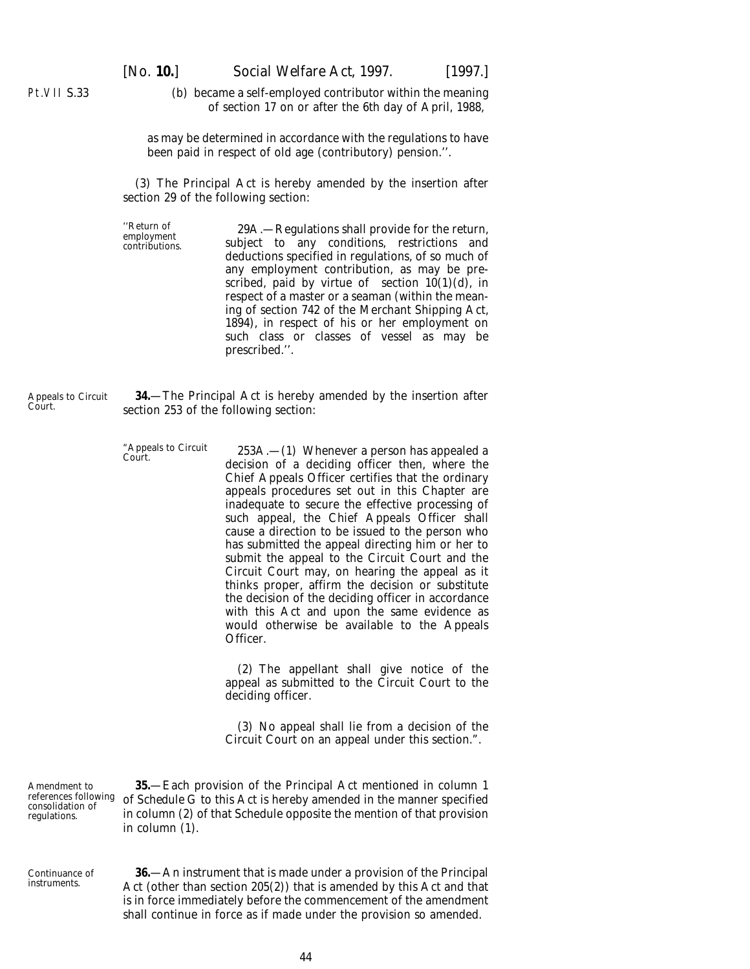(*b*) became a self-employed contributor within the meaning of section 17 on or after the 6th day of April, 1988,

<span id="page-43-0"></span>Pt.VII S.33

as may be determined in accordance with the regulations to have been paid in respect of old age (contributory) pension.''.

(3) The Principal Act is hereby amended by the insertion after section 29 of the following section:

''Return of 29A.—Regulations shall provide for the return, employment subject to any conditions, restrictions and deductions specified in regulations, of so much of any employment contribution, as may be prescribed, paid by virtue of section  $10(1)(d)$ , in respect of a master or a seaman (within the meaning of section 742 of the Merchant Shipping Act, 1894), in respect of his or her employment on such class or classes of vessel as may be prescribed.''.

Appeals to Circuit Court. **34.**—The Principal Act is hereby amended by the insertion after section 253 of the following section:

"Appeals to Circuit 253A.—(1) Whenever a person has appealed a Court. decision of a deciding officer then, where the Chief Appeals Officer certifies that the ordinary appeals procedures set out in this Chapter are inadequate to secure the effective processing of such appeal, the Chief Appeals Officer shall cause a direction to be issued to the person who has submitted the appeal directing him or her to submit the appeal to the Circuit Court and the Circuit Court may, on hearing the appeal as it thinks proper, affirm the decision or substitute the decision of the deciding officer in accordance with this Act and upon the same evidence as would otherwise be available to the Appeals Officer.

> (2) The appellant shall give notice of the appeal as submitted to the Circuit Court to the deciding officer.

> (3) No appeal shall lie from a decision of the Circuit Court on an appeal under this section.".

Amendment to references following consolidation of regulations.

**35.**—Each provision of the Principal Act mentioned in *column 1* of *Schedule G* to this Act is hereby amended in the manner specified in *column (2)* of that Schedule opposite the mention of that provision in *column (1).*

Continuance of instruments.

**36.**—An instrument that is made under a provision of the Principal Act (other than section 205(2)) that is amended by this Act and that is in force immediately before the commencement of the amendment shall continue in force as if made under the provision so amended.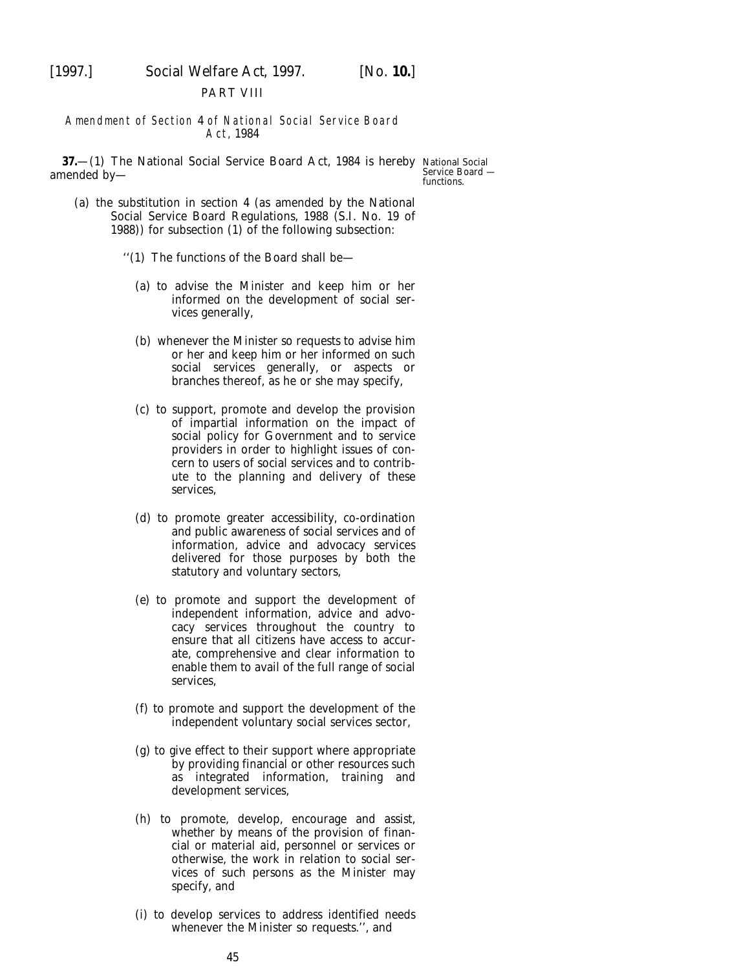<span id="page-44-0"></span>

#### PART VIII

#### Amendment of Section 4 of National Social Service Board Act, 1984

**37.**—(1) The National Social Service Board Act, 1984 is hereby National Social amended by—

Service Board functions.

- (*a*) the substitution in section 4 (as amended by the National Social Service Board Regulations, 1988 (S.I. No. 19 of 1988)) for subsection (1) of the following subsection:
	- ''(1) The functions of the Board shall be—
		- (*a*) to advise the Minister and keep him or her informed on the development of social services generally,
		- (*b*) whenever the Minister so requests to advise him or her and keep him or her informed on such social services generally, or aspects or branches thereof, as he or she may specify,
		- (*c*) to support, promote and develop the provision of impartial information on the impact of social policy for Government and to service providers in order to highlight issues of concern to users of social services and to contribute to the planning and delivery of these services,
		- (*d*) to promote greater accessibility, co-ordination and public awareness of social services and of information, advice and advocacy services delivered for those purposes by both the statutory and voluntary sectors,
		- (*e*) to promote and support the development of independent information, advice and advocacy services throughout the country to ensure that all citizens have access to accurate, comprehensive and clear information to enable them to avail of the full range of social services,
		- (*f*) to promote and support the development of the independent voluntary social services sector,
		- (*g*) to give effect to their support where appropriate by providing financial or other resources such as integrated information, training and development services,
		- (*h*) to promote, develop, encourage and assist, whether by means of the provision of financial or material aid, personnel or services or otherwise, the work in relation to social services of such persons as the Minister may specify, and
		- (*i*) to develop services to address identified needs whenever the Minister so requests.'', and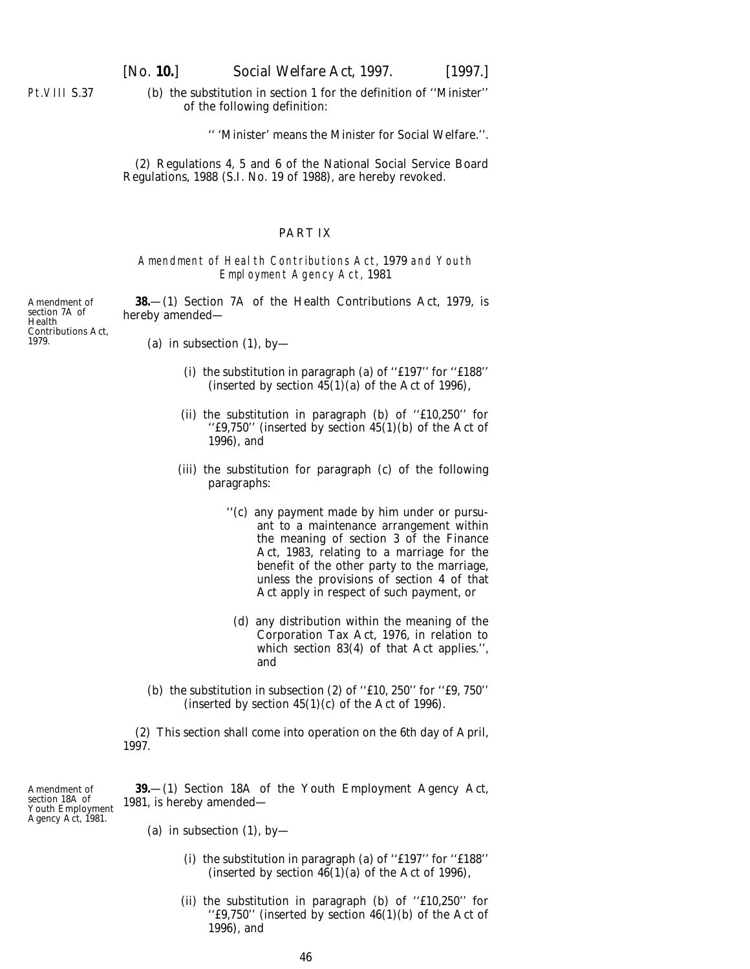<span id="page-45-0"></span>Pt.VIII S.37

(*b*) the substitution in section 1 for the definition of ''Minister'' of the following definition:

'' 'Minister' means the Minister for Social Welfare.''.

(2) Regulations 4, 5 and 6 of the National Social Service Board Regulations, 1988 (S.I. No. 19 of 1988), are hereby revoked.

#### PART IX

#### Amendment of Health Contributions Act, 1979 and Youth Employment Agency Act, 1981

**38.**—(1) Section 7A of the Health Contributions Act, 1979, is hereby amended—

Amendment of section 7A of Health Contributions Act, 1979.

- (*a*) in subsection (1), by-
	- (i) the substitution in paragraph (*a*) of ''£197'' for ''£188'' (inserted by section  $45(1)(a)$  of the Act of 1996),
	- (ii) the substitution in paragraph (*b*) of ''£10,250'' for "f9,750" (inserted by section  $45(1)(b)$  of the Act of 1996), and
	- (iii) the substitution for paragraph (*c*) of the following paragraphs:
		- ''(*c*) any payment made by him under or pursuant to a maintenance arrangement within the meaning of section 3 of the Finance Act, 1983, relating to a marriage for the benefit of the other party to the marriage, unless the provisions of section 4 of that Act apply in respect of such payment, or
			- (*d*) any distribution within the meaning of the Corporation Tax Act, 1976, in relation to which section 83(4) of that Act applies.'', and
- (*b*) the substitution in subsection (2) of " $f10$ , 250" for " $f9$ , 750" (inserted by section  $45(1)(c)$  of the Act of 1996).

(2) This section shall come into operation on the 6th day of April, 1997.

Amendment of section 18A of Youth Employment Agency Act, 1981. **39.**—(1) Section 18A of the Youth Employment Agency Act, 1981, is hereby amended—

- (*a*) in subsection (1), by-
	- (i) the substitution in paragraph (*a*) of ''£197'' for ''£188'' (inserted by section  $46(1)(a)$  of the Act of 1996),
	- (ii) the substitution in paragraph (*b*) of ''£10,250'' for "f9,750" (inserted by section  $46(1)(b)$  of the Act of 1996), and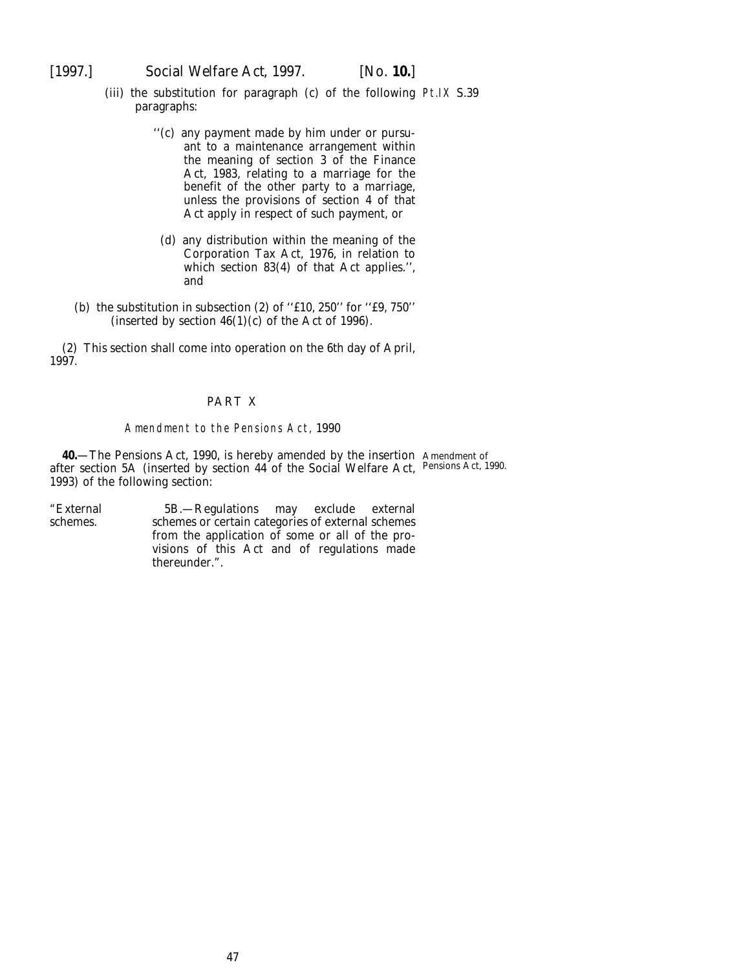<span id="page-46-0"></span>[1997.] *Social Welfare Act,* 1997. [*No.* **10.**]

- (iii) the substitution for paragraph (*c*) of the following Pt.IX S.39 paragraphs:
	- ''(*c*) any payment made by him under or pursuant to a maintenance arrangement within the meaning of section 3 of the Finance Act, 1983, relating to a marriage for the benefit of the other party to a marriage, unless the provisions of section 4 of that Act apply in respect of such payment, or
	- (*d*) any distribution within the meaning of the Corporation Tax Act, 1976, in relation to which section 83(4) of that Act applies.'', and
- (*b*) the substitution in subsection (2) of " $£10$ ,  $250$ " for " $£9$ ,  $750$ " (inserted by section  $46(1)(c)$  of the Act of 1996).

(2) This section shall come into operation on the 6th day of April, 1997.

#### PART X

#### Amendment to the Pensions Act, 1990

**40.**—The Pensions Act, 1990, is hereby amended by the insertion Amendment of after section 5A (inserted by section 44 of the Social Welfare Act, Pensions Act, 1990.1993) of the following section:

"External 5B.—Regulations may exclude external schemes. schemes or certain categories of external schemes from the application of some or all of the provisions of this Act and of regulations made thereunder.".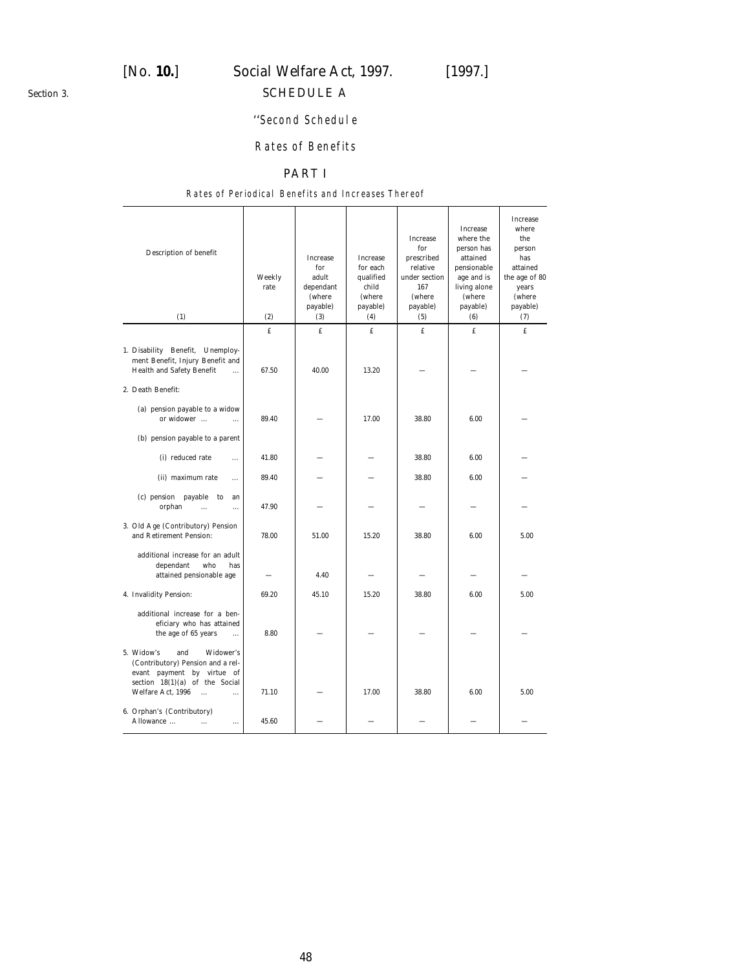<span id="page-47-0"></span>*Section 3.*

# [*No.* **10.**] *Social Welfare Act,* 1997. [1997.]

# SCHEDULE A

# ''Second Schedule

# Rates of Benefits

# PART I

#### Rates of Periodical Benefits and Increases Thereof

| Description of benefit<br>(1)                                                                                                                                                       | Weekly<br>rate<br>(2) | Increase<br>for<br>adult<br>dependant<br>(where<br>payable)<br>(3) | <b>Increase</b><br>for each<br>qualified<br>child<br><i>(where)</i><br>payable)<br>(4) | <b>Increase</b><br>for<br>prescribed<br>relative<br>under section<br>167<br>(where<br>payable)<br>(5) | <b>Increase</b><br>where the<br>person has<br>attained<br>pensionable<br>age and is<br>living alone<br>(where<br>payable)<br>(6) | Increase<br>where<br>the<br>person<br>has<br>attained<br>the age of 80<br>years<br>(where<br>payable)<br>(7) |
|-------------------------------------------------------------------------------------------------------------------------------------------------------------------------------------|-----------------------|--------------------------------------------------------------------|----------------------------------------------------------------------------------------|-------------------------------------------------------------------------------------------------------|----------------------------------------------------------------------------------------------------------------------------------|--------------------------------------------------------------------------------------------------------------|
|                                                                                                                                                                                     | £                     | £                                                                  | $f_{\rm L}$                                                                            | £                                                                                                     | $f_{\rm L}$                                                                                                                      | £                                                                                                            |
| 1. Disability Benefit, Unemploy-<br>ment Benefit, Injury Benefit and<br><b>Health and Safety Benefit</b><br>$\dddotsc$                                                              | 67.50                 | 40.00                                                              | 13.20                                                                                  |                                                                                                       |                                                                                                                                  |                                                                                                              |
| 2. Death Benefit:                                                                                                                                                                   |                       |                                                                    |                                                                                        |                                                                                                       |                                                                                                                                  |                                                                                                              |
| (a) pension payable to a widow<br>or widower<br>$\cdots$                                                                                                                            | 89.40                 |                                                                    | 17.00                                                                                  | 38.80                                                                                                 | 6.00                                                                                                                             |                                                                                                              |
| $(b)$ pension payable to a parent                                                                                                                                                   |                       |                                                                    |                                                                                        |                                                                                                       |                                                                                                                                  |                                                                                                              |
| (i) reduced rate<br>$\ddotsc$                                                                                                                                                       | 41.80                 |                                                                    |                                                                                        | 38.80                                                                                                 | 6.00                                                                                                                             |                                                                                                              |
| (ii) maximum rate<br>$\cdots$                                                                                                                                                       | 89.40                 |                                                                    |                                                                                        | 38.80                                                                                                 | 6.00                                                                                                                             |                                                                                                              |
| (c) pension payable<br>to<br>an<br>orphan<br>$\cdots$<br>$\cdots$                                                                                                                   | 47.90                 |                                                                    |                                                                                        |                                                                                                       |                                                                                                                                  |                                                                                                              |
| 3. Old Age (Contributory) Pension<br>and Retirement Pension:                                                                                                                        | 78.00                 | 51.00                                                              | 15.20                                                                                  | 38.80                                                                                                 | 6.00                                                                                                                             | 5.00                                                                                                         |
| additional increase for an adult<br>dependant<br>who<br>has<br>attained pensionable age                                                                                             |                       | 4.40                                                               |                                                                                        |                                                                                                       |                                                                                                                                  |                                                                                                              |
| 4. Invalidity Pension:                                                                                                                                                              | 69.20                 | 45.10                                                              | 15.20                                                                                  | 38.80                                                                                                 | 6.00                                                                                                                             | 5.00                                                                                                         |
| additional increase for a ben-<br>eficiary who has attained<br>the age of 65 years<br>$\ddotsc$                                                                                     | 8.80                  |                                                                    |                                                                                        |                                                                                                       |                                                                                                                                  |                                                                                                              |
| 5. Widow's<br>and<br>Widower's<br>(Contributory) Pension and a rel-<br>evant payment by virtue of<br>section $18(1)(a)$ of the Social<br>Welfare Act, 1996<br>$\ddotsc$<br>$\cdots$ | 71.10                 |                                                                    | 17.00                                                                                  | 38.80                                                                                                 | 6.00                                                                                                                             | 5.00                                                                                                         |
| 6. Orphan's (Contributory)<br>Allowance<br>$\cdots$<br>$\cdots$                                                                                                                     | 45.60                 |                                                                    |                                                                                        |                                                                                                       |                                                                                                                                  |                                                                                                              |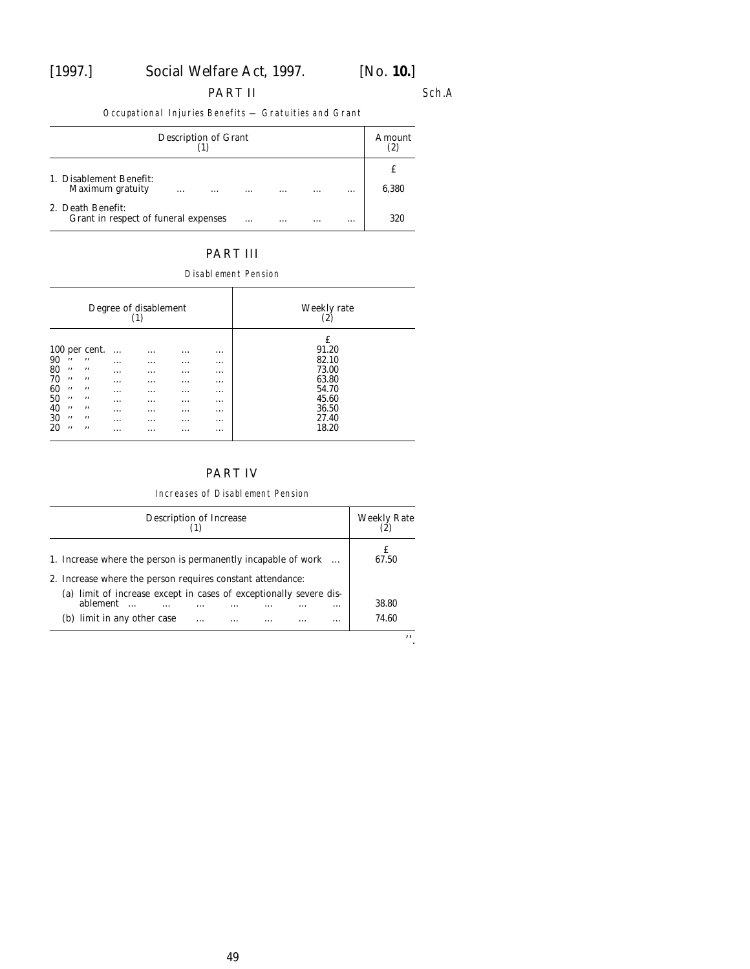#### PART II

Sch.A

Occupational Injuries Benefits — Gratuities and Grant

| Description of Grant                                                |          |          |          |          |       |
|---------------------------------------------------------------------|----------|----------|----------|----------|-------|
| 1. Disablement Benefit:<br>Maximum gratuity<br>$\cdots$<br>$\cdots$ | $\cdots$ | $\cdots$ | $\cdots$ | $\cdots$ | 6,380 |
| 2. Death Benefit:<br>Grant in respect of funeral expenses           | $\cdots$ | $\cdots$ | $\cdots$ | $\cdots$ | 320   |

### PART III

Disablement Pension

| Degree of disablement<br>(1)                                                                                  |                                              |                                                                                                   |                                                                       |                                                     | Weekly rate<br>$\left( 2\right)$                                                                         |                                                                                    |
|---------------------------------------------------------------------------------------------------------------|----------------------------------------------|---------------------------------------------------------------------------------------------------|-----------------------------------------------------------------------|-----------------------------------------------------|----------------------------------------------------------------------------------------------------------|------------------------------------------------------------------------------------|
| 100 per cent.<br>90<br>,,<br>80<br>,,<br>70<br>,,<br>60<br>,,<br>50<br>,,<br>40<br>,,<br>30<br>,,<br>20<br>,, | ,,<br>,,<br>,,<br>,,<br>,,<br>,,<br>,,<br>,, | .<br>$\cdots$<br>$\cdots$<br>$\cdots$<br>$\cdots$<br>$\cdots$<br>$\cdots$<br>$\cdots$<br>$\cdots$ | .<br>$\cdots$<br>$\cdots$<br>$\cdots$<br>.<br>$\cdots$<br>.<br>.<br>. | .<br>$\cdots$<br>.<br><br>$\cdots$<br>.<br><br><br> | $\cdots$<br>$\cdots$<br>$\cdots$<br>$\cdots$<br>$\cdots$<br>$\cdots$<br>$\cdots$<br>$\cdots$<br>$\cdots$ | £<br>91.20<br>82.10<br>73.00<br>63.80<br>54.70<br>45.60<br>36.50<br>27.40<br>18.20 |

# PART IV

Increases of Disablement Pension

| Description of Increase                                            | Weekly Rate |
|--------------------------------------------------------------------|-------------|
| 1. Increase where the person is permanently incapable of work      | 67.50       |
| 2. Increase where the person requires constant attendance:         |             |
| (a) limit of increase except in cases of exceptionally severe dis- |             |
| ablement<br>                                                       | 38.80       |
| $(b)$ limit in any other case<br>$\cdots$<br><br>$\cdots$          | 74.60       |

''.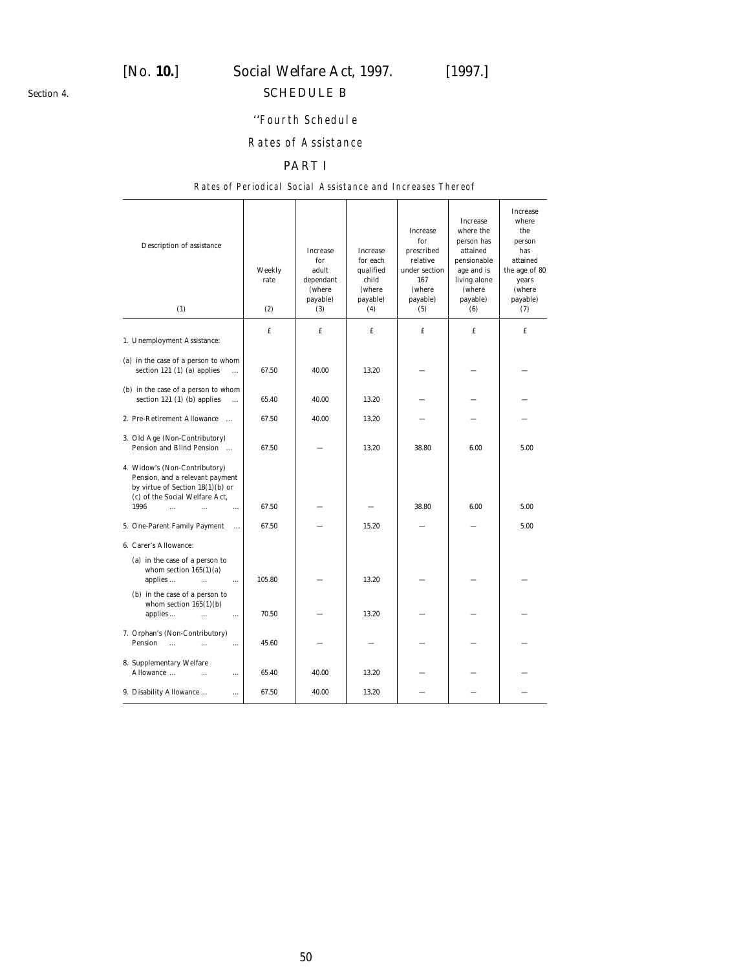<span id="page-49-0"></span>*Section 4.*

# [*No.* **10.**] *Social Welfare Act,* 1997. [1997.]

# SCHEDULE B

# ''Fourth Schedule

# Rates of Assistance

# PART I

#### Rates of Periodical Social Assistance and Increases Thereof

| Description of assistance<br>(1)                                                                                                                                                                                      | Weekly<br>rate<br>(2) | Increase<br>for<br>adult<br>dependant<br>(where<br>payable)<br>(3) | <b>Increase</b><br>for each<br>qualified<br>child<br>(where<br>payable)<br>(4) | <b>Increase</b><br>for<br>prescribed<br>relative<br>under section<br>167<br>(where<br>payable)<br>(5) | <b>Increase</b><br>where the<br>person has<br>attained<br>pensionable<br>age and is<br>living alone<br>(where<br>payable)<br>(6) | <b>Increase</b><br>where<br>the<br>person<br>has<br>attained<br>the age of 80<br>years<br>(where<br>payable)<br>(7) |
|-----------------------------------------------------------------------------------------------------------------------------------------------------------------------------------------------------------------------|-----------------------|--------------------------------------------------------------------|--------------------------------------------------------------------------------|-------------------------------------------------------------------------------------------------------|----------------------------------------------------------------------------------------------------------------------------------|---------------------------------------------------------------------------------------------------------------------|
| 1. Unemployment Assistance:                                                                                                                                                                                           | £                     | £                                                                  | £                                                                              | £                                                                                                     | f.                                                                                                                               | £                                                                                                                   |
| (a) in the case of a person to whom<br>section 121 $(1)$ $(a)$ applies<br>$\cdots$                                                                                                                                    | 67.50                 | 40.00                                                              | 13.20                                                                          |                                                                                                       |                                                                                                                                  |                                                                                                                     |
| $(b)$ in the case of a person to whom<br>section 121 $(1)$ $(b)$ applies<br>$\ddot{\phantom{a}}$                                                                                                                      | 65.40                 | 40.00                                                              | 13.20                                                                          |                                                                                                       |                                                                                                                                  |                                                                                                                     |
| 2. Pre-Retirement Allowance                                                                                                                                                                                           | 67.50                 | 40.00                                                              | 13.20                                                                          |                                                                                                       |                                                                                                                                  |                                                                                                                     |
| 3. Old Age (Non-Contributory)<br>Pension and Blind Pension                                                                                                                                                            | 67.50                 |                                                                    | 13.20                                                                          | 38.80                                                                                                 | 6.00                                                                                                                             | 5.00                                                                                                                |
| 4. Widow's (Non-Contributory)<br>Pension, and a relevant payment<br>by virtue of Section $18(1)(b)$ or<br>(c) of the Social Welfare Act,<br>1996<br>$\cdots$<br>$\cdots$<br>$\ddotsc$<br>5. One-Parent Family Payment | 67.50<br>67.50        |                                                                    | 15.20                                                                          | 38.80                                                                                                 | 6.00                                                                                                                             | 5.00<br>5.00                                                                                                        |
| 6. Carer's Allowance:                                                                                                                                                                                                 |                       |                                                                    |                                                                                |                                                                                                       |                                                                                                                                  |                                                                                                                     |
| $(a)$ in the case of a person to<br>whom section $165(1)(a)$<br>applies<br>$\cdots$<br>$\ldots$                                                                                                                       | 105.80                |                                                                    | 13.20                                                                          |                                                                                                       |                                                                                                                                  |                                                                                                                     |
| $(b)$ in the case of a person to<br>whom section $165(1)(b)$<br>applies<br>$\cdots$<br>$\cdots$                                                                                                                       | 70.50                 |                                                                    | 13.20                                                                          |                                                                                                       |                                                                                                                                  |                                                                                                                     |
| 7. Orphan's (Non-Contributory)<br>Pension<br>$\ddot{\phantom{a}}$<br>$\ddotsc$<br>$\ddotsc$                                                                                                                           | 45.60                 |                                                                    |                                                                                |                                                                                                       |                                                                                                                                  |                                                                                                                     |
| 8. Supplementary Welfare<br>Allowance<br>$\ddotsc$<br>$\cdots$                                                                                                                                                        | 65.40                 | 40.00                                                              | 13.20                                                                          |                                                                                                       |                                                                                                                                  |                                                                                                                     |
| 9. Disability Allowance<br>$\cdots$                                                                                                                                                                                   | 67.50                 | 40.00                                                              | 13.20                                                                          |                                                                                                       |                                                                                                                                  |                                                                                                                     |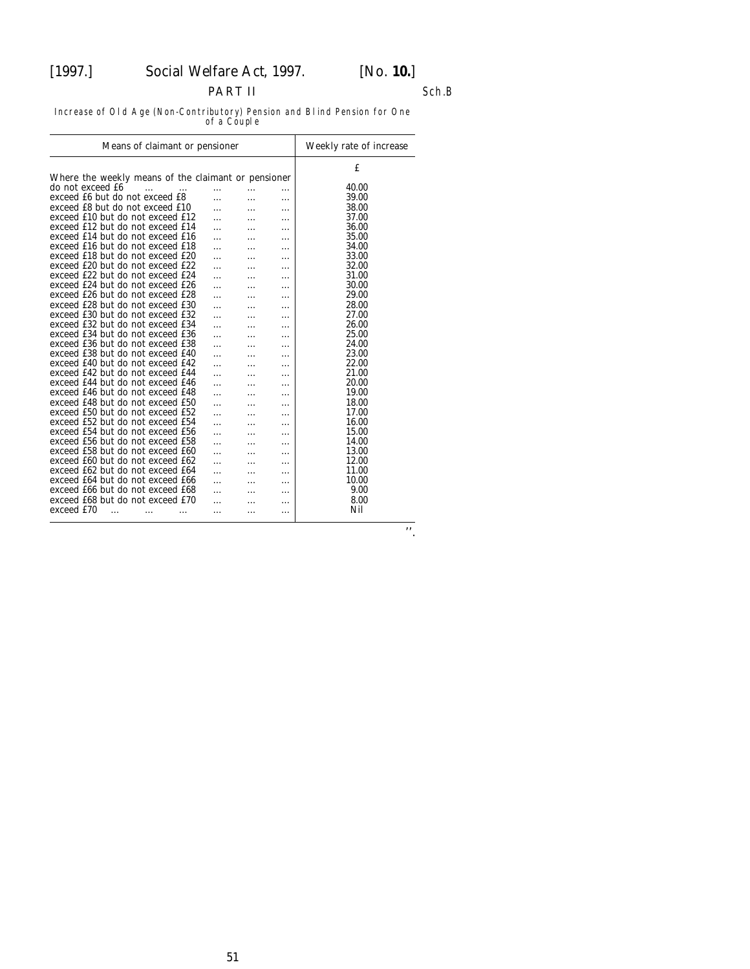# PART II

#### Sch.B

Increase of Old Age (Non-Contributory) Pension and Blind Pension for One of a Couple

| Means of claimant or pensioner                      | Weekly rate of increase |   |   |       |
|-----------------------------------------------------|-------------------------|---|---|-------|
|                                                     |                         |   |   | £     |
| Where the weekly means of the claimant or pensioner |                         |   |   |       |
| do not exceed £6                                    |                         |   | . | 40.00 |
| exceed £6 but do not exceed £8                      | .                       |   | . | 39.00 |
| exceed £8 but do not exceed £10                     |                         |   | . | 38.00 |
| exceed £10 but do not exceed £12                    | .                       |   |   | 37.00 |
| exceed £12 but do not exceed £14                    |                         | . | . | 36.00 |
| exceed £14 but do not exceed £16                    |                         | . |   | 35.00 |
| exceed £16 but do not exceed £18                    | .                       | . |   | 34.00 |
| exceed £18 but do not exceed £20                    |                         |   | . | 33.00 |
| exceed £20 but do not exceed £22                    |                         |   |   | 32.00 |
| exceed £22 but do not exceed £24                    |                         | . |   | 31.00 |
| exceed £24 but do not exceed £26                    |                         |   | . | 30.00 |
| exceed £26 but do not exceed £28                    | .                       |   |   | 29.00 |
| exceed £28 but do not exceed £30                    |                         |   | . | 28.00 |
| exceed £30 but do not exceed £32                    |                         |   | . | 27.00 |
| exceed £32 but do not exceed £34                    |                         |   | . | 26.00 |
| exceed £34 but do not exceed £36                    |                         |   | . | 25.00 |
| exceed £36 but do not exceed £38                    |                         |   | . | 24.00 |
| exceed £38 but do not exceed £40                    |                         | . |   | 23.00 |
| exceed £40 but do not exceed £42                    |                         |   | . | 22.00 |
| exceed £42 but do not exceed £44                    |                         |   | . | 21.00 |
| exceed £44 but do not exceed £46                    |                         |   |   | 20.00 |
| exceed £46 but do not exceed £48                    |                         |   | . | 19.00 |
| exceed £48 but do not exceed £50                    | .                       |   |   | 18.00 |
| exceed £50 but do not exceed £52                    | .                       |   | . | 17.00 |
| exceed £52 but do not exceed £54                    |                         |   | . | 16.00 |
| exceed £54 but do not exceed £56                    |                         | . | . | 15.00 |
| exceed £56 but do not exceed £58                    |                         |   | . | 14.00 |
| exceed £58 but do not exceed £60                    | .                       | . | . | 13.00 |
| exceed £60 but do not exceed £62                    | .                       | . | . | 12.00 |
| exceed £62 but do not exceed £64                    |                         |   |   | 11.00 |
| exceed £64 but do not exceed £66                    |                         | . |   | 10.00 |
| exceed £66 but do not exceed £68                    |                         |   | . | 9.00  |
| exceed £68 but do not exceed £70                    |                         |   |   | 8.00  |
| exceed £70                                          |                         |   | . | Nil   |
| .<br>.                                              | .                       | . | . |       |

 $\overline{\cdot \cdot}$ .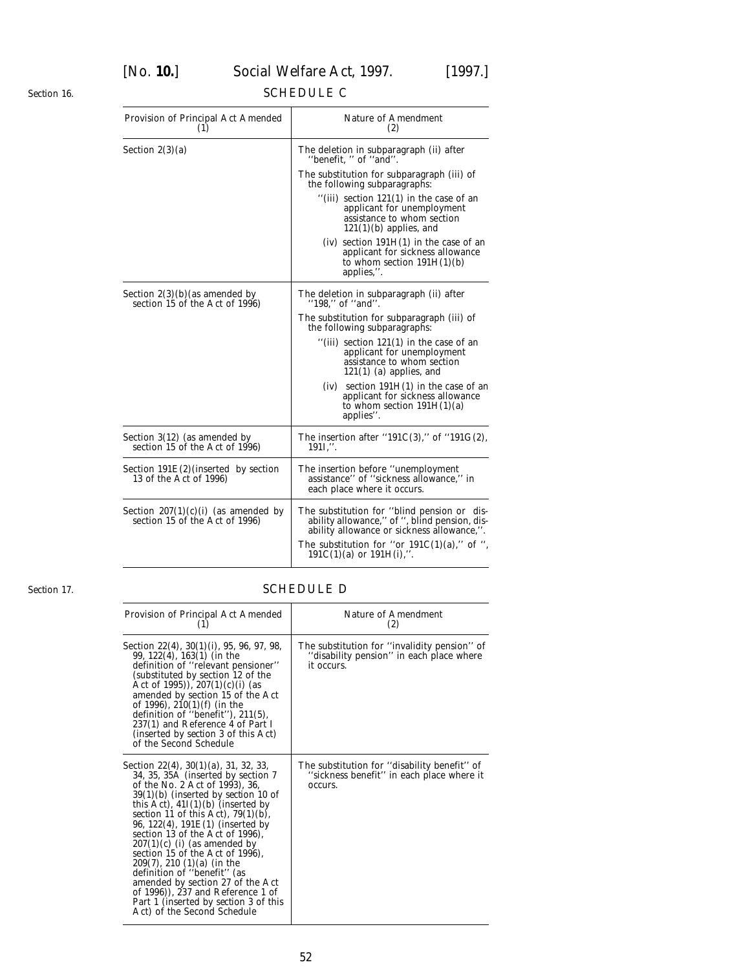[*No.* **10.**] *Social Welfare Act,* 1997. [1997.]

# SCHEDULE C

| Provision of Principal Act Amended<br>(1)                               | <b>Nature of Amendment</b><br>(2)                                                                                                                                                                                             |
|-------------------------------------------------------------------------|-------------------------------------------------------------------------------------------------------------------------------------------------------------------------------------------------------------------------------|
| Section $2(3)(a)$                                                       | The deletion in subparagraph (ii) after<br>"benefit, " of "and".                                                                                                                                                              |
|                                                                         | The substitution for subparagraph (iii) of<br>the following subparagraphs:                                                                                                                                                    |
|                                                                         | "(iii) section $121(1)$ in the case of an<br>applicant for unemployment<br>assistance to whom section<br>$121(1)(b)$ applies, and                                                                                             |
|                                                                         | $(iv)$ section 191 $H(1)$ in the case of an<br>applicant for sickness allowance<br>to whom section $191H(1)(b)$<br>applies,".                                                                                                 |
| Section $2(3)(b)$ (as amended by<br>section 15 of the Act of 1996)      | The deletion in subparagraph (ii) after<br>"198," of "and".                                                                                                                                                                   |
|                                                                         | The substitution for subparagraph (iii) of<br>the following subparagraphs:                                                                                                                                                    |
|                                                                         | "(iii) section $121(1)$ in the case of an<br>applicant for unemployment<br>assistance to whom section<br>$121(1)$ (a) applies, and                                                                                            |
|                                                                         | section $191H(1)$ in the case of an<br>(iv)<br>applicant for sickness allowance<br>to whom section $191H(1)(a)$<br>applies".                                                                                                  |
| Section 3(12) (as amended by<br>section 15 of the Act of 1996)          | The insertion after "191C(3)," of "191G(2),<br>191I,''.                                                                                                                                                                       |
| Section $191E(2)$ (inserted by section<br>13 of the Act of 1996)        | The insertion before "unemployment<br>assistance" of "sickness allowance," in<br>each place where it occurs.                                                                                                                  |
| Section $207(1)(c)(i)$ (as amended by<br>section 15 of the Act of 1996) | The substitution for "blind pension or dis-<br>ability allowance," of ", blind pension, dis-<br>ability allowance or sickness allowance,".<br>The substitution for "or $191C(1)(a)$ ," of ",<br>$191C(1)(a)$ or $191H(i),$ ". |

*Section 17.*

<span id="page-51-0"></span>*Section 16.*

# SCHEDULE D

| Provision of Principal Act Amended<br>(1)                                                                                                                                                                                                                                                                                                                                                                                                                                                                                                                                                                                             | Nature of Amendment<br>(2)                                                                             |
|---------------------------------------------------------------------------------------------------------------------------------------------------------------------------------------------------------------------------------------------------------------------------------------------------------------------------------------------------------------------------------------------------------------------------------------------------------------------------------------------------------------------------------------------------------------------------------------------------------------------------------------|--------------------------------------------------------------------------------------------------------|
| Section 22(4), 30(1)(i), 95, 96, 97, 98,<br>$99, 122(4), 163(1)$ (in the<br>definition of "relevant pensioner"<br>(substituted by section 12 of the<br>Act of 1995)), $207(1)(c)(i)$ (as<br>amended by section 15 of the Act<br>of 1996), $210(1)$ ( <i>f</i> ) (in the<br>definition of "benefit"), $211(5)$ ,<br>237(1) and Reference 4 of Part I<br>(inserted by <i>section 3</i> of this Act)<br>of the Second Schedule                                                                                                                                                                                                           | The substitution for "invalidity pension" of<br>"disability pension" in each place where<br>it occurs. |
| Section 22(4), $30(1)(a)$ , 31, 32, 33,<br>34, 35, 35A (inserted by section 7<br>of the No. 2 Act of 1993), 36,<br>$39(1)(b)$ (inserted by <i>section 10</i> of<br>this Act), $41I(1)(b)$ (inserted by<br>section 11 of this Act), $79(1)(b)$ ,<br>96, $122(4)$ , $191E(1)$ (inserted by<br>section 13 of the Act of 1996),<br>$207(1)(c)$ ( <i>i</i> ) (as amended by<br>section 15 of the Act of 1996).<br>$209(7)$ , 210 $(1)(a)$ (in the<br>definition of "benefit" (as<br>amended by section 27 of the Act<br>of $1996$ ), 237 and Reference 1 of<br>Part 1 (inserted by <i>section 3</i> of this<br>Act) of the Second Schedule | The substitution for "disability benefit" of<br>"sickness benefit" in each place where it<br>occurs.   |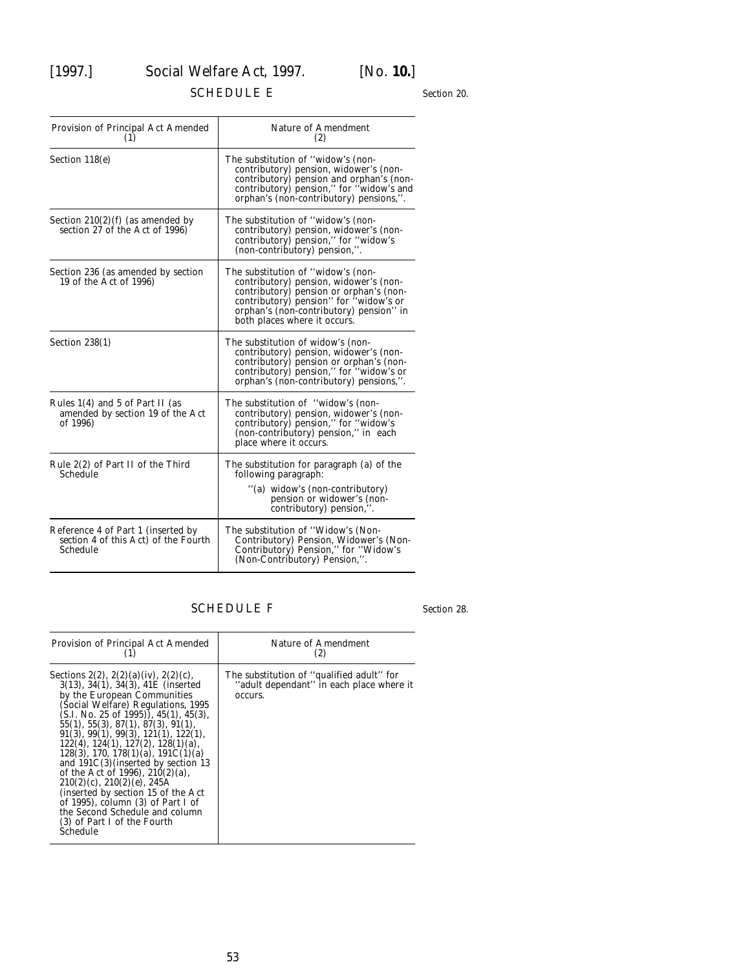# <span id="page-52-0"></span>[1997.] *Social Welfare Act,* 1997. [*No.* **10.**]

# SCHEDULE E

*Section 20.*

| Provision of Principal Act Amended<br>(1)                                              | <b>Nature of Amendment</b><br>(2)                                                                                                                                                                                                            |
|----------------------------------------------------------------------------------------|----------------------------------------------------------------------------------------------------------------------------------------------------------------------------------------------------------------------------------------------|
| Section $118(e)$                                                                       | The substitution of "widow's (non-<br>contributory) pension, widower's (non-<br>contributory) pension and orphan's (non-<br>contributory) pension," for "widow's and<br>orphan's (non-contributory) pensions,".                              |
| Section $210(2)(f)$ (as amended by<br>section 27 of the Act of 1996)                   | The substitution of "widow's (non-<br>contributory) pension, widower's (non-<br>contributory) pension," for "widow's<br>(non-contributory) pension,".                                                                                        |
| Section 236 (as amended by section<br>19 of the Act of 1996)                           | The substitution of "widow's (non-<br>contributory) pension, widower's (non-<br>contributory) pension or orphan's (non-<br>contributory) pension" for "widow's or<br>orphan's (non-contributory) pension" in<br>both places where it occurs. |
| Section $238(1)$                                                                       | The substitution of widow's (non-<br>contributory) pension, widower's (non-<br>contributory) pension or orphan's (non-<br>contributory) pension," for "widow's or<br>orphan's (non-contributory) pensions,".                                 |
| Rules 1(4) and 5 of Part II (as<br>amended by section 19 of the Act<br>of 1996)        | The substitution of "widow's (non-<br>contributory) pension, widower's (non-<br>contributory) pension," for "widow's<br>(non-contributory) pension," in each<br>place where it occurs.                                                       |
| Rule 2(2) of Part II of the Third<br>Schedule                                          | The substitution for paragraph $(a)$ of the<br>following paragraph:<br>"(a) widow's (non-contributory)<br>pension or widower's (non-<br>contributory) pension,".                                                                             |
| Reference 4 of Part 1 (inserted by<br>section 4 of this Act) of the Fourth<br>Schedule | The substitution of "Widow's (Non-<br>Contributory) Pension, Widower's (Non-<br>Contributory) Pension," for "Widow's<br>(Non-Contributory) Pension,".                                                                                        |

# SCHEDULE F

*Section 28.*

| Provision of Principal Act Amended                                                                                                                                                                                                                                                                                                                                                                                                                                                                                                                                                                                                                           | <b>Nature of Amendment</b><br>(2)                                                                |
|--------------------------------------------------------------------------------------------------------------------------------------------------------------------------------------------------------------------------------------------------------------------------------------------------------------------------------------------------------------------------------------------------------------------------------------------------------------------------------------------------------------------------------------------------------------------------------------------------------------------------------------------------------------|--------------------------------------------------------------------------------------------------|
| Sections 2(2), 2(2)(a)(iv), 2(2)(c),<br>$3(13)$ , $34(1)$ , $34(3)$ , $41E$ (inserted<br>by the European Communities<br>(Social Welfare) Regulations, 1995<br>$(S.I. No. 25 of 1995)$ , 45(1), 45(3),<br>55(1), 55(3), 87(1), 87(3), 91(1),<br>91(3), 99(1), 99(3), 121(1), 122(1),<br>$122(4)$ , $124(1)$ , $127(2)$ , $128(1)(a)$ ,<br>$128(3)$ , 170, 178(1)(a), 191C(1)(a)<br>and $191C(3)$ (inserted by section 13<br>of the Act of 1996), $210(2)(a)$ ,<br>$210(2)(c)$ , $210(2)(e)$ , $245A$<br>(inserted by section 15 of the Act)<br>of 1995), column (3) of Part I of<br>the Second Schedule and column<br>(3) of Part I of the Fourth<br>Schedule | The substitution of "qualified adult" for<br>"adult dependant" in each place where it<br>occurs. |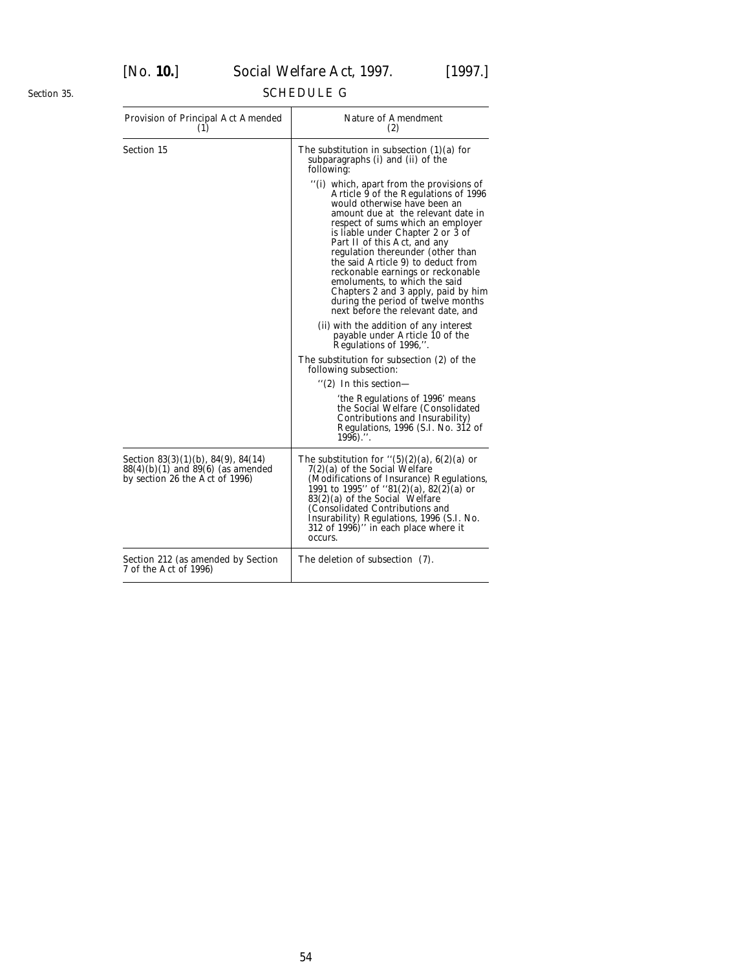#### <span id="page-53-0"></span>*Section 35.*

# SCHEDULE G

| Provision of Principal Act Amended<br>(1)                                                                             | <b>Nature of Amendment</b><br>(2)                                                                                                                                                                                                                                                                                                                                                                                                                                                                                                    |
|-----------------------------------------------------------------------------------------------------------------------|--------------------------------------------------------------------------------------------------------------------------------------------------------------------------------------------------------------------------------------------------------------------------------------------------------------------------------------------------------------------------------------------------------------------------------------------------------------------------------------------------------------------------------------|
| Section 15                                                                                                            | The substitution in subsection $(1)(a)$ for<br>subparagraphs (i) and (ii) of the<br>following:                                                                                                                                                                                                                                                                                                                                                                                                                                       |
|                                                                                                                       | "(i) which, apart from the provisions of<br>Article 9 of the Regulations of 1996<br>would otherwise have been an<br>amount due at the relevant date in<br>respect of sums which an employer<br>is liable under Chapter 2 or 3 of<br>Part II of this Act, and any<br>regulation thereunder (other than<br>the said Article 9) to deduct from<br>reckonable earnings or reckonable<br>emoluments, to which the said<br>Chapters 2 and 3 apply, paid by him<br>during the period of twelve months<br>next before the relevant date, and |
|                                                                                                                       | (ii) with the addition of any interest<br>payable under Article 10 of the<br>Regulations of 1996,".                                                                                                                                                                                                                                                                                                                                                                                                                                  |
|                                                                                                                       | The substitution for subsection (2) of the<br>following subsection:                                                                                                                                                                                                                                                                                                                                                                                                                                                                  |
|                                                                                                                       | $\degree$ (2) In this section—                                                                                                                                                                                                                                                                                                                                                                                                                                                                                                       |
|                                                                                                                       | 'the Regulations of 1996' means<br>the Social Welfare (Consolidated<br>Contributions and Insurability)<br>Regulations, 1996 (S.I. No. 312 of<br>$1996)$ .".                                                                                                                                                                                                                                                                                                                                                                          |
| Section $83(3)(1)(b)$ , $84(9)$ , $84(14)$<br>$88(4)(b)(1)$ and $89(6)$ (as amended<br>by section 26 the Act of 1996) | The substitution for " $(5)(2)(a)$ , 6(2)(a) or<br>7(2)(a) of the Social Welfare<br>(Modifications of Insurance) Regulations,<br>1991 to 1995" of "81(2)(a), $82(2)$ (a) or<br>$83(2)(a)$ of the Social Welfare<br>(Consolidated Contributions and<br>Insurability) Regulations, 1996 (S.I. No.<br>312 of 1996)" in each place where it<br>occurs.                                                                                                                                                                                   |
| Section 212 (as amended by Section<br>7 of the Act of 1996)                                                           | The deletion of subsection (7).                                                                                                                                                                                                                                                                                                                                                                                                                                                                                                      |